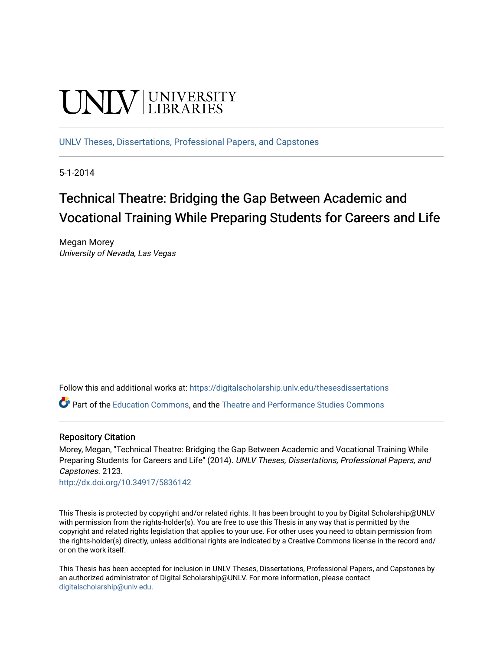# **UNIVERSITY**

[UNLV Theses, Dissertations, Professional Papers, and Capstones](https://digitalscholarship.unlv.edu/thesesdissertations)

5-1-2014

# Technical Theatre: Bridging the Gap Between Academic and Vocational Training While Preparing Students for Careers and Life

Megan Morey University of Nevada, Las Vegas

Follow this and additional works at: [https://digitalscholarship.unlv.edu/thesesdissertations](https://digitalscholarship.unlv.edu/thesesdissertations?utm_source=digitalscholarship.unlv.edu%2Fthesesdissertations%2F2123&utm_medium=PDF&utm_campaign=PDFCoverPages)

Part of the [Education Commons](http://network.bepress.com/hgg/discipline/784?utm_source=digitalscholarship.unlv.edu%2Fthesesdissertations%2F2123&utm_medium=PDF&utm_campaign=PDFCoverPages), and the [Theatre and Performance Studies Commons](http://network.bepress.com/hgg/discipline/552?utm_source=digitalscholarship.unlv.edu%2Fthesesdissertations%2F2123&utm_medium=PDF&utm_campaign=PDFCoverPages) 

#### Repository Citation

Morey, Megan, "Technical Theatre: Bridging the Gap Between Academic and Vocational Training While Preparing Students for Careers and Life" (2014). UNLV Theses, Dissertations, Professional Papers, and Capstones. 2123.

<http://dx.doi.org/10.34917/5836142>

This Thesis is protected by copyright and/or related rights. It has been brought to you by Digital Scholarship@UNLV with permission from the rights-holder(s). You are free to use this Thesis in any way that is permitted by the copyright and related rights legislation that applies to your use. For other uses you need to obtain permission from the rights-holder(s) directly, unless additional rights are indicated by a Creative Commons license in the record and/ or on the work itself.

This Thesis has been accepted for inclusion in UNLV Theses, Dissertations, Professional Papers, and Capstones by an authorized administrator of Digital Scholarship@UNLV. For more information, please contact [digitalscholarship@unlv.edu](mailto:digitalscholarship@unlv.edu).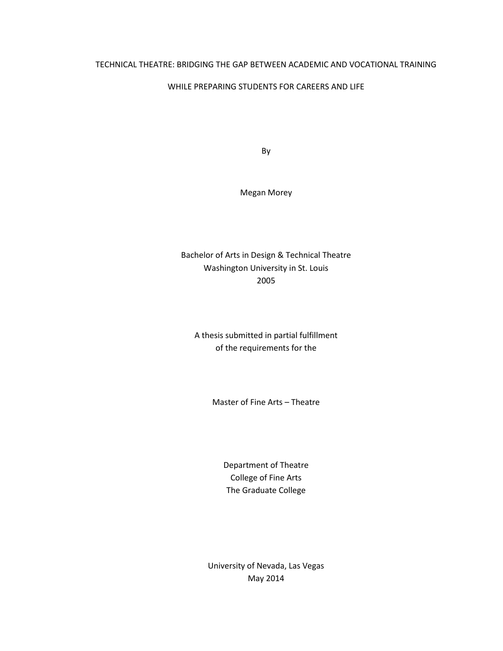#### TECHNICAL THEATRE: BRIDGING THE GAP BETWEEN ACADEMIC AND VOCATIONAL TRAINING

#### WHILE PREPARING STUDENTS FOR CAREERS AND LIFE

By

Megan Morey

Bachelor of Arts in Design & Technical Theatre Washington University in St. Louis 2005

A thesis submitted in partial fulfillment of the requirements for the

Master of Fine Arts – Theatre

Department of Theatre College of Fine Arts The Graduate College

University of Nevada, Las Vegas May 2014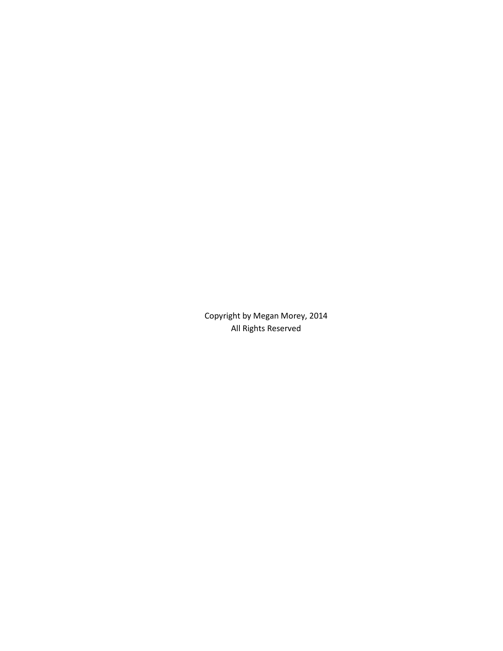Copyright by Megan Morey, 2014 All Rights Reserved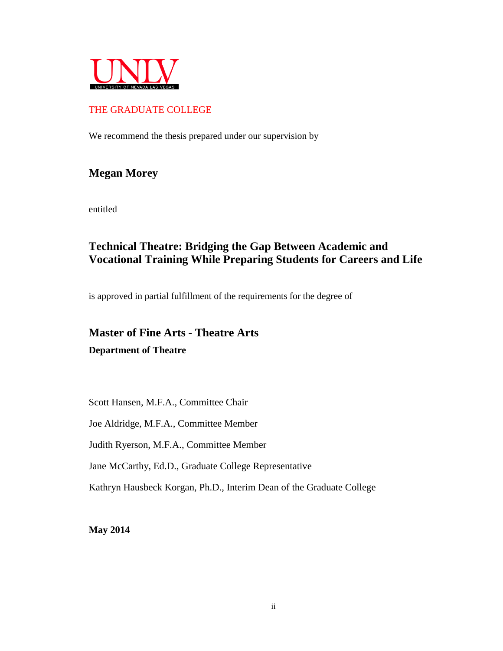

## THE GRADUATE COLLEGE

We recommend the thesis prepared under our supervision by

## **Megan Morey**

entitled

## **Technical Theatre: Bridging the Gap Between Academic and Vocational Training While Preparing Students for Careers and Life**

is approved in partial fulfillment of the requirements for the degree of

# **Master of Fine Arts - Theatre Arts Department of Theatre**

Scott Hansen, M.F.A., Committee Chair

Joe Aldridge, M.F.A., Committee Member

Judith Ryerson, M.F.A., Committee Member

Jane McCarthy, Ed.D., Graduate College Representative

Kathryn Hausbeck Korgan, Ph.D., Interim Dean of the Graduate College

**May 2014**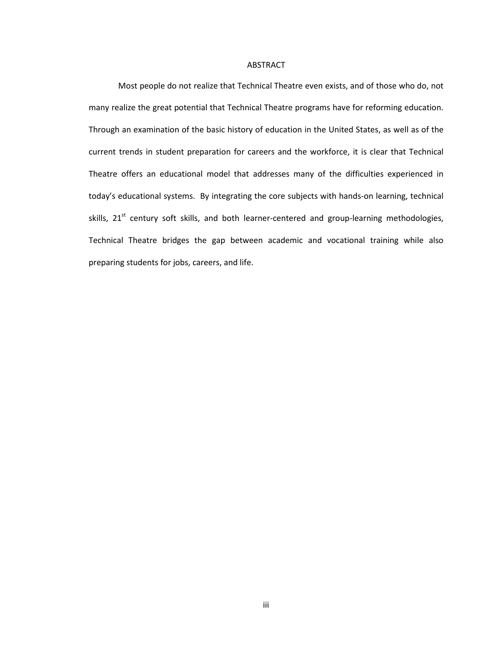#### ABSTRACT

Most people do not realize that Technical Theatre even exists, and of those who do, not many realize the great potential that Technical Theatre programs have for reforming education. Through an examination of the basic history of education in the United States, as well as of the current trends in student preparation for careers and the workforce, it is clear that Technical Theatre offers an educational model that addresses many of the difficulties experienced in today's educational systems. By integrating the core subjects with hands-on learning, technical skills, 21<sup>st</sup> century soft skills, and both learner-centered and group-learning methodologies, Technical Theatre bridges the gap between academic and vocational training while also preparing students for jobs, careers, and life.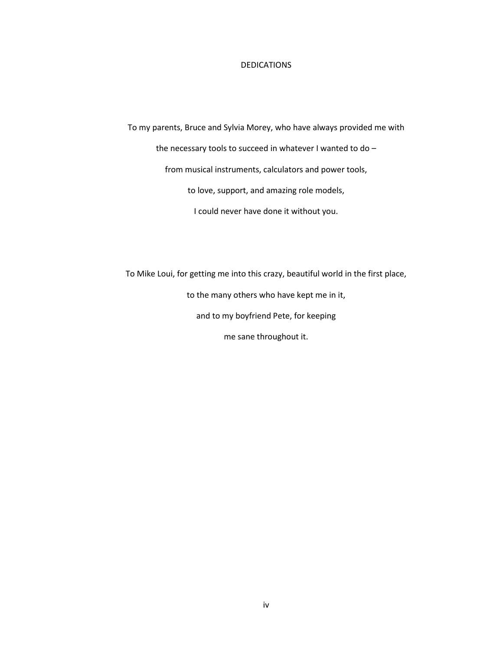#### **DEDICATIONS**

To my parents, Bruce and Sylvia Morey, who have always provided me with the necessary tools to succeed in whatever I wanted to do – from musical instruments, calculators and power tools, to love, support, and amazing role models, I could never have done it without you.

To Mike Loui, for getting me into this crazy, beautiful world in the first place,

to the many others who have kept me in it,

and to my boyfriend Pete, for keeping

me sane throughout it.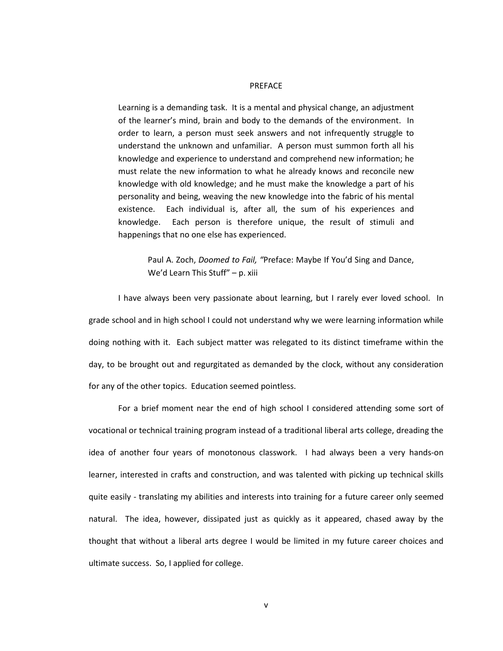#### PREFACE

Learning is a demanding task. It is a mental and physical change, an adjustment of the learner's mind, brain and body to the demands of the environment. In order to learn, a person must seek answers and not infrequently struggle to understand the unknown and unfamiliar. A person must summon forth all his knowledge and experience to understand and comprehend new information; he must relate the new information to what he already knows and reconcile new knowledge with old knowledge; and he must make the knowledge a part of his personality and being, weaving the new knowledge into the fabric of his mental existence. Each individual is, after all, the sum of his experiences and knowledge. Each person is therefore unique, the result of stimuli and happenings that no one else has experienced.

Paul A. Zoch, *Doomed to Fail, "*Preface: Maybe If You'd Sing and Dance, We'd Learn This Stuff" – p. xiii

I have always been very passionate about learning, but I rarely ever loved school. In grade school and in high school I could not understand why we were learning information while doing nothing with it. Each subject matter was relegated to its distinct timeframe within the day, to be brought out and regurgitated as demanded by the clock, without any consideration for any of the other topics. Education seemed pointless.

For a brief moment near the end of high school I considered attending some sort of vocational or technical training program instead of a traditional liberal arts college, dreading the idea of another four years of monotonous classwork. I had always been a very hands-on learner, interested in crafts and construction, and was talented with picking up technical skills quite easily - translating my abilities and interests into training for a future career only seemed natural. The idea, however, dissipated just as quickly as it appeared, chased away by the thought that without a liberal arts degree I would be limited in my future career choices and ultimate success. So, I applied for college.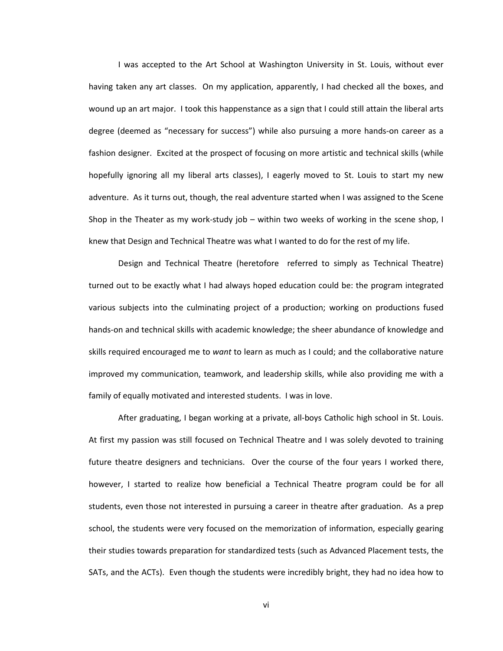I was accepted to the Art School at Washington University in St. Louis, without ever having taken any art classes. On my application, apparently, I had checked all the boxes, and wound up an art major. I took this happenstance as a sign that I could still attain the liberal arts degree (deemed as "necessary for success") while also pursuing a more hands-on career as a fashion designer. Excited at the prospect of focusing on more artistic and technical skills (while hopefully ignoring all my liberal arts classes), I eagerly moved to St. Louis to start my new adventure. As it turns out, though, the real adventure started when I was assigned to the Scene Shop in the Theater as my work-study job – within two weeks of working in the scene shop, I knew that Design and Technical Theatre was what I wanted to do for the rest of my life.

Design and Technical Theatre (heretofore referred to simply as Technical Theatre) turned out to be exactly what I had always hoped education could be: the program integrated various subjects into the culminating project of a production; working on productions fused hands-on and technical skills with academic knowledge; the sheer abundance of knowledge and skills required encouraged me to *want* to learn as much as I could; and the collaborative nature improved my communication, teamwork, and leadership skills, while also providing me with a family of equally motivated and interested students. I was in love.

After graduating, I began working at a private, all-boys Catholic high school in St. Louis. At first my passion was still focused on Technical Theatre and I was solely devoted to training future theatre designers and technicians. Over the course of the four years I worked there, however, I started to realize how beneficial a Technical Theatre program could be for all students, even those not interested in pursuing a career in theatre after graduation. As a prep school, the students were very focused on the memorization of information, especially gearing their studies towards preparation for standardized tests (such as Advanced Placement tests, the SATs, and the ACTs). Even though the students were incredibly bright, they had no idea how to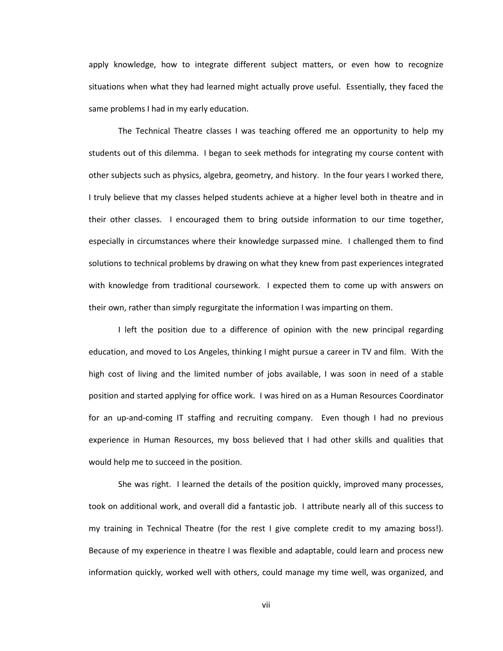apply knowledge, how to integrate different subject matters, or even how to recognize situations when what they had learned might actually prove useful. Essentially, they faced the same problems I had in my early education.

The Technical Theatre classes I was teaching offered me an opportunity to help my students out of this dilemma. I began to seek methods for integrating my course content with other subjects such as physics, algebra, geometry, and history. In the four years I worked there, I truly believe that my classes helped students achieve at a higher level both in theatre and in their other classes. I encouraged them to bring outside information to our time together, especially in circumstances where their knowledge surpassed mine. I challenged them to find solutions to technical problems by drawing on what they knew from past experiences integrated with knowledge from traditional coursework. I expected them to come up with answers on their own, rather than simply regurgitate the information I was imparting on them.

I left the position due to a difference of opinion with the new principal regarding education, and moved to Los Angeles, thinking I might pursue a career in TV and film. With the high cost of living and the limited number of jobs available, I was soon in need of a stable position and started applying for office work. I was hired on as a Human Resources Coordinator for an up-and-coming IT staffing and recruiting company. Even though I had no previous experience in Human Resources, my boss believed that I had other skills and qualities that would help me to succeed in the position.

She was right. I learned the details of the position quickly, improved many processes, took on additional work, and overall did a fantastic job. I attribute nearly all of this success to my training in Technical Theatre (for the rest I give complete credit to my amazing boss!). Because of my experience in theatre I was flexible and adaptable, could learn and process new information quickly, worked well with others, could manage my time well, was organized, and

vii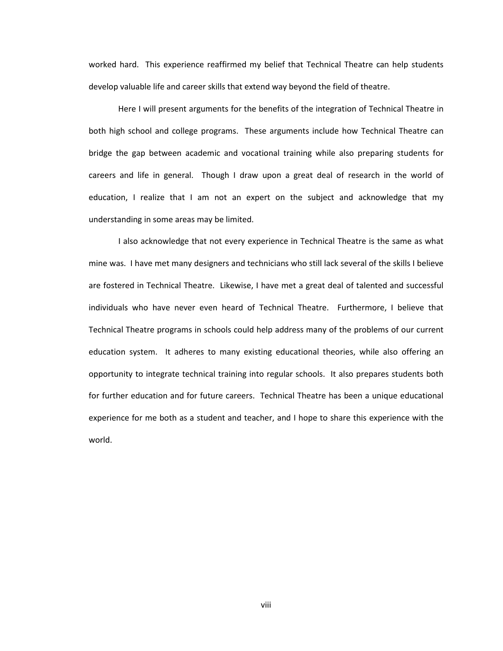worked hard. This experience reaffirmed my belief that Technical Theatre can help students develop valuable life and career skills that extend way beyond the field of theatre.

Here I will present arguments for the benefits of the integration of Technical Theatre in both high school and college programs. These arguments include how Technical Theatre can bridge the gap between academic and vocational training while also preparing students for careers and life in general. Though I draw upon a great deal of research in the world of education, I realize that I am not an expert on the subject and acknowledge that my understanding in some areas may be limited.

I also acknowledge that not every experience in Technical Theatre is the same as what mine was. I have met many designers and technicians who still lack several of the skills I believe are fostered in Technical Theatre. Likewise, I have met a great deal of talented and successful individuals who have never even heard of Technical Theatre. Furthermore, I believe that Technical Theatre programs in schools could help address many of the problems of our current education system. It adheres to many existing educational theories, while also offering an opportunity to integrate technical training into regular schools. It also prepares students both for further education and for future careers. Technical Theatre has been a unique educational experience for me both as a student and teacher, and I hope to share this experience with the world.

viii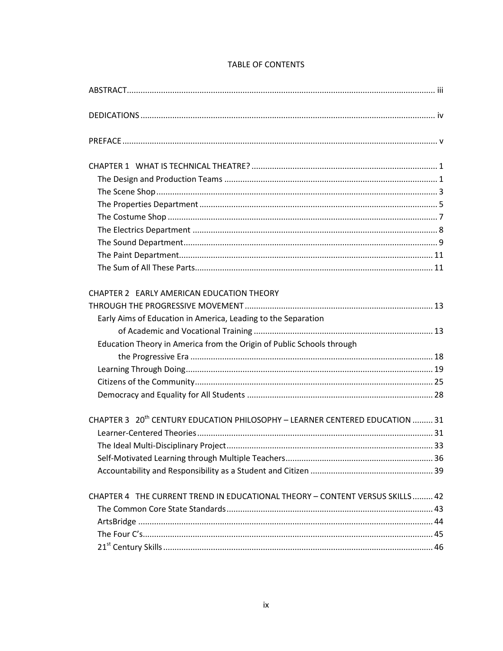| CHAPTER 2 EARLY AMERICAN EDUCATION THEORY                                                |  |
|------------------------------------------------------------------------------------------|--|
|                                                                                          |  |
| Early Aims of Education in America, Leading to the Separation                            |  |
|                                                                                          |  |
| Education Theory in America from the Origin of Public Schools through                    |  |
|                                                                                          |  |
|                                                                                          |  |
|                                                                                          |  |
|                                                                                          |  |
| CHAPTER 3 20 <sup>th</sup> CENTURY EDUCATION PHILOSOPHY - LEARNER CENTERED EDUCATION  31 |  |
|                                                                                          |  |
|                                                                                          |  |
|                                                                                          |  |
|                                                                                          |  |
| CHAPTER 4 THE CURRENT TREND IN EDUCATIONAL THEORY - CONTENT VERSUS SKILLS 42             |  |
|                                                                                          |  |
|                                                                                          |  |
|                                                                                          |  |
|                                                                                          |  |

### **TABLE OF CONTENTS**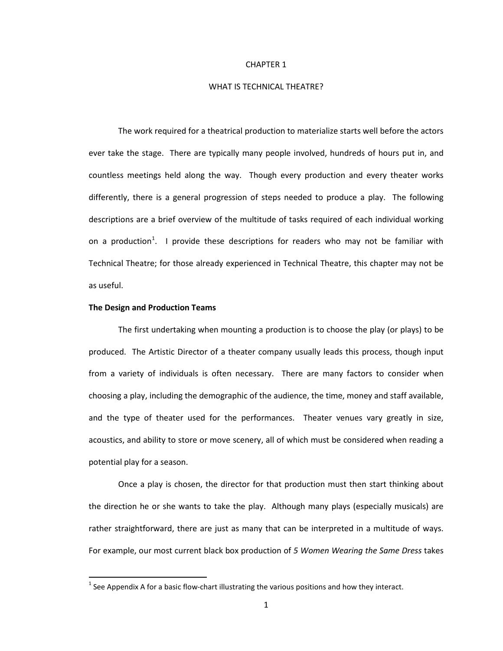#### CHAPTER 1

#### WHAT IS TECHNICAL THEATRE?

The work required for a theatrical production to materialize starts well before the actors ever take the stage. There are typically many people involved, hundreds of hours put in, and countless meetings held along the way. Though every production and every theater works differently, there is a general progression of steps needed to produce a play. The following descriptions are a brief overview of the multitude of tasks required of each individual working on a production<sup>[1](#page-12-0)</sup>. I provide these descriptions for readers who may not be familiar with Technical Theatre; for those already experienced in Technical Theatre, this chapter may not be as useful.

#### **The Design and Production Teams**

l

The first undertaking when mounting a production is to choose the play (or plays) to be produced. The Artistic Director of a theater company usually leads this process, though input from a variety of individuals is often necessary. There are many factors to consider when choosing a play, including the demographic of the audience, the time, money and staff available, and the type of theater used for the performances. Theater venues vary greatly in size, acoustics, and ability to store or move scenery, all of which must be considered when reading a potential play for a season.

Once a play is chosen, the director for that production must then start thinking about the direction he or she wants to take the play. Although many plays (especially musicals) are rather straightforward, there are just as many that can be interpreted in a multitude of ways. For example, our most current black box production of *5 Women Wearing the Same Dress* takes

<span id="page-12-0"></span> $<sup>1</sup>$  See Appendix A for a basic flow-chart illustrating the various positions and how they interact.</sup>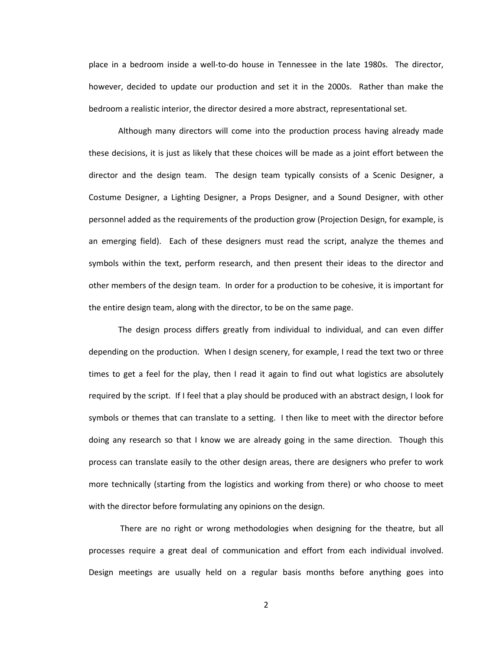place in a bedroom inside a well-to-do house in Tennessee in the late 1980s. The director, however, decided to update our production and set it in the 2000s. Rather than make the bedroom a realistic interior, the director desired a more abstract, representational set.

Although many directors will come into the production process having already made these decisions, it is just as likely that these choices will be made as a joint effort between the director and the design team. The design team typically consists of a Scenic Designer, a Costume Designer, a Lighting Designer, a Props Designer, and a Sound Designer, with other personnel added as the requirements of the production grow (Projection Design, for example, is an emerging field). Each of these designers must read the script, analyze the themes and symbols within the text, perform research, and then present their ideas to the director and other members of the design team. In order for a production to be cohesive, it is important for the entire design team, along with the director, to be on the same page.

The design process differs greatly from individual to individual, and can even differ depending on the production. When I design scenery, for example, I read the text two or three times to get a feel for the play, then I read it again to find out what logistics are absolutely required by the script. If I feel that a play should be produced with an abstract design, I look for symbols or themes that can translate to a setting. I then like to meet with the director before doing any research so that I know we are already going in the same direction. Though this process can translate easily to the other design areas, there are designers who prefer to work more technically (starting from the logistics and working from there) or who choose to meet with the director before formulating any opinions on the design.

There are no right or wrong methodologies when designing for the theatre, but all processes require a great deal of communication and effort from each individual involved. Design meetings are usually held on a regular basis months before anything goes into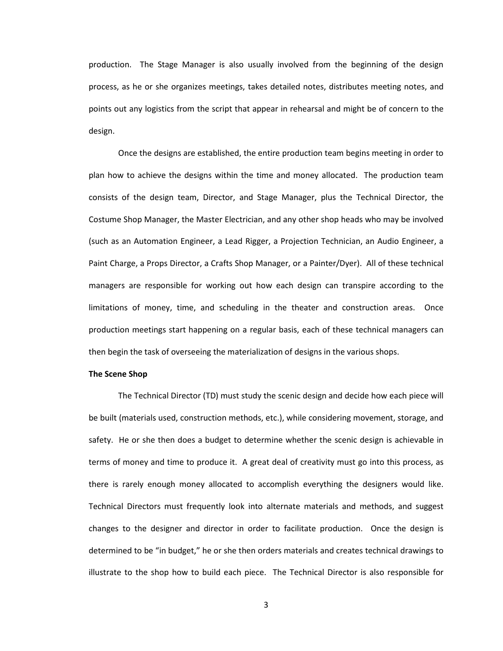production. The Stage Manager is also usually involved from the beginning of the design process, as he or she organizes meetings, takes detailed notes, distributes meeting notes, and points out any logistics from the script that appear in rehearsal and might be of concern to the design.

Once the designs are established, the entire production team begins meeting in order to plan how to achieve the designs within the time and money allocated. The production team consists of the design team, Director, and Stage Manager, plus the Technical Director, the Costume Shop Manager, the Master Electrician, and any other shop heads who may be involved (such as an Automation Engineer, a Lead Rigger, a Projection Technician, an Audio Engineer, a Paint Charge, a Props Director, a Crafts Shop Manager, or a Painter/Dyer). All of these technical managers are responsible for working out how each design can transpire according to the limitations of money, time, and scheduling in the theater and construction areas. Once production meetings start happening on a regular basis, each of these technical managers can then begin the task of overseeing the materialization of designs in the various shops.

#### **The Scene Shop**

The Technical Director (TD) must study the scenic design and decide how each piece will be built (materials used, construction methods, etc.), while considering movement, storage, and safety. He or she then does a budget to determine whether the scenic design is achievable in terms of money and time to produce it. A great deal of creativity must go into this process, as there is rarely enough money allocated to accomplish everything the designers would like. Technical Directors must frequently look into alternate materials and methods, and suggest changes to the designer and director in order to facilitate production. Once the design is determined to be "in budget," he or she then orders materials and creates technical drawings to illustrate to the shop how to build each piece. The Technical Director is also responsible for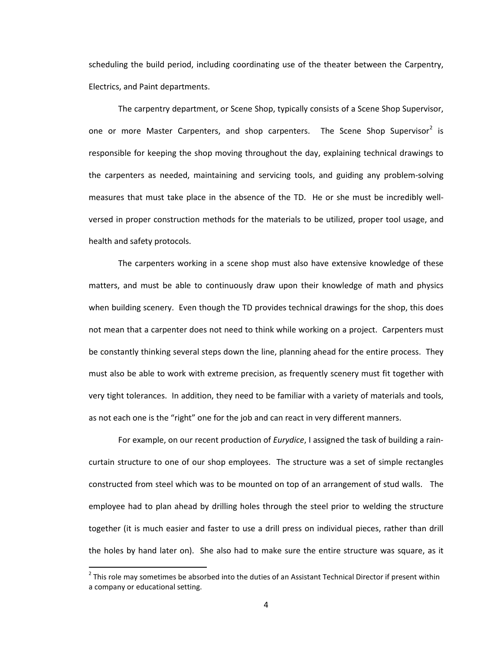scheduling the build period, including coordinating use of the theater between the Carpentry, Electrics, and Paint departments.

The carpentry department, or Scene Shop, typically consists of a Scene Shop Supervisor, one or more Master Carpenters, and shop carpenters. The Scene Shop Supervisor<sup>[2](#page-15-0)</sup> is responsible for keeping the shop moving throughout the day, explaining technical drawings to the carpenters as needed, maintaining and servicing tools, and guiding any problem-solving measures that must take place in the absence of the TD. He or she must be incredibly wellversed in proper construction methods for the materials to be utilized, proper tool usage, and health and safety protocols.

The carpenters working in a scene shop must also have extensive knowledge of these matters, and must be able to continuously draw upon their knowledge of math and physics when building scenery. Even though the TD provides technical drawings for the shop, this does not mean that a carpenter does not need to think while working on a project. Carpenters must be constantly thinking several steps down the line, planning ahead for the entire process. They must also be able to work with extreme precision, as frequently scenery must fit together with very tight tolerances. In addition, they need to be familiar with a variety of materials and tools, as not each one is the "right" one for the job and can react in very different manners.

For example, on our recent production of *Eurydice*, I assigned the task of building a raincurtain structure to one of our shop employees. The structure was a set of simple rectangles constructed from steel which was to be mounted on top of an arrangement of stud walls. The employee had to plan ahead by drilling holes through the steel prior to welding the structure together (it is much easier and faster to use a drill press on individual pieces, rather than drill the holes by hand later on). She also had to make sure the entire structure was square, as it

 $\overline{\phantom{a}}$ 

<span id="page-15-0"></span> $2$  This role may sometimes be absorbed into the duties of an Assistant Technical Director if present within a company or educational setting.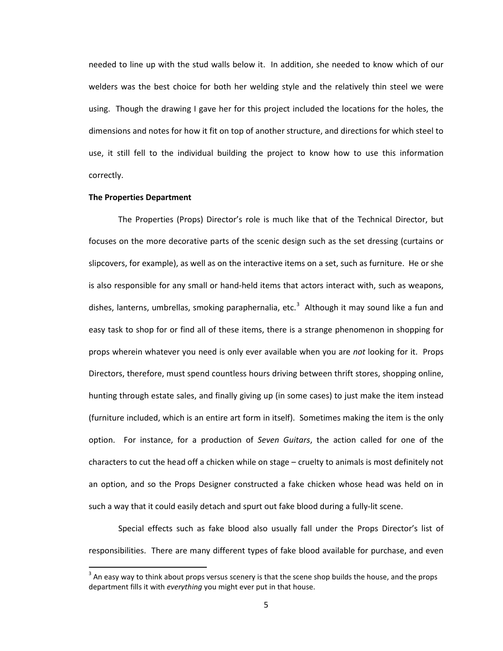needed to line up with the stud walls below it. In addition, she needed to know which of our welders was the best choice for both her welding style and the relatively thin steel we were using. Though the drawing I gave her for this project included the locations for the holes, the dimensions and notes for how it fit on top of another structure, and directions for which steel to use, it still fell to the individual building the project to know how to use this information correctly.

#### **The Properties Department**

 $\overline{\phantom{a}}$ 

The Properties (Props) Director's role is much like that of the Technical Director, but focuses on the more decorative parts of the scenic design such as the set dressing (curtains or slipcovers, for example), as well as on the interactive items on a set, such as furniture. He or she is also responsible for any small or hand-held items that actors interact with, such as weapons, dishes, lanterns, umbrellas, smoking paraphernalia, etc.<sup>[3](#page-16-0)</sup> Although it may sound like a fun and easy task to shop for or find all of these items, there is a strange phenomenon in shopping for props wherein whatever you need is only ever available when you are *not* looking for it. Props Directors, therefore, must spend countless hours driving between thrift stores, shopping online, hunting through estate sales, and finally giving up (in some cases) to just make the item instead (furniture included, which is an entire art form in itself). Sometimes making the item is the only option. For instance, for a production of *Seven Guitars*, the action called for one of the characters to cut the head off a chicken while on stage – cruelty to animals is most definitely not an option, and so the Props Designer constructed a fake chicken whose head was held on in such a way that it could easily detach and spurt out fake blood during a fully-lit scene.

Special effects such as fake blood also usually fall under the Props Director's list of responsibilities. There are many different types of fake blood available for purchase, and even

<span id="page-16-0"></span> $3$  An easy way to think about props versus scenery is that the scene shop builds the house, and the props department fills it with *everything* you might ever put in that house.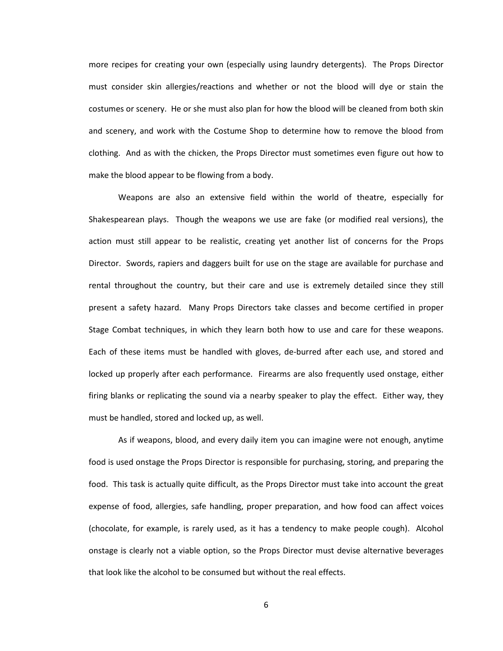more recipes for creating your own (especially using laundry detergents). The Props Director must consider skin allergies/reactions and whether or not the blood will dye or stain the costumes or scenery. He or she must also plan for how the blood will be cleaned from both skin and scenery, and work with the Costume Shop to determine how to remove the blood from clothing. And as with the chicken, the Props Director must sometimes even figure out how to make the blood appear to be flowing from a body.

Weapons are also an extensive field within the world of theatre, especially for Shakespearean plays. Though the weapons we use are fake (or modified real versions), the action must still appear to be realistic, creating yet another list of concerns for the Props Director. Swords, rapiers and daggers built for use on the stage are available for purchase and rental throughout the country, but their care and use is extremely detailed since they still present a safety hazard. Many Props Directors take classes and become certified in proper Stage Combat techniques, in which they learn both how to use and care for these weapons. Each of these items must be handled with gloves, de-burred after each use, and stored and locked up properly after each performance. Firearms are also frequently used onstage, either firing blanks or replicating the sound via a nearby speaker to play the effect. Either way, they must be handled, stored and locked up, as well.

As if weapons, blood, and every daily item you can imagine were not enough, anytime food is used onstage the Props Director is responsible for purchasing, storing, and preparing the food. This task is actually quite difficult, as the Props Director must take into account the great expense of food, allergies, safe handling, proper preparation, and how food can affect voices (chocolate, for example, is rarely used, as it has a tendency to make people cough). Alcohol onstage is clearly not a viable option, so the Props Director must devise alternative beverages that look like the alcohol to be consumed but without the real effects.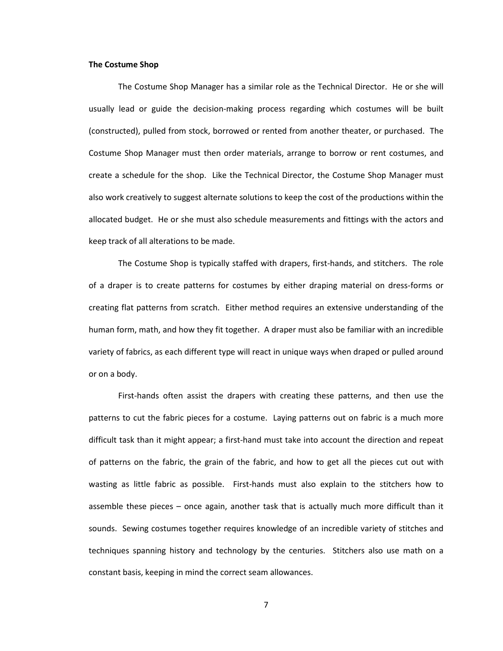#### **The Costume Shop**

The Costume Shop Manager has a similar role as the Technical Director. He or she will usually lead or guide the decision-making process regarding which costumes will be built (constructed), pulled from stock, borrowed or rented from another theater, or purchased. The Costume Shop Manager must then order materials, arrange to borrow or rent costumes, and create a schedule for the shop. Like the Technical Director, the Costume Shop Manager must also work creatively to suggest alternate solutions to keep the cost of the productions within the allocated budget. He or she must also schedule measurements and fittings with the actors and keep track of all alterations to be made.

The Costume Shop is typically staffed with drapers, first-hands, and stitchers. The role of a draper is to create patterns for costumes by either draping material on dress-forms or creating flat patterns from scratch. Either method requires an extensive understanding of the human form, math, and how they fit together. A draper must also be familiar with an incredible variety of fabrics, as each different type will react in unique ways when draped or pulled around or on a body.

First-hands often assist the drapers with creating these patterns, and then use the patterns to cut the fabric pieces for a costume. Laying patterns out on fabric is a much more difficult task than it might appear; a first-hand must take into account the direction and repeat of patterns on the fabric, the grain of the fabric, and how to get all the pieces cut out with wasting as little fabric as possible. First-hands must also explain to the stitchers how to assemble these pieces – once again, another task that is actually much more difficult than it sounds. Sewing costumes together requires knowledge of an incredible variety of stitches and techniques spanning history and technology by the centuries. Stitchers also use math on a constant basis, keeping in mind the correct seam allowances.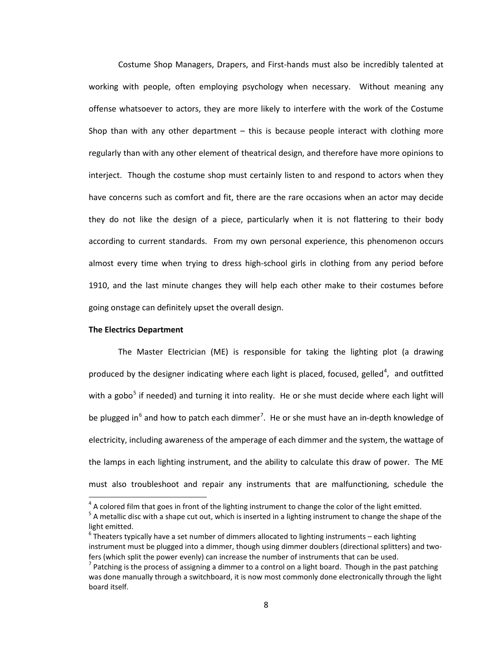Costume Shop Managers, Drapers, and First-hands must also be incredibly talented at working with people, often employing psychology when necessary. Without meaning any offense whatsoever to actors, they are more likely to interfere with the work of the Costume Shop than with any other department  $-$  this is because people interact with clothing more regularly than with any other element of theatrical design, and therefore have more opinions to interject. Though the costume shop must certainly listen to and respond to actors when they have concerns such as comfort and fit, there are the rare occasions when an actor may decide they do not like the design of a piece, particularly when it is not flattering to their body according to current standards. From my own personal experience, this phenomenon occurs almost every time when trying to dress high-school girls in clothing from any period before 1910, and the last minute changes they will help each other make to their costumes before going onstage can definitely upset the overall design.

#### **The Electrics Department**

 $\overline{\phantom{a}}$ 

The Master Electrician (ME) is responsible for taking the lighting plot (a drawing produced by the designer indicating where each light is placed, focused, gelled<sup>[4](#page-19-0)</sup>, and outfitted with a gobo<sup>[5](#page-19-1)</sup> if needed) and turning it into reality. He or she must decide where each light will be plugged in<sup>[6](#page-19-2)</sup> and how to patch each dimmer<sup>[7](#page-19-3)</sup>. He or she must have an in-depth knowledge of electricity, including awareness of the amperage of each dimmer and the system, the wattage of the lamps in each lighting instrument, and the ability to calculate this draw of power. The ME must also troubleshoot and repair any instruments that are malfunctioning, schedule the

<span id="page-19-1"></span><span id="page-19-0"></span><sup>&</sup>lt;sup>4</sup> A colored film that goes in front of the lighting instrument to change the color of the light emitted.<br><sup>5</sup> A metallic disc with a shape cut out, which is inserted in a lighting instrument to change the shape of the light emitted.

<span id="page-19-2"></span> $^6$  Theaters typically have a set number of dimmers allocated to lighting instruments – each lighting instrument must be plugged into a dimmer, though using dimmer doublers (directional splitters) and twofers (which split the power evenly) can increase the number of instruments that can be used.

<span id="page-19-3"></span> $<sup>7</sup>$  Patching is the process of assigning a dimmer to a control on a light board. Though in the past patching</sup> was done manually through a switchboard, it is now most commonly done electronically through the light board itself.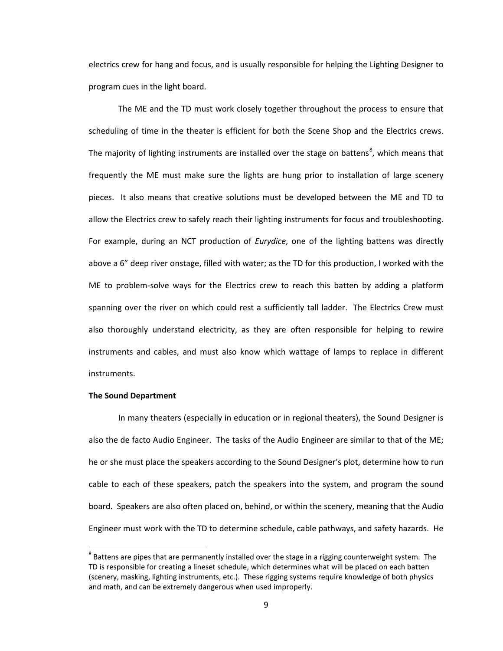electrics crew for hang and focus, and is usually responsible for helping the Lighting Designer to program cues in the light board.

The ME and the TD must work closely together throughout the process to ensure that scheduling of time in the theater is efficient for both the Scene Shop and the Electrics crews. The majority of lighting instruments are installed over the stage on battens<sup>[8](#page-20-0)</sup>, which means that frequently the ME must make sure the lights are hung prior to installation of large scenery pieces. It also means that creative solutions must be developed between the ME and TD to allow the Electrics crew to safely reach their lighting instruments for focus and troubleshooting. For example, during an NCT production of *Eurydice*, one of the lighting battens was directly above a 6" deep river onstage, filled with water; as the TD for this production, I worked with the ME to problem-solve ways for the Electrics crew to reach this batten by adding a platform spanning over the river on which could rest a sufficiently tall ladder. The Electrics Crew must also thoroughly understand electricity, as they are often responsible for helping to rewire instruments and cables, and must also know which wattage of lamps to replace in different instruments.

#### **The Sound Department**

 $\overline{\phantom{a}}$ 

In many theaters (especially in education or in regional theaters), the Sound Designer is also the de facto Audio Engineer. The tasks of the Audio Engineer are similar to that of the ME; he or she must place the speakers according to the Sound Designer's plot, determine how to run cable to each of these speakers, patch the speakers into the system, and program the sound board. Speakers are also often placed on, behind, or within the scenery, meaning that the Audio Engineer must work with the TD to determine schedule, cable pathways, and safety hazards. He

<span id="page-20-0"></span> $8$  Battens are pipes that are permanently installed over the stage in a rigging counterweight system. The TD is responsible for creating a lineset schedule, which determines what will be placed on each batten (scenery, masking, lighting instruments, etc.). These rigging systems require knowledge of both physics and math, and can be extremely dangerous when used improperly.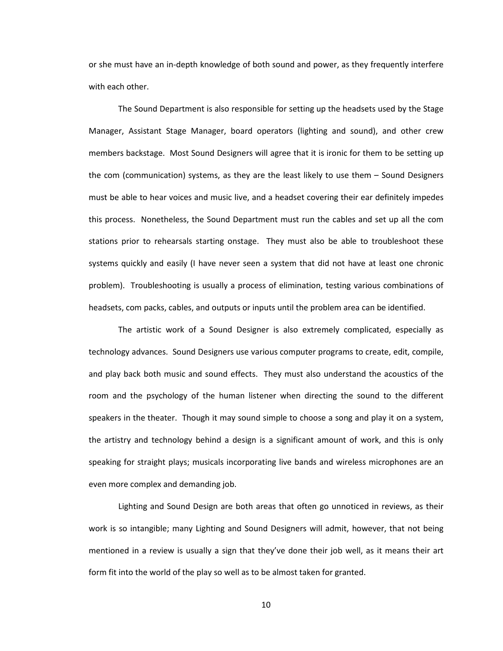or she must have an in-depth knowledge of both sound and power, as they frequently interfere with each other.

The Sound Department is also responsible for setting up the headsets used by the Stage Manager, Assistant Stage Manager, board operators (lighting and sound), and other crew members backstage. Most Sound Designers will agree that it is ironic for them to be setting up the com (communication) systems, as they are the least likely to use them – Sound Designers must be able to hear voices and music live, and a headset covering their ear definitely impedes this process. Nonetheless, the Sound Department must run the cables and set up all the com stations prior to rehearsals starting onstage. They must also be able to troubleshoot these systems quickly and easily (I have never seen a system that did not have at least one chronic problem). Troubleshooting is usually a process of elimination, testing various combinations of headsets, com packs, cables, and outputs or inputs until the problem area can be identified.

The artistic work of a Sound Designer is also extremely complicated, especially as technology advances. Sound Designers use various computer programs to create, edit, compile, and play back both music and sound effects. They must also understand the acoustics of the room and the psychology of the human listener when directing the sound to the different speakers in the theater. Though it may sound simple to choose a song and play it on a system, the artistry and technology behind a design is a significant amount of work, and this is only speaking for straight plays; musicals incorporating live bands and wireless microphones are an even more complex and demanding job.

Lighting and Sound Design are both areas that often go unnoticed in reviews, as their work is so intangible; many Lighting and Sound Designers will admit, however, that not being mentioned in a review is usually a sign that they've done their job well, as it means their art form fit into the world of the play so well as to be almost taken for granted.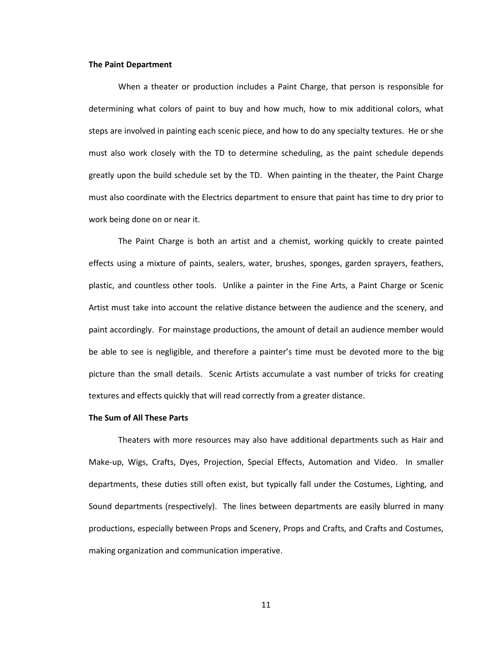#### **The Paint Department**

When a theater or production includes a Paint Charge, that person is responsible for determining what colors of paint to buy and how much, how to mix additional colors, what steps are involved in painting each scenic piece, and how to do any specialty textures. He or she must also work closely with the TD to determine scheduling, as the paint schedule depends greatly upon the build schedule set by the TD. When painting in the theater, the Paint Charge must also coordinate with the Electrics department to ensure that paint has time to dry prior to work being done on or near it.

The Paint Charge is both an artist and a chemist, working quickly to create painted effects using a mixture of paints, sealers, water, brushes, sponges, garden sprayers, feathers, plastic, and countless other tools. Unlike a painter in the Fine Arts, a Paint Charge or Scenic Artist must take into account the relative distance between the audience and the scenery, and paint accordingly. For mainstage productions, the amount of detail an audience member would be able to see is negligible, and therefore a painter's time must be devoted more to the big picture than the small details. Scenic Artists accumulate a vast number of tricks for creating textures and effects quickly that will read correctly from a greater distance.

#### **The Sum of All These Parts**

Theaters with more resources may also have additional departments such as Hair and Make-up, Wigs, Crafts, Dyes, Projection, Special Effects, Automation and Video. In smaller departments, these duties still often exist, but typically fall under the Costumes, Lighting, and Sound departments (respectively). The lines between departments are easily blurred in many productions, especially between Props and Scenery, Props and Crafts, and Crafts and Costumes, making organization and communication imperative.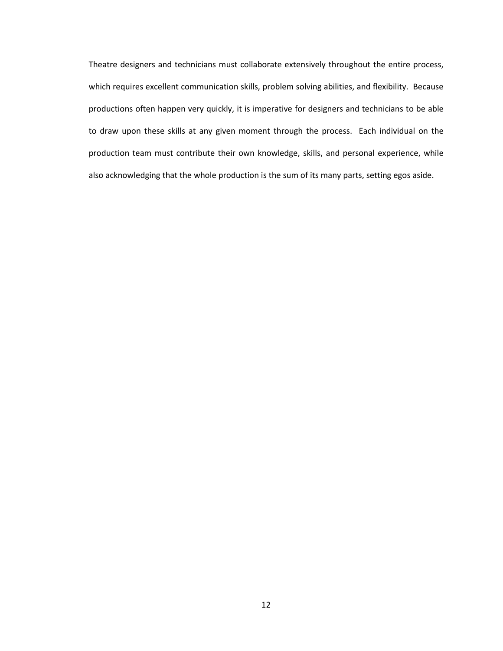Theatre designers and technicians must collaborate extensively throughout the entire process, which requires excellent communication skills, problem solving abilities, and flexibility. Because productions often happen very quickly, it is imperative for designers and technicians to be able to draw upon these skills at any given moment through the process. Each individual on the production team must contribute their own knowledge, skills, and personal experience, while also acknowledging that the whole production is the sum of its many parts, setting egos aside.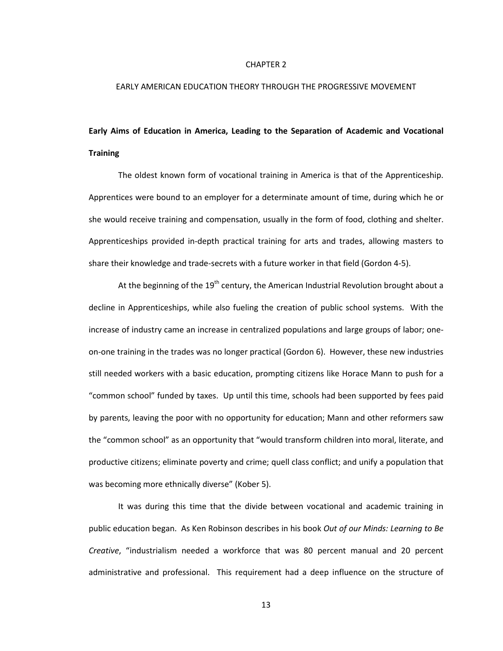#### CHAPTER 2

#### EARLY AMERICAN EDUCATION THEORY THROUGH THE PROGRESSIVE MOVEMENT

# **Early Aims of Education in America, Leading to the Separation of Academic and Vocational Training**

The oldest known form of vocational training in America is that of the Apprenticeship. Apprentices were bound to an employer for a determinate amount of time, during which he or she would receive training and compensation, usually in the form of food, clothing and shelter. Apprenticeships provided in-depth practical training for arts and trades, allowing masters to share their knowledge and trade-secrets with a future worker in that field (Gordon 4-5).

At the beginning of the  $19<sup>th</sup>$  century, the American Industrial Revolution brought about a decline in Apprenticeships, while also fueling the creation of public school systems. With the increase of industry came an increase in centralized populations and large groups of labor; oneon-one training in the trades was no longer practical (Gordon 6). However, these new industries still needed workers with a basic education, prompting citizens like Horace Mann to push for a "common school" funded by taxes. Up until this time, schools had been supported by fees paid by parents, leaving the poor with no opportunity for education; Mann and other reformers saw the "common school" as an opportunity that "would transform children into moral, literate, and productive citizens; eliminate poverty and crime; quell class conflict; and unify a population that was becoming more ethnically diverse" (Kober 5).

It was during this time that the divide between vocational and academic training in public education began. As Ken Robinson describes in his book *Out of our Minds: Learning to Be Creative*, "industrialism needed a workforce that was 80 percent manual and 20 percent administrative and professional. This requirement had a deep influence on the structure of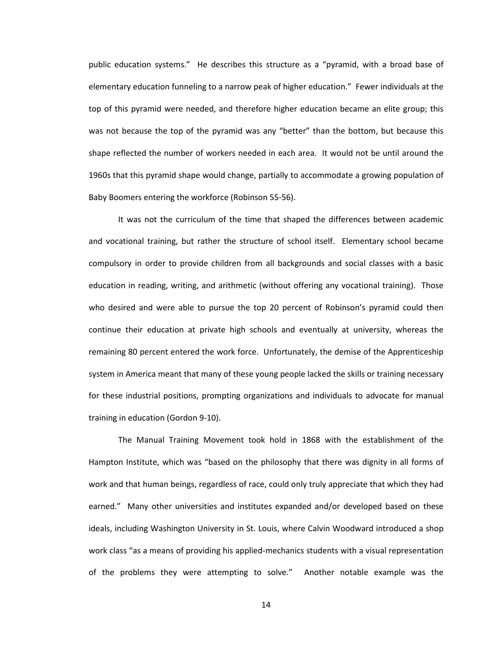public education systems." He describes this structure as a "pyramid, with a broad base of elementary education funneling to a narrow peak of higher education." Fewer individuals at the top of this pyramid were needed, and therefore higher education became an elite group; this was not because the top of the pyramid was any "better" than the bottom, but because this shape reflected the number of workers needed in each area. It would not be until around the 1960s that this pyramid shape would change, partially to accommodate a growing population of Baby Boomers entering the workforce (Robinson 55-56).

It was not the curriculum of the time that shaped the differences between academic and vocational training, but rather the structure of school itself. Elementary school became compulsory in order to provide children from all backgrounds and social classes with a basic education in reading, writing, and arithmetic (without offering any vocational training). Those who desired and were able to pursue the top 20 percent of Robinson's pyramid could then continue their education at private high schools and eventually at university, whereas the remaining 80 percent entered the work force. Unfortunately, the demise of the Apprenticeship system in America meant that many of these young people lacked the skills or training necessary for these industrial positions, prompting organizations and individuals to advocate for manual training in education (Gordon 9-10).

The Manual Training Movement took hold in 1868 with the establishment of the Hampton Institute, which was "based on the philosophy that there was dignity in all forms of work and that human beings, regardless of race, could only truly appreciate that which they had earned." Many other universities and institutes expanded and/or developed based on these ideals, including Washington University in St. Louis, where Calvin Woodward introduced a shop work class "as a means of providing his applied-mechanics students with a visual representation of the problems they were attempting to solve." Another notable example was the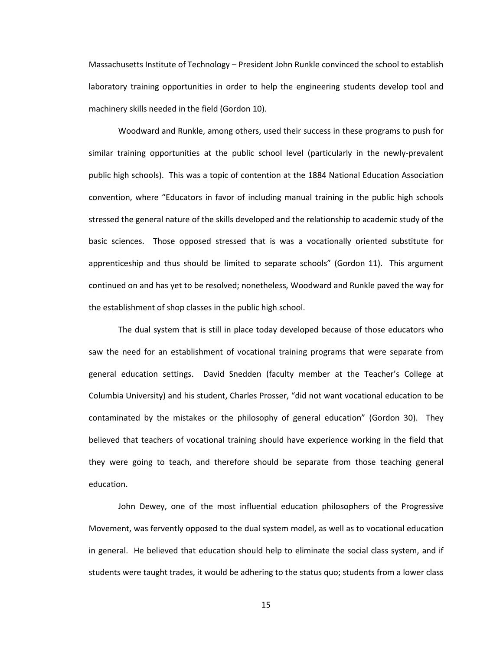Massachusetts Institute of Technology – President John Runkle convinced the school to establish laboratory training opportunities in order to help the engineering students develop tool and machinery skills needed in the field (Gordon 10).

Woodward and Runkle, among others, used their success in these programs to push for similar training opportunities at the public school level (particularly in the newly-prevalent public high schools). This was a topic of contention at the 1884 National Education Association convention, where "Educators in favor of including manual training in the public high schools stressed the general nature of the skills developed and the relationship to academic study of the basic sciences. Those opposed stressed that is was a vocationally oriented substitute for apprenticeship and thus should be limited to separate schools" (Gordon 11). This argument continued on and has yet to be resolved; nonetheless, Woodward and Runkle paved the way for the establishment of shop classes in the public high school.

The dual system that is still in place today developed because of those educators who saw the need for an establishment of vocational training programs that were separate from general education settings. David Snedden (faculty member at the Teacher's College at Columbia University) and his student, Charles Prosser, "did not want vocational education to be contaminated by the mistakes or the philosophy of general education" (Gordon 30). They believed that teachers of vocational training should have experience working in the field that they were going to teach, and therefore should be separate from those teaching general education.

John Dewey, one of the most influential education philosophers of the Progressive Movement, was fervently opposed to the dual system model, as well as to vocational education in general. He believed that education should help to eliminate the social class system, and if students were taught trades, it would be adhering to the status quo; students from a lower class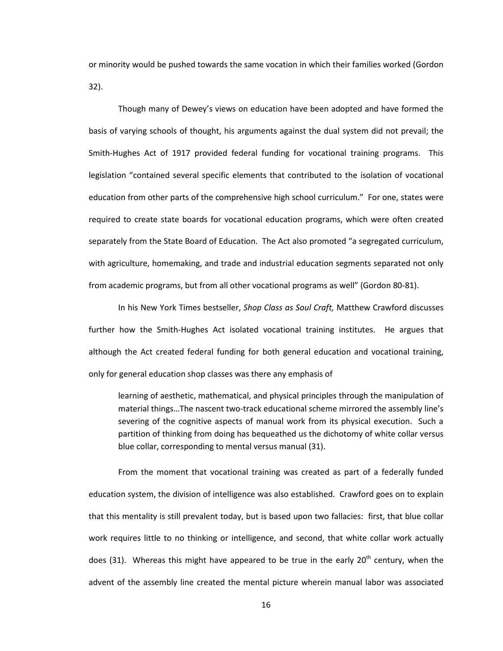or minority would be pushed towards the same vocation in which their families worked (Gordon 32).

Though many of Dewey's views on education have been adopted and have formed the basis of varying schools of thought, his arguments against the dual system did not prevail; the Smith-Hughes Act of 1917 provided federal funding for vocational training programs. This legislation "contained several specific elements that contributed to the isolation of vocational education from other parts of the comprehensive high school curriculum." For one, states were required to create state boards for vocational education programs, which were often created separately from the State Board of Education. The Act also promoted "a segregated curriculum, with agriculture, homemaking, and trade and industrial education segments separated not only from academic programs, but from all other vocational programs as well" (Gordon 80-81).

In his New York Times bestseller, *Shop Class as Soul Craft,* Matthew Crawford discusses further how the Smith-Hughes Act isolated vocational training institutes. He argues that although the Act created federal funding for both general education and vocational training, only for general education shop classes was there any emphasis of

learning of aesthetic, mathematical, and physical principles through the manipulation of material things…The nascent two-track educational scheme mirrored the assembly line's severing of the cognitive aspects of manual work from its physical execution. Such a partition of thinking from doing has bequeathed us the dichotomy of white collar versus blue collar, corresponding to mental versus manual (31).

From the moment that vocational training was created as part of a federally funded education system, the division of intelligence was also established. Crawford goes on to explain that this mentality is still prevalent today, but is based upon two fallacies: first, that blue collar work requires little to no thinking or intelligence, and second, that white collar work actually does (31). Whereas this might have appeared to be true in the early  $20<sup>th</sup>$  century, when the advent of the assembly line created the mental picture wherein manual labor was associated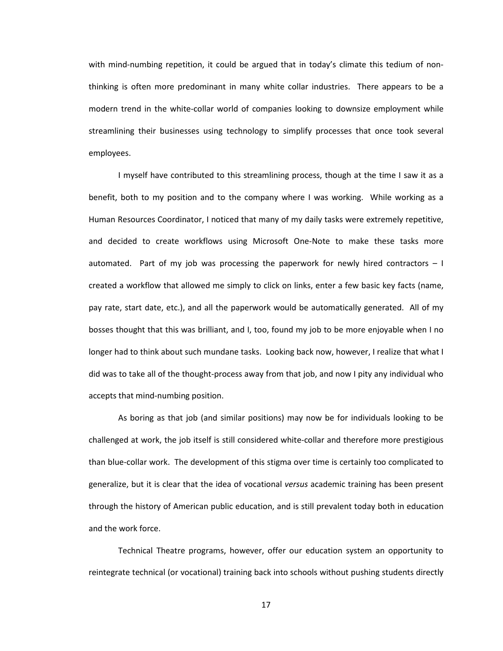with mind-numbing repetition, it could be argued that in today's climate this tedium of nonthinking is often more predominant in many white collar industries. There appears to be a modern trend in the white-collar world of companies looking to downsize employment while streamlining their businesses using technology to simplify processes that once took several employees.

I myself have contributed to this streamlining process, though at the time I saw it as a benefit, both to my position and to the company where I was working. While working as a Human Resources Coordinator, I noticed that many of my daily tasks were extremely repetitive, and decided to create workflows using Microsoft One-Note to make these tasks more automated. Part of my job was processing the paperwork for newly hired contractors  $-1$ created a workflow that allowed me simply to click on links, enter a few basic key facts (name, pay rate, start date, etc.), and all the paperwork would be automatically generated. All of my bosses thought that this was brilliant, and I, too, found my job to be more enjoyable when I no longer had to think about such mundane tasks. Looking back now, however, I realize that what I did was to take all of the thought-process away from that job, and now I pity any individual who accepts that mind-numbing position.

As boring as that job (and similar positions) may now be for individuals looking to be challenged at work, the job itself is still considered white-collar and therefore more prestigious than blue-collar work. The development of this stigma over time is certainly too complicated to generalize, but it is clear that the idea of vocational *versus* academic training has been present through the history of American public education, and is still prevalent today both in education and the work force.

Technical Theatre programs, however, offer our education system an opportunity to reintegrate technical (or vocational) training back into schools without pushing students directly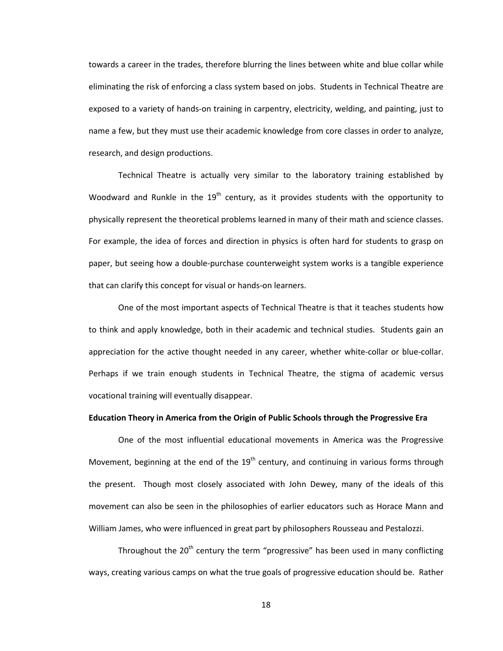towards a career in the trades, therefore blurring the lines between white and blue collar while eliminating the risk of enforcing a class system based on jobs. Students in Technical Theatre are exposed to a variety of hands-on training in carpentry, electricity, welding, and painting, just to name a few, but they must use their academic knowledge from core classes in order to analyze, research, and design productions.

Technical Theatre is actually very similar to the laboratory training established by Woodward and Runkle in the  $19<sup>th</sup>$  century, as it provides students with the opportunity to physically represent the theoretical problems learned in many of their math and science classes. For example, the idea of forces and direction in physics is often hard for students to grasp on paper, but seeing how a double-purchase counterweight system works is a tangible experience that can clarify this concept for visual or hands-on learners.

One of the most important aspects of Technical Theatre is that it teaches students how to think and apply knowledge, both in their academic and technical studies. Students gain an appreciation for the active thought needed in any career, whether white-collar or blue-collar. Perhaps if we train enough students in Technical Theatre, the stigma of academic versus vocational training will eventually disappear.

#### **Education Theory in America from the Origin of Public Schools through the Progressive Era**

One of the most influential educational movements in America was the Progressive Movement, beginning at the end of the  $19<sup>th</sup>$  century, and continuing in various forms through the present. Though most closely associated with John Dewey, many of the ideals of this movement can also be seen in the philosophies of earlier educators such as Horace Mann and William James, who were influenced in great part by philosophers Rousseau and Pestalozzi.

Throughout the  $20<sup>th</sup>$  century the term "progressive" has been used in many conflicting ways, creating various camps on what the true goals of progressive education should be. Rather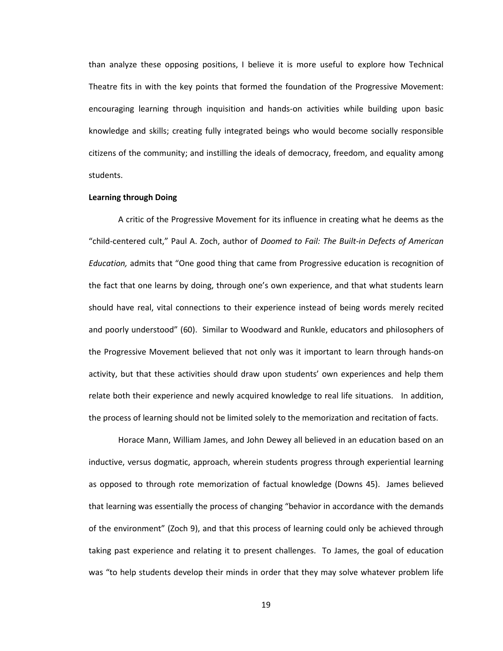than analyze these opposing positions, I believe it is more useful to explore how Technical Theatre fits in with the key points that formed the foundation of the Progressive Movement: encouraging learning through inquisition and hands-on activities while building upon basic knowledge and skills; creating fully integrated beings who would become socially responsible citizens of the community; and instilling the ideals of democracy, freedom, and equality among students.

#### **Learning through Doing**

A critic of the Progressive Movement for its influence in creating what he deems as the "child-centered cult," Paul A. Zoch, author of *Doomed to Fail: The Built-in Defects of American Education,* admits that "One good thing that came from Progressive education is recognition of the fact that one learns by doing, through one's own experience, and that what students learn should have real, vital connections to their experience instead of being words merely recited and poorly understood" (60). Similar to Woodward and Runkle, educators and philosophers of the Progressive Movement believed that not only was it important to learn through hands-on activity, but that these activities should draw upon students' own experiences and help them relate both their experience and newly acquired knowledge to real life situations. In addition, the process of learning should not be limited solely to the memorization and recitation of facts.

Horace Mann, William James, and John Dewey all believed in an education based on an inductive, versus dogmatic, approach, wherein students progress through experiential learning as opposed to through rote memorization of factual knowledge (Downs 45). James believed that learning was essentially the process of changing "behavior in accordance with the demands of the environment" (Zoch 9), and that this process of learning could only be achieved through taking past experience and relating it to present challenges. To James, the goal of education was "to help students develop their minds in order that they may solve whatever problem life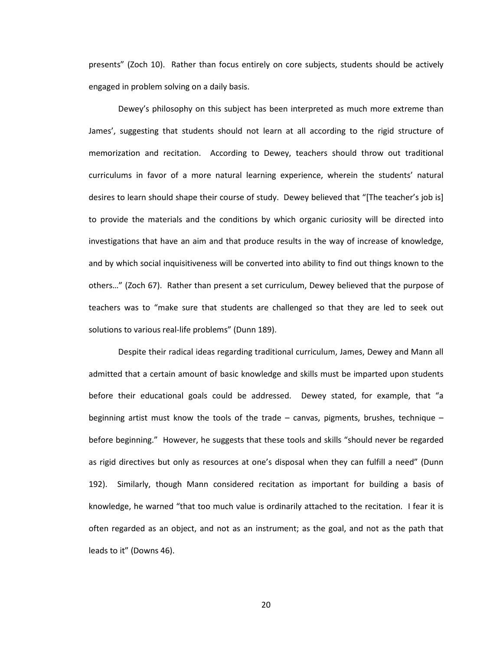presents" (Zoch 10). Rather than focus entirely on core subjects, students should be actively engaged in problem solving on a daily basis.

Dewey's philosophy on this subject has been interpreted as much more extreme than James', suggesting that students should not learn at all according to the rigid structure of memorization and recitation. According to Dewey, teachers should throw out traditional curriculums in favor of a more natural learning experience, wherein the students' natural desires to learn should shape their course of study. Dewey believed that "[The teacher's job is] to provide the materials and the conditions by which organic curiosity will be directed into investigations that have an aim and that produce results in the way of increase of knowledge, and by which social inquisitiveness will be converted into ability to find out things known to the others…" (Zoch 67). Rather than present a set curriculum, Dewey believed that the purpose of teachers was to "make sure that students are challenged so that they are led to seek out solutions to various real-life problems" (Dunn 189).

Despite their radical ideas regarding traditional curriculum, James, Dewey and Mann all admitted that a certain amount of basic knowledge and skills must be imparted upon students before their educational goals could be addressed. Dewey stated, for example, that "a beginning artist must know the tools of the trade – canvas, pigments, brushes, technique – before beginning." However, he suggests that these tools and skills "should never be regarded as rigid directives but only as resources at one's disposal when they can fulfill a need" (Dunn 192). Similarly, though Mann considered recitation as important for building a basis of knowledge, he warned "that too much value is ordinarily attached to the recitation. I fear it is often regarded as an object, and not as an instrument; as the goal, and not as the path that leads to it" (Downs 46).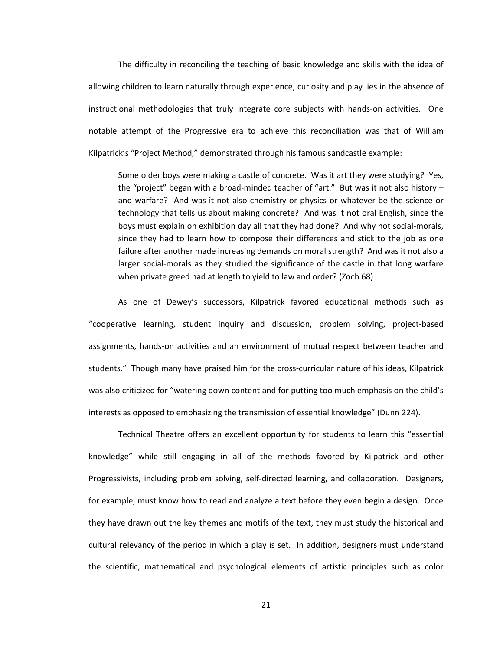The difficulty in reconciling the teaching of basic knowledge and skills with the idea of allowing children to learn naturally through experience, curiosity and play lies in the absence of instructional methodologies that truly integrate core subjects with hands-on activities. One notable attempt of the Progressive era to achieve this reconciliation was that of William Kilpatrick's "Project Method," demonstrated through his famous sandcastle example:

Some older boys were making a castle of concrete. Was it art they were studying? Yes, the "project" began with a broad-minded teacher of "art." But was it not also history – and warfare? And was it not also chemistry or physics or whatever be the science or technology that tells us about making concrete? And was it not oral English, since the boys must explain on exhibition day all that they had done? And why not social-morals, since they had to learn how to compose their differences and stick to the job as one failure after another made increasing demands on moral strength? And was it not also a larger social-morals as they studied the significance of the castle in that long warfare when private greed had at length to yield to law and order? (Zoch 68)

As one of Dewey's successors, Kilpatrick favored educational methods such as "cooperative learning, student inquiry and discussion, problem solving, project-based assignments, hands-on activities and an environment of mutual respect between teacher and students." Though many have praised him for the cross-curricular nature of his ideas, Kilpatrick was also criticized for "watering down content and for putting too much emphasis on the child's interests as opposed to emphasizing the transmission of essential knowledge" (Dunn 224).

Technical Theatre offers an excellent opportunity for students to learn this "essential knowledge" while still engaging in all of the methods favored by Kilpatrick and other Progressivists, including problem solving, self-directed learning, and collaboration. Designers, for example, must know how to read and analyze a text before they even begin a design. Once they have drawn out the key themes and motifs of the text, they must study the historical and cultural relevancy of the period in which a play is set. In addition, designers must understand the scientific, mathematical and psychological elements of artistic principles such as color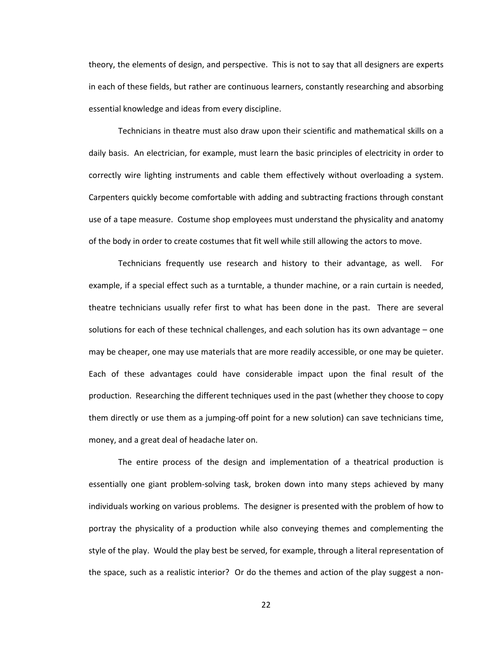theory, the elements of design, and perspective. This is not to say that all designers are experts in each of these fields, but rather are continuous learners, constantly researching and absorbing essential knowledge and ideas from every discipline.

Technicians in theatre must also draw upon their scientific and mathematical skills on a daily basis. An electrician, for example, must learn the basic principles of electricity in order to correctly wire lighting instruments and cable them effectively without overloading a system. Carpenters quickly become comfortable with adding and subtracting fractions through constant use of a tape measure. Costume shop employees must understand the physicality and anatomy of the body in order to create costumes that fit well while still allowing the actors to move.

Technicians frequently use research and history to their advantage, as well. For example, if a special effect such as a turntable, a thunder machine, or a rain curtain is needed, theatre technicians usually refer first to what has been done in the past. There are several solutions for each of these technical challenges, and each solution has its own advantage – one may be cheaper, one may use materials that are more readily accessible, or one may be quieter. Each of these advantages could have considerable impact upon the final result of the production. Researching the different techniques used in the past (whether they choose to copy them directly or use them as a jumping-off point for a new solution) can save technicians time, money, and a great deal of headache later on.

The entire process of the design and implementation of a theatrical production is essentially one giant problem-solving task, broken down into many steps achieved by many individuals working on various problems. The designer is presented with the problem of how to portray the physicality of a production while also conveying themes and complementing the style of the play. Would the play best be served, for example, through a literal representation of the space, such as a realistic interior? Or do the themes and action of the play suggest a non-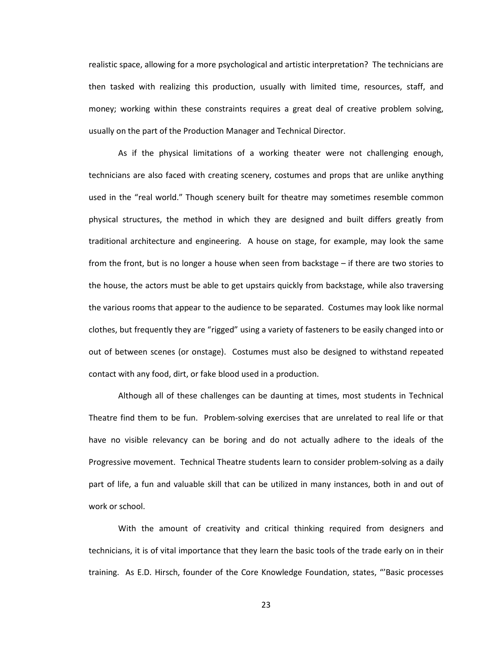realistic space, allowing for a more psychological and artistic interpretation? The technicians are then tasked with realizing this production, usually with limited time, resources, staff, and money; working within these constraints requires a great deal of creative problem solving, usually on the part of the Production Manager and Technical Director.

As if the physical limitations of a working theater were not challenging enough, technicians are also faced with creating scenery, costumes and props that are unlike anything used in the "real world." Though scenery built for theatre may sometimes resemble common physical structures, the method in which they are designed and built differs greatly from traditional architecture and engineering. A house on stage, for example, may look the same from the front, but is no longer a house when seen from backstage – if there are two stories to the house, the actors must be able to get upstairs quickly from backstage, while also traversing the various rooms that appear to the audience to be separated. Costumes may look like normal clothes, but frequently they are "rigged" using a variety of fasteners to be easily changed into or out of between scenes (or onstage). Costumes must also be designed to withstand repeated contact with any food, dirt, or fake blood used in a production.

Although all of these challenges can be daunting at times, most students in Technical Theatre find them to be fun. Problem-solving exercises that are unrelated to real life or that have no visible relevancy can be boring and do not actually adhere to the ideals of the Progressive movement. Technical Theatre students learn to consider problem-solving as a daily part of life, a fun and valuable skill that can be utilized in many instances, both in and out of work or school.

With the amount of creativity and critical thinking required from designers and technicians, it is of vital importance that they learn the basic tools of the trade early on in their training. As E.D. Hirsch, founder of the Core Knowledge Foundation, states, "'Basic processes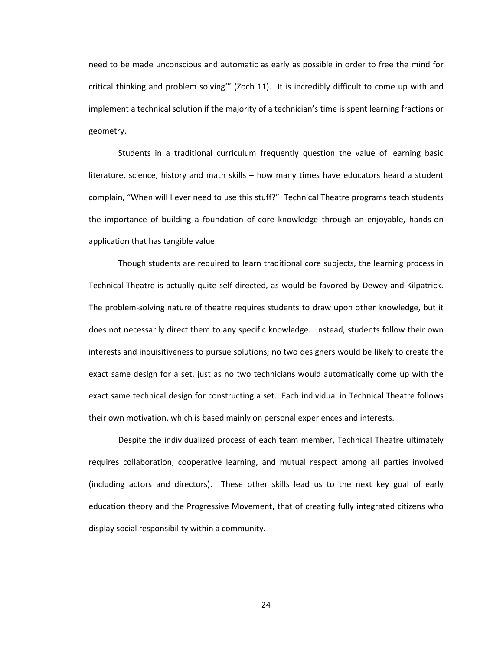need to be made unconscious and automatic as early as possible in order to free the mind for critical thinking and problem solving'" (Zoch 11). It is incredibly difficult to come up with and implement a technical solution if the majority of a technician's time is spent learning fractions or geometry.

Students in a traditional curriculum frequently question the value of learning basic literature, science, history and math skills – how many times have educators heard a student complain, "When will I ever need to use this stuff?" Technical Theatre programs teach students the importance of building a foundation of core knowledge through an enjoyable, hands-on application that has tangible value.

Though students are required to learn traditional core subjects, the learning process in Technical Theatre is actually quite self-directed, as would be favored by Dewey and Kilpatrick. The problem-solving nature of theatre requires students to draw upon other knowledge, but it does not necessarily direct them to any specific knowledge. Instead, students follow their own interests and inquisitiveness to pursue solutions; no two designers would be likely to create the exact same design for a set, just as no two technicians would automatically come up with the exact same technical design for constructing a set. Each individual in Technical Theatre follows their own motivation, which is based mainly on personal experiences and interests.

Despite the individualized process of each team member, Technical Theatre ultimately requires collaboration, cooperative learning, and mutual respect among all parties involved (including actors and directors). These other skills lead us to the next key goal of early education theory and the Progressive Movement, that of creating fully integrated citizens who display social responsibility within a community.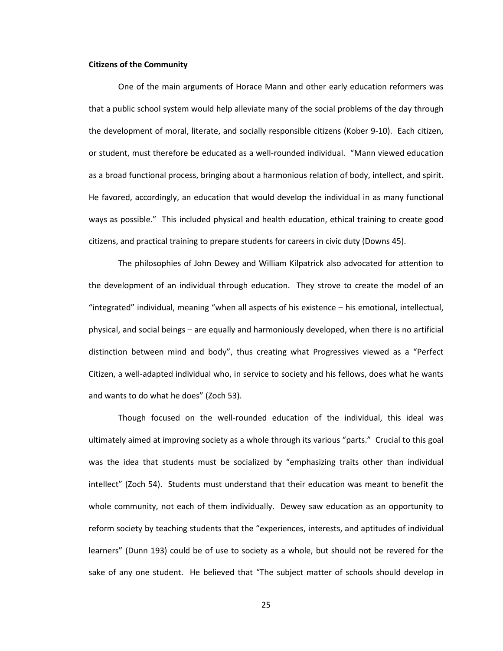# **Citizens of the Community**

One of the main arguments of Horace Mann and other early education reformers was that a public school system would help alleviate many of the social problems of the day through the development of moral, literate, and socially responsible citizens (Kober 9-10). Each citizen, or student, must therefore be educated as a well-rounded individual. "Mann viewed education as a broad functional process, bringing about a harmonious relation of body, intellect, and spirit. He favored, accordingly, an education that would develop the individual in as many functional ways as possible." This included physical and health education, ethical training to create good citizens, and practical training to prepare students for careers in civic duty (Downs 45).

The philosophies of John Dewey and William Kilpatrick also advocated for attention to the development of an individual through education. They strove to create the model of an "integrated" individual, meaning "when all aspects of his existence – his emotional, intellectual, physical, and social beings – are equally and harmoniously developed, when there is no artificial distinction between mind and body", thus creating what Progressives viewed as a "Perfect Citizen, a well-adapted individual who, in service to society and his fellows, does what he wants and wants to do what he does" (Zoch 53).

Though focused on the well-rounded education of the individual, this ideal was ultimately aimed at improving society as a whole through its various "parts." Crucial to this goal was the idea that students must be socialized by "emphasizing traits other than individual intellect" (Zoch 54). Students must understand that their education was meant to benefit the whole community, not each of them individually. Dewey saw education as an opportunity to reform society by teaching students that the "experiences, interests, and aptitudes of individual learners" (Dunn 193) could be of use to society as a whole, but should not be revered for the sake of any one student. He believed that "The subject matter of schools should develop in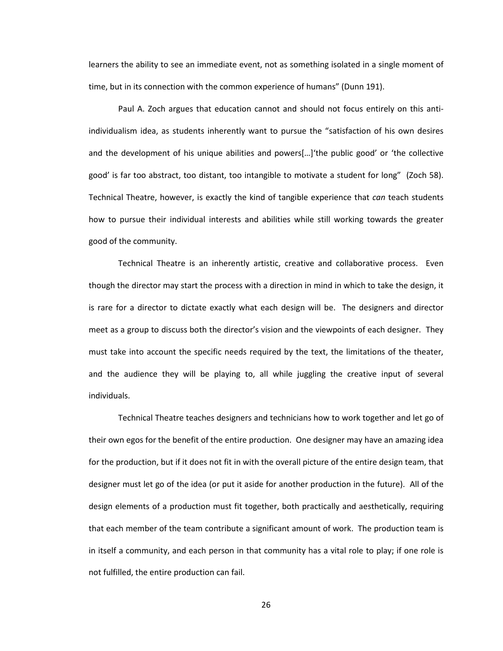learners the ability to see an immediate event, not as something isolated in a single moment of time, but in its connection with the common experience of humans" (Dunn 191).

Paul A. Zoch argues that education cannot and should not focus entirely on this antiindividualism idea, as students inherently want to pursue the "satisfaction of his own desires and the development of his unique abilities and powers[…]'the public good' or 'the collective good' is far too abstract, too distant, too intangible to motivate a student for long" (Zoch 58). Technical Theatre, however, is exactly the kind of tangible experience that *can* teach students how to pursue their individual interests and abilities while still working towards the greater good of the community.

Technical Theatre is an inherently artistic, creative and collaborative process. Even though the director may start the process with a direction in mind in which to take the design, it is rare for a director to dictate exactly what each design will be. The designers and director meet as a group to discuss both the director's vision and the viewpoints of each designer. They must take into account the specific needs required by the text, the limitations of the theater, and the audience they will be playing to, all while juggling the creative input of several individuals.

Technical Theatre teaches designers and technicians how to work together and let go of their own egos for the benefit of the entire production. One designer may have an amazing idea for the production, but if it does not fit in with the overall picture of the entire design team, that designer must let go of the idea (or put it aside for another production in the future). All of the design elements of a production must fit together, both practically and aesthetically, requiring that each member of the team contribute a significant amount of work. The production team is in itself a community, and each person in that community has a vital role to play; if one role is not fulfilled, the entire production can fail.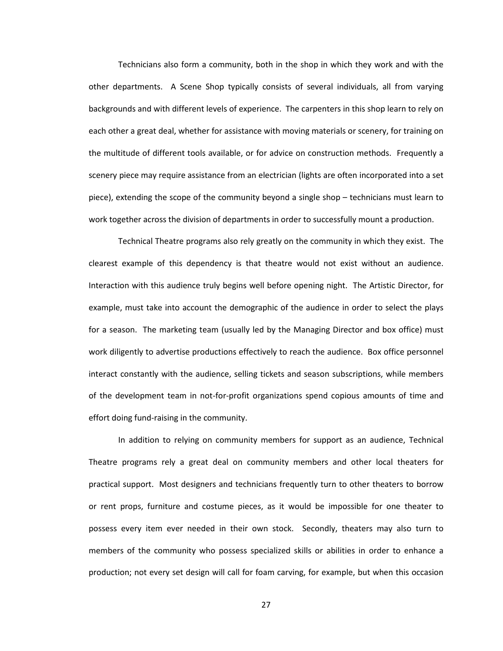Technicians also form a community, both in the shop in which they work and with the other departments. A Scene Shop typically consists of several individuals, all from varying backgrounds and with different levels of experience. The carpenters in this shop learn to rely on each other a great deal, whether for assistance with moving materials or scenery, for training on the multitude of different tools available, or for advice on construction methods. Frequently a scenery piece may require assistance from an electrician (lights are often incorporated into a set piece), extending the scope of the community beyond a single shop – technicians must learn to work together across the division of departments in order to successfully mount a production.

Technical Theatre programs also rely greatly on the community in which they exist. The clearest example of this dependency is that theatre would not exist without an audience. Interaction with this audience truly begins well before opening night. The Artistic Director, for example, must take into account the demographic of the audience in order to select the plays for a season. The marketing team (usually led by the Managing Director and box office) must work diligently to advertise productions effectively to reach the audience. Box office personnel interact constantly with the audience, selling tickets and season subscriptions, while members of the development team in not-for-profit organizations spend copious amounts of time and effort doing fund-raising in the community.

In addition to relying on community members for support as an audience, Technical Theatre programs rely a great deal on community members and other local theaters for practical support. Most designers and technicians frequently turn to other theaters to borrow or rent props, furniture and costume pieces, as it would be impossible for one theater to possess every item ever needed in their own stock. Secondly, theaters may also turn to members of the community who possess specialized skills or abilities in order to enhance a production; not every set design will call for foam carving, for example, but when this occasion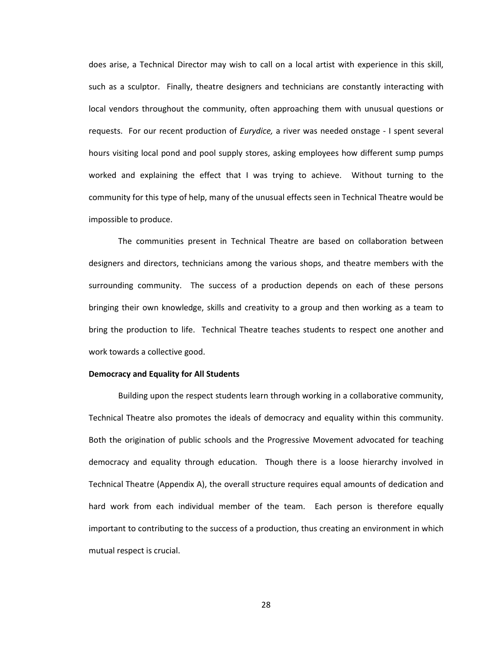does arise, a Technical Director may wish to call on a local artist with experience in this skill, such as a sculptor. Finally, theatre designers and technicians are constantly interacting with local vendors throughout the community, often approaching them with unusual questions or requests. For our recent production of *Eurydice,* a river was needed onstage - I spent several hours visiting local pond and pool supply stores, asking employees how different sump pumps worked and explaining the effect that I was trying to achieve. Without turning to the community for this type of help, many of the unusual effects seen in Technical Theatre would be impossible to produce.

The communities present in Technical Theatre are based on collaboration between designers and directors, technicians among the various shops, and theatre members with the surrounding community. The success of a production depends on each of these persons bringing their own knowledge, skills and creativity to a group and then working as a team to bring the production to life. Technical Theatre teaches students to respect one another and work towards a collective good.

#### **Democracy and Equality for All Students**

Building upon the respect students learn through working in a collaborative community, Technical Theatre also promotes the ideals of democracy and equality within this community. Both the origination of public schools and the Progressive Movement advocated for teaching democracy and equality through education. Though there is a loose hierarchy involved in Technical Theatre (Appendix A), the overall structure requires equal amounts of dedication and hard work from each individual member of the team. Each person is therefore equally important to contributing to the success of a production, thus creating an environment in which mutual respect is crucial.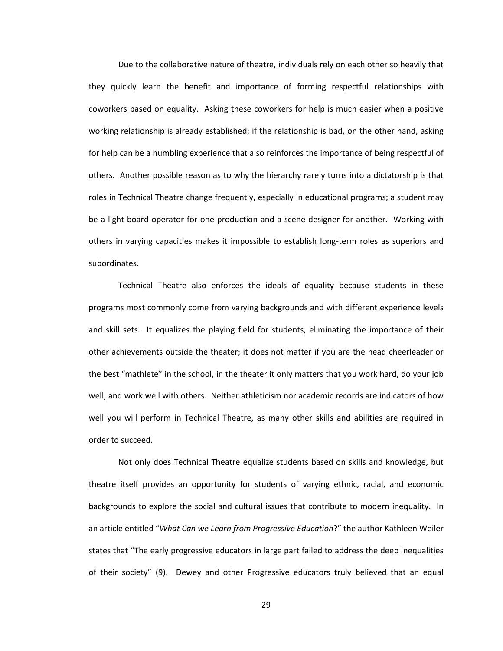Due to the collaborative nature of theatre, individuals rely on each other so heavily that they quickly learn the benefit and importance of forming respectful relationships with coworkers based on equality. Asking these coworkers for help is much easier when a positive working relationship is already established; if the relationship is bad, on the other hand, asking for help can be a humbling experience that also reinforces the importance of being respectful of others. Another possible reason as to why the hierarchy rarely turns into a dictatorship is that roles in Technical Theatre change frequently, especially in educational programs; a student may be a light board operator for one production and a scene designer for another. Working with others in varying capacities makes it impossible to establish long-term roles as superiors and subordinates.

Technical Theatre also enforces the ideals of equality because students in these programs most commonly come from varying backgrounds and with different experience levels and skill sets. It equalizes the playing field for students, eliminating the importance of their other achievements outside the theater; it does not matter if you are the head cheerleader or the best "mathlete" in the school, in the theater it only matters that you work hard, do your job well, and work well with others. Neither athleticism nor academic records are indicators of how well you will perform in Technical Theatre, as many other skills and abilities are required in order to succeed.

Not only does Technical Theatre equalize students based on skills and knowledge, but theatre itself provides an opportunity for students of varying ethnic, racial, and economic backgrounds to explore the social and cultural issues that contribute to modern inequality. In an article entitled "*What Can we Learn from Progressive Education*?" the author Kathleen Weiler states that "The early progressive educators in large part failed to address the deep inequalities of their society" (9). Dewey and other Progressive educators truly believed that an equal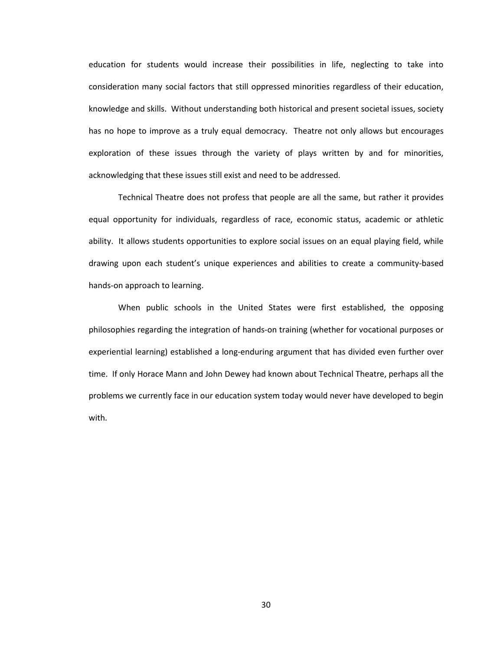education for students would increase their possibilities in life, neglecting to take into consideration many social factors that still oppressed minorities regardless of their education, knowledge and skills. Without understanding both historical and present societal issues, society has no hope to improve as a truly equal democracy. Theatre not only allows but encourages exploration of these issues through the variety of plays written by and for minorities, acknowledging that these issues still exist and need to be addressed.

Technical Theatre does not profess that people are all the same, but rather it provides equal opportunity for individuals, regardless of race, economic status, academic or athletic ability. It allows students opportunities to explore social issues on an equal playing field, while drawing upon each student's unique experiences and abilities to create a community-based hands-on approach to learning.

When public schools in the United States were first established, the opposing philosophies regarding the integration of hands-on training (whether for vocational purposes or experiential learning) established a long-enduring argument that has divided even further over time. If only Horace Mann and John Dewey had known about Technical Theatre, perhaps all the problems we currently face in our education system today would never have developed to begin with.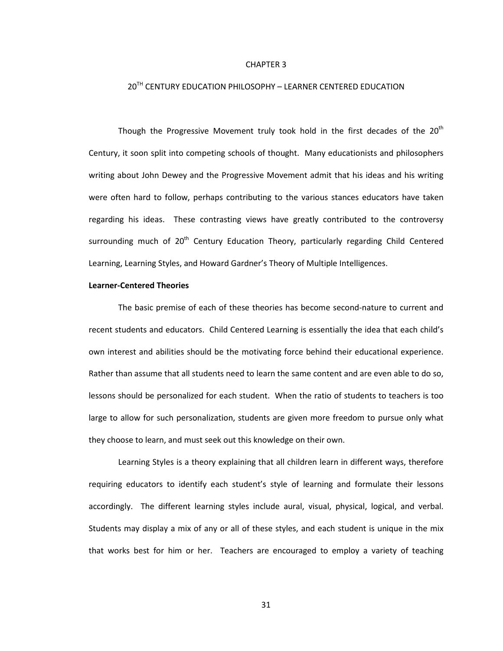#### CHAPTER 3

# 20<sup>TH</sup> CENTURY EDUCATION PHILOSOPHY - LEARNER CENTERED EDUCATION

Though the Progressive Movement truly took hold in the first decades of the 20<sup>th</sup> Century, it soon split into competing schools of thought. Many educationists and philosophers writing about John Dewey and the Progressive Movement admit that his ideas and his writing were often hard to follow, perhaps contributing to the various stances educators have taken regarding his ideas. These contrasting views have greatly contributed to the controversy surrounding much of  $20<sup>th</sup>$  Century Education Theory, particularly regarding Child Centered Learning, Learning Styles, and Howard Gardner's Theory of Multiple Intelligences.

# **Learner-Centered Theories**

The basic premise of each of these theories has become second-nature to current and recent students and educators. Child Centered Learning is essentially the idea that each child's own interest and abilities should be the motivating force behind their educational experience. Rather than assume that all students need to learn the same content and are even able to do so, lessons should be personalized for each student. When the ratio of students to teachers is too large to allow for such personalization, students are given more freedom to pursue only what they choose to learn, and must seek out this knowledge on their own.

Learning Styles is a theory explaining that all children learn in different ways, therefore requiring educators to identify each student's style of learning and formulate their lessons accordingly. The different learning styles include aural, visual, physical, logical, and verbal. Students may display a mix of any or all of these styles, and each student is unique in the mix that works best for him or her. Teachers are encouraged to employ a variety of teaching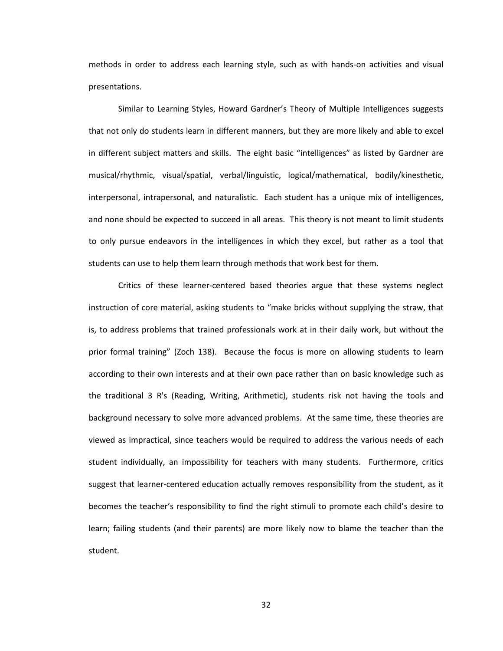methods in order to address each learning style, such as with hands-on activities and visual presentations.

Similar to Learning Styles, Howard Gardner's Theory of Multiple Intelligences suggests that not only do students learn in different manners, but they are more likely and able to excel in different subject matters and skills. The eight basic "intelligences" as listed by Gardner are musical/rhythmic, visual/spatial, verbal/linguistic, logical/mathematical, bodily/kinesthetic, interpersonal, intrapersonal, and naturalistic. Each student has a unique mix of intelligences, and none should be expected to succeed in all areas. This theory is not meant to limit students to only pursue endeavors in the intelligences in which they excel, but rather as a tool that students can use to help them learn through methods that work best for them.

Critics of these learner-centered based theories argue that these systems neglect instruction of core material, asking students to "make bricks without supplying the straw, that is, to address problems that trained professionals work at in their daily work, but without the prior formal training" (Zoch 138). Because the focus is more on allowing students to learn according to their own interests and at their own pace rather than on basic knowledge such as the traditional 3 R's (Reading, Writing, Arithmetic), students risk not having the tools and background necessary to solve more advanced problems. At the same time, these theories are viewed as impractical, since teachers would be required to address the various needs of each student individually, an impossibility for teachers with many students. Furthermore, critics suggest that learner-centered education actually removes responsibility from the student, as it becomes the teacher's responsibility to find the right stimuli to promote each child's desire to learn; failing students (and their parents) are more likely now to blame the teacher than the student.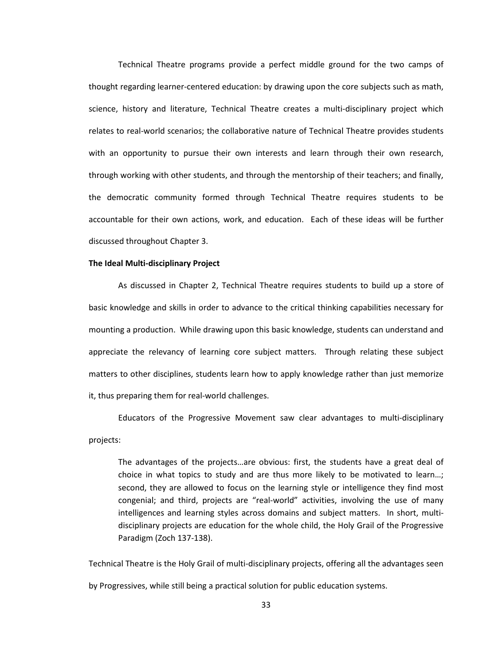Technical Theatre programs provide a perfect middle ground for the two camps of thought regarding learner-centered education: by drawing upon the core subjects such as math, science, history and literature, Technical Theatre creates a multi-disciplinary project which relates to real-world scenarios; the collaborative nature of Technical Theatre provides students with an opportunity to pursue their own interests and learn through their own research, through working with other students, and through the mentorship of their teachers; and finally, the democratic community formed through Technical Theatre requires students to be accountable for their own actions, work, and education. Each of these ideas will be further discussed throughout Chapter 3.

#### **The Ideal Multi-disciplinary Project**

As discussed in Chapter 2, Technical Theatre requires students to build up a store of basic knowledge and skills in order to advance to the critical thinking capabilities necessary for mounting a production. While drawing upon this basic knowledge, students can understand and appreciate the relevancy of learning core subject matters. Through relating these subject matters to other disciplines, students learn how to apply knowledge rather than just memorize it, thus preparing them for real-world challenges.

Educators of the Progressive Movement saw clear advantages to multi-disciplinary projects:

The advantages of the projects…are obvious: first, the students have a great deal of choice in what topics to study and are thus more likely to be motivated to learn…; second, they are allowed to focus on the learning style or intelligence they find most congenial; and third, projects are "real-world" activities, involving the use of many intelligences and learning styles across domains and subject matters. In short, multidisciplinary projects are education for the whole child, the Holy Grail of the Progressive Paradigm (Zoch 137-138).

Technical Theatre is the Holy Grail of multi-disciplinary projects, offering all the advantages seen by Progressives, while still being a practical solution for public education systems.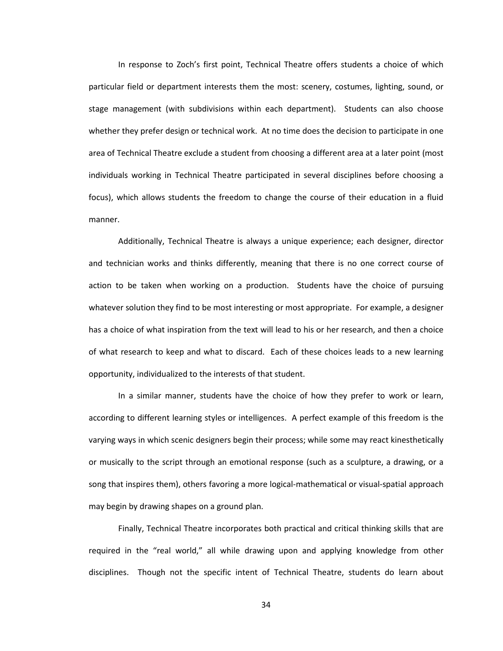In response to Zoch's first point, Technical Theatre offers students a choice of which particular field or department interests them the most: scenery, costumes, lighting, sound, or stage management (with subdivisions within each department). Students can also choose whether they prefer design or technical work. At no time does the decision to participate in one area of Technical Theatre exclude a student from choosing a different area at a later point (most individuals working in Technical Theatre participated in several disciplines before choosing a focus), which allows students the freedom to change the course of their education in a fluid manner.

Additionally, Technical Theatre is always a unique experience; each designer, director and technician works and thinks differently, meaning that there is no one correct course of action to be taken when working on a production. Students have the choice of pursuing whatever solution they find to be most interesting or most appropriate. For example, a designer has a choice of what inspiration from the text will lead to his or her research, and then a choice of what research to keep and what to discard. Each of these choices leads to a new learning opportunity, individualized to the interests of that student.

In a similar manner, students have the choice of how they prefer to work or learn, according to different learning styles or intelligences. A perfect example of this freedom is the varying ways in which scenic designers begin their process; while some may react kinesthetically or musically to the script through an emotional response (such as a sculpture, a drawing, or a song that inspires them), others favoring a more logical-mathematical or visual-spatial approach may begin by drawing shapes on a ground plan.

Finally, Technical Theatre incorporates both practical and critical thinking skills that are required in the "real world," all while drawing upon and applying knowledge from other disciplines. Though not the specific intent of Technical Theatre, students do learn about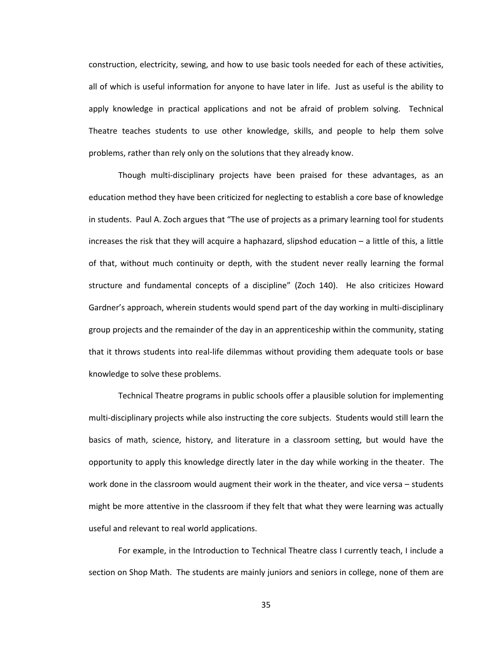construction, electricity, sewing, and how to use basic tools needed for each of these activities, all of which is useful information for anyone to have later in life. Just as useful is the ability to apply knowledge in practical applications and not be afraid of problem solving. Technical Theatre teaches students to use other knowledge, skills, and people to help them solve problems, rather than rely only on the solutions that they already know.

Though multi-disciplinary projects have been praised for these advantages, as an education method they have been criticized for neglecting to establish a core base of knowledge in students. Paul A. Zoch argues that "The use of projects as a primary learning tool for students increases the risk that they will acquire a haphazard, slipshod education – a little of this, a little of that, without much continuity or depth, with the student never really learning the formal structure and fundamental concepts of a discipline" (Zoch 140). He also criticizes Howard Gardner's approach, wherein students would spend part of the day working in multi-disciplinary group projects and the remainder of the day in an apprenticeship within the community, stating that it throws students into real-life dilemmas without providing them adequate tools or base knowledge to solve these problems.

Technical Theatre programs in public schools offer a plausible solution for implementing multi-disciplinary projects while also instructing the core subjects. Students would still learn the basics of math, science, history, and literature in a classroom setting, but would have the opportunity to apply this knowledge directly later in the day while working in the theater. The work done in the classroom would augment their work in the theater, and vice versa - students might be more attentive in the classroom if they felt that what they were learning was actually useful and relevant to real world applications.

For example, in the Introduction to Technical Theatre class I currently teach, I include a section on Shop Math. The students are mainly juniors and seniors in college, none of them are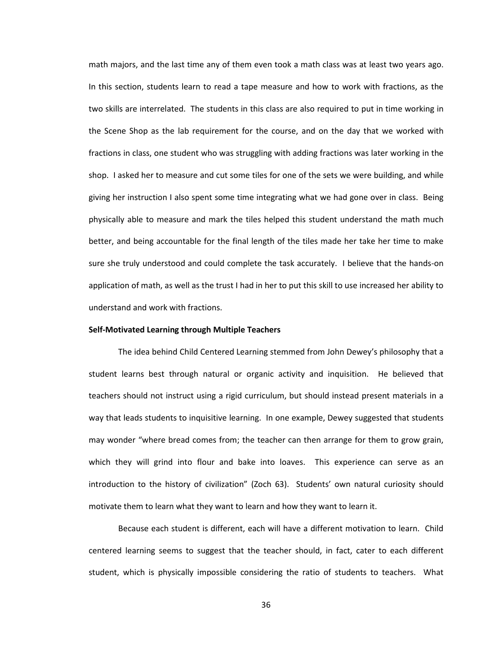math majors, and the last time any of them even took a math class was at least two years ago. In this section, students learn to read a tape measure and how to work with fractions, as the two skills are interrelated. The students in this class are also required to put in time working in the Scene Shop as the lab requirement for the course, and on the day that we worked with fractions in class, one student who was struggling with adding fractions was later working in the shop. I asked her to measure and cut some tiles for one of the sets we were building, and while giving her instruction I also spent some time integrating what we had gone over in class. Being physically able to measure and mark the tiles helped this student understand the math much better, and being accountable for the final length of the tiles made her take her time to make sure she truly understood and could complete the task accurately. I believe that the hands-on application of math, as well as the trust I had in her to put this skill to use increased her ability to understand and work with fractions.

# **Self-Motivated Learning through Multiple Teachers**

The idea behind Child Centered Learning stemmed from John Dewey's philosophy that a student learns best through natural or organic activity and inquisition. He believed that teachers should not instruct using a rigid curriculum, but should instead present materials in a way that leads students to inquisitive learning. In one example, Dewey suggested that students may wonder "where bread comes from; the teacher can then arrange for them to grow grain, which they will grind into flour and bake into loaves. This experience can serve as an introduction to the history of civilization" (Zoch 63). Students' own natural curiosity should motivate them to learn what they want to learn and how they want to learn it.

Because each student is different, each will have a different motivation to learn. Child centered learning seems to suggest that the teacher should, in fact, cater to each different student, which is physically impossible considering the ratio of students to teachers. What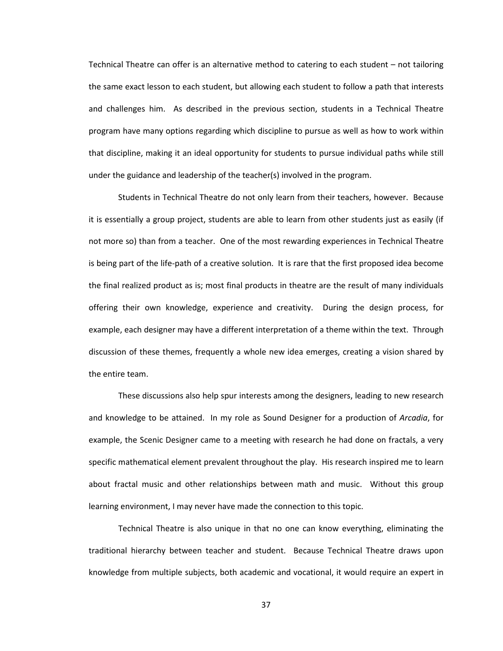Technical Theatre can offer is an alternative method to catering to each student – not tailoring the same exact lesson to each student, but allowing each student to follow a path that interests and challenges him. As described in the previous section, students in a Technical Theatre program have many options regarding which discipline to pursue as well as how to work within that discipline, making it an ideal opportunity for students to pursue individual paths while still under the guidance and leadership of the teacher(s) involved in the program.

Students in Technical Theatre do not only learn from their teachers, however. Because it is essentially a group project, students are able to learn from other students just as easily (if not more so) than from a teacher. One of the most rewarding experiences in Technical Theatre is being part of the life-path of a creative solution. It is rare that the first proposed idea become the final realized product as is; most final products in theatre are the result of many individuals offering their own knowledge, experience and creativity. During the design process, for example, each designer may have a different interpretation of a theme within the text. Through discussion of these themes, frequently a whole new idea emerges, creating a vision shared by the entire team.

These discussions also help spur interests among the designers, leading to new research and knowledge to be attained. In my role as Sound Designer for a production of *Arcadia*, for example, the Scenic Designer came to a meeting with research he had done on fractals, a very specific mathematical element prevalent throughout the play. His research inspired me to learn about fractal music and other relationships between math and music. Without this group learning environment, I may never have made the connection to this topic.

Technical Theatre is also unique in that no one can know everything, eliminating the traditional hierarchy between teacher and student. Because Technical Theatre draws upon knowledge from multiple subjects, both academic and vocational, it would require an expert in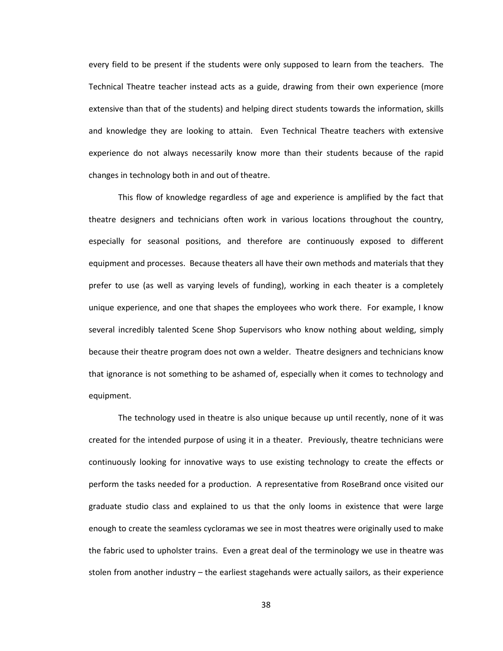every field to be present if the students were only supposed to learn from the teachers. The Technical Theatre teacher instead acts as a guide, drawing from their own experience (more extensive than that of the students) and helping direct students towards the information, skills and knowledge they are looking to attain. Even Technical Theatre teachers with extensive experience do not always necessarily know more than their students because of the rapid changes in technology both in and out of theatre.

This flow of knowledge regardless of age and experience is amplified by the fact that theatre designers and technicians often work in various locations throughout the country, especially for seasonal positions, and therefore are continuously exposed to different equipment and processes. Because theaters all have their own methods and materials that they prefer to use (as well as varying levels of funding), working in each theater is a completely unique experience, and one that shapes the employees who work there. For example, I know several incredibly talented Scene Shop Supervisors who know nothing about welding, simply because their theatre program does not own a welder. Theatre designers and technicians know that ignorance is not something to be ashamed of, especially when it comes to technology and equipment.

The technology used in theatre is also unique because up until recently, none of it was created for the intended purpose of using it in a theater. Previously, theatre technicians were continuously looking for innovative ways to use existing technology to create the effects or perform the tasks needed for a production. A representative from RoseBrand once visited our graduate studio class and explained to us that the only looms in existence that were large enough to create the seamless cycloramas we see in most theatres were originally used to make the fabric used to upholster trains. Even a great deal of the terminology we use in theatre was stolen from another industry – the earliest stagehands were actually sailors, as their experience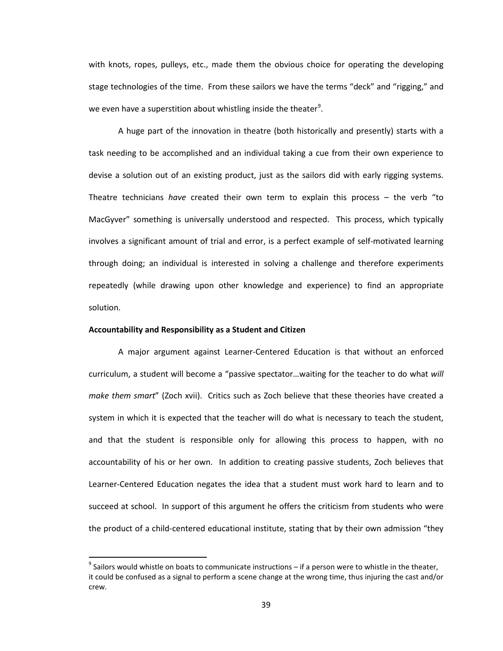with knots, ropes, pulleys, etc., made them the obvious choice for operating the developing stage technologies of the time. From these sailors we have the terms "deck" and "rigging," and we even have a superstition about whistling inside the theater<sup>[9](#page-50-0)</sup>.

A huge part of the innovation in theatre (both historically and presently) starts with a task needing to be accomplished and an individual taking a cue from their own experience to devise a solution out of an existing product, just as the sailors did with early rigging systems. Theatre technicians *have* created their own term to explain this process – the verb "to MacGyver" something is universally understood and respected. This process, which typically involves a significant amount of trial and error, is a perfect example of self-motivated learning through doing; an individual is interested in solving a challenge and therefore experiments repeatedly (while drawing upon other knowledge and experience) to find an appropriate solution.

# **Accountability and Responsibility as a Student and Citizen**

l

A major argument against Learner-Centered Education is that without an enforced curriculum, a student will become a "passive spectator…waiting for the teacher to do what *will make them smart*" (Zoch xvii). Critics such as Zoch believe that these theories have created a system in which it is expected that the teacher will do what is necessary to teach the student, and that the student is responsible only for allowing this process to happen, with no accountability of his or her own. In addition to creating passive students, Zoch believes that Learner-Centered Education negates the idea that a student must work hard to learn and to succeed at school. In support of this argument he offers the criticism from students who were the product of a child-centered educational institute, stating that by their own admission "they

<span id="page-50-0"></span> $9$  Sailors would whistle on boats to communicate instructions – if a person were to whistle in the theater, it could be confused as a signal to perform a scene change at the wrong time, thus injuring the cast and/or crew.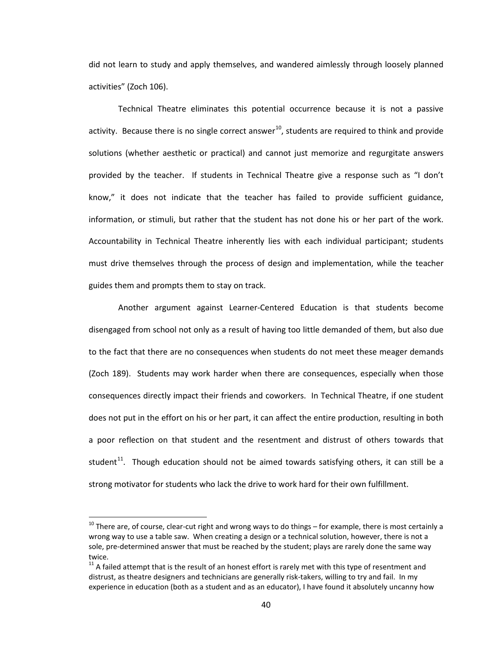did not learn to study and apply themselves, and wandered aimlessly through loosely planned activities" (Zoch 106).

Technical Theatre eliminates this potential occurrence because it is not a passive activity. Because there is no single correct answer<sup>10</sup>, students are required to think and provide solutions (whether aesthetic or practical) and cannot just memorize and regurgitate answers provided by the teacher. If students in Technical Theatre give a response such as "I don't know," it does not indicate that the teacher has failed to provide sufficient guidance, information, or stimuli, but rather that the student has not done his or her part of the work. Accountability in Technical Theatre inherently lies with each individual participant; students must drive themselves through the process of design and implementation, while the teacher guides them and prompts them to stay on track.

Another argument against Learner-Centered Education is that students become disengaged from school not only as a result of having too little demanded of them, but also due to the fact that there are no consequences when students do not meet these meager demands (Zoch 189). Students may work harder when there are consequences, especially when those consequences directly impact their friends and coworkers. In Technical Theatre, if one student does not put in the effort on his or her part, it can affect the entire production, resulting in both a poor reflection on that student and the resentment and distrust of others towards that student<sup>[11](#page-51-1)</sup>. Though education should not be aimed towards satisfying others, it can still be a strong motivator for students who lack the drive to work hard for their own fulfillment.

 $\overline{\phantom{a}}$ 

<span id="page-51-0"></span> $10$  There are, of course, clear-cut right and wrong ways to do things – for example, there is most certainly a wrong way to use a table saw. When creating a design or a technical solution, however, there is not a sole, pre-determined answer that must be reached by the student; plays are rarely done the same way twice.

<span id="page-51-1"></span> $11$  A failed attempt that is the result of an honest effort is rarely met with this type of resentment and distrust, as theatre designers and technicians are generally risk-takers, willing to try and fail. In my experience in education (both as a student and as an educator), I have found it absolutely uncanny how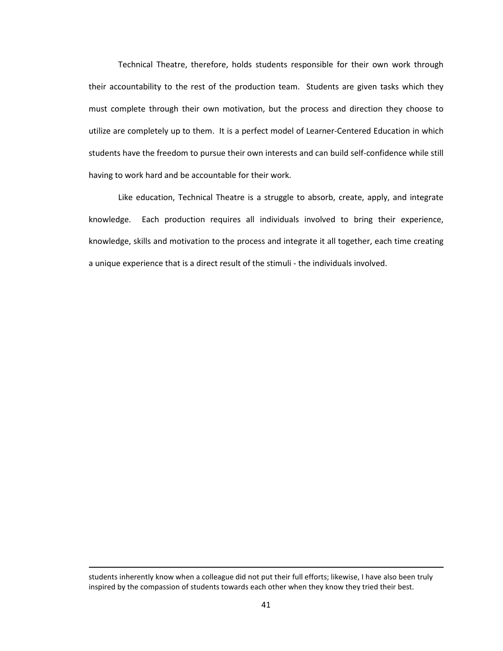Technical Theatre, therefore, holds students responsible for their own work through their accountability to the rest of the production team. Students are given tasks which they must complete through their own motivation, but the process and direction they choose to utilize are completely up to them. It is a perfect model of Learner-Centered Education in which students have the freedom to pursue their own interests and can build self-confidence while still having to work hard and be accountable for their work.

Like education, Technical Theatre is a struggle to absorb, create, apply, and integrate knowledge. Each production requires all individuals involved to bring their experience, knowledge, skills and motivation to the process and integrate it all together, each time creating a unique experience that is a direct result of the stimuli - the individuals involved.

 $\overline{\phantom{a}}$ 

students inherently know when a colleague did not put their full efforts; likewise, I have also been truly inspired by the compassion of students towards each other when they know they tried their best.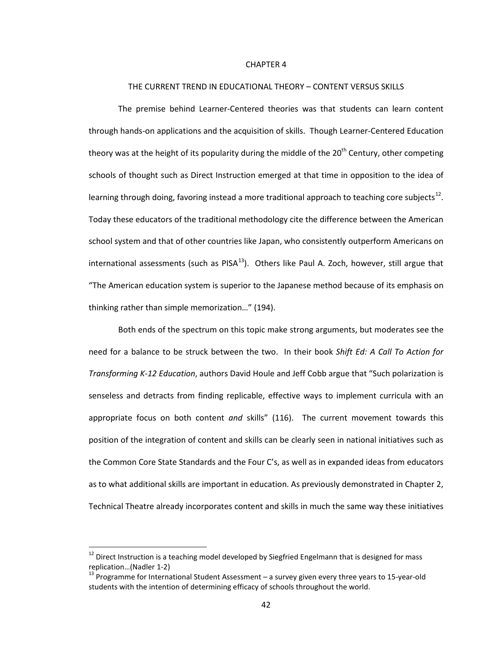#### CHAPTER 4

#### THE CURRENT TREND IN EDUCATIONAL THEORY – CONTENT VERSUS SKILLS

The premise behind Learner-Centered theories was that students can learn content through hands-on applications and the acquisition of skills. Though Learner-Centered Education theory was at the height of its popularity during the middle of the  $20<sup>th</sup>$  Century, other competing schools of thought such as Direct Instruction emerged at that time in opposition to the idea of learning through doing, favoring instead a more traditional approach to teaching core subjects<sup>[12](#page-53-0)</sup>. Today these educators of the traditional methodology cite the difference between the American school system and that of other countries like Japan, who consistently outperform Americans on international assessments (such as  $PISA^{13}$  $PISA^{13}$  $PISA^{13}$ ). Others like Paul A. Zoch, however, still argue that "The American education system is superior to the Japanese method because of its emphasis on thinking rather than simple memorization…" (194).

Both ends of the spectrum on this topic make strong arguments, but moderates see the need for a balance to be struck between the two. In their book *Shift Ed: A Call To Action for Transforming K-12 Education*, authors David Houle and Jeff Cobb argue that "Such polarization is senseless and detracts from finding replicable, effective ways to implement curricula with an appropriate focus on both content *and* skills" (116). The current movement towards this position of the integration of content and skills can be clearly seen in national initiatives such as the Common Core State Standards and the Four C's, as well as in expanded ideas from educators as to what additional skills are important in education. As previously demonstrated in Chapter 2, Technical Theatre already incorporates content and skills in much the same way these initiatives

 $\overline{\phantom{a}}$ 

<span id="page-53-0"></span><sup>&</sup>lt;sup>12</sup> Direct Instruction is a teaching model developed by Siegfried Engelmann that is designed for mass replication...(Nadler 1-2)<br><sup>13</sup> Programme for International Student Assessment – a survey given every three years to 15-year-old

<span id="page-53-1"></span>students with the intention of determining efficacy of schools throughout the world.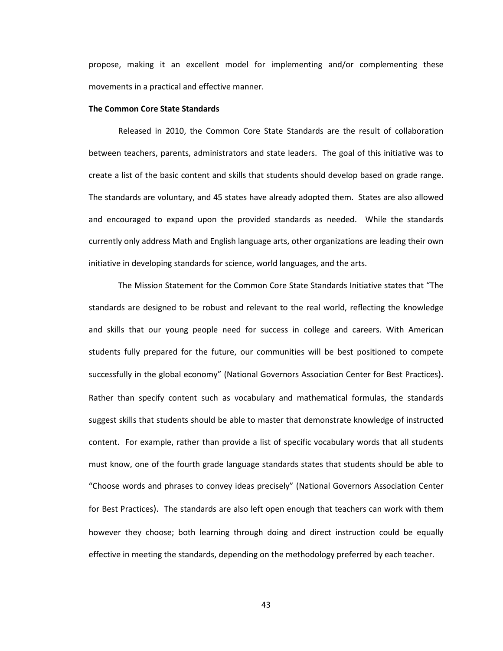propose, making it an excellent model for implementing and/or complementing these movements in a practical and effective manner.

#### **The Common Core State Standards**

Released in 2010, the Common Core State Standards are the result of collaboration between teachers, parents, administrators and state leaders. The goal of this initiative was to create a list of the basic content and skills that students should develop based on grade range. The standards are voluntary, and 45 states have already adopted them. States are also allowed and encouraged to expand upon the provided standards as needed. While the standards currently only address Math and English language arts, other organizations are leading their own initiative in developing standards for science, world languages, and the arts.

The Mission Statement for the Common Core State Standards Initiative states that "The standards are designed to be robust and relevant to the real world, reflecting the knowledge and skills that our young people need for success in college and careers. With American students fully prepared for the future, our communities will be best positioned to compete successfully in the global economy" (National Governors Association Center for Best Practices). Rather than specify content such as vocabulary and mathematical formulas, the standards suggest skills that students should be able to master that demonstrate knowledge of instructed content. For example, rather than provide a list of specific vocabulary words that all students must know, one of the fourth grade language standards states that students should be able to "Choose words and phrases to convey ideas precisely" (National Governors Association Center for Best Practices). The standards are also left open enough that teachers can work with them however they choose; both learning through doing and direct instruction could be equally effective in meeting the standards, depending on the methodology preferred by each teacher.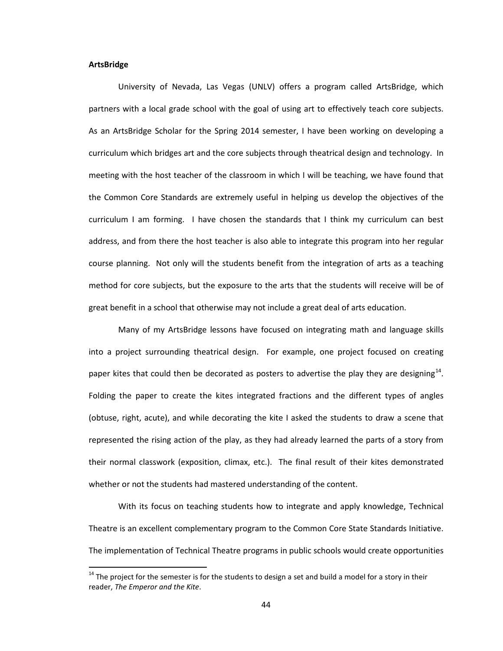#### **ArtsBridge**

 $\overline{\phantom{a}}$ 

University of Nevada, Las Vegas (UNLV) offers a program called ArtsBridge, which partners with a local grade school with the goal of using art to effectively teach core subjects. As an ArtsBridge Scholar for the Spring 2014 semester, I have been working on developing a curriculum which bridges art and the core subjects through theatrical design and technology. In meeting with the host teacher of the classroom in which I will be teaching, we have found that the Common Core Standards are extremely useful in helping us develop the objectives of the curriculum I am forming. I have chosen the standards that I think my curriculum can best address, and from there the host teacher is also able to integrate this program into her regular course planning. Not only will the students benefit from the integration of arts as a teaching method for core subjects, but the exposure to the arts that the students will receive will be of great benefit in a school that otherwise may not include a great deal of arts education.

Many of my ArtsBridge lessons have focused on integrating math and language skills into a project surrounding theatrical design. For example, one project focused on creating paper kites that could then be decorated as posters to advertise the play they are designing<sup>[14](#page-55-0)</sup>. Folding the paper to create the kites integrated fractions and the different types of angles (obtuse, right, acute), and while decorating the kite I asked the students to draw a scene that represented the rising action of the play, as they had already learned the parts of a story from their normal classwork (exposition, climax, etc.). The final result of their kites demonstrated whether or not the students had mastered understanding of the content.

With its focus on teaching students how to integrate and apply knowledge, Technical Theatre is an excellent complementary program to the Common Core State Standards Initiative. The implementation of Technical Theatre programs in public schools would create opportunities

<span id="page-55-0"></span> $14$  The proiect for the semester is for the students to design a set and build a model for a story in their reader, *The Emperor and the Kite*.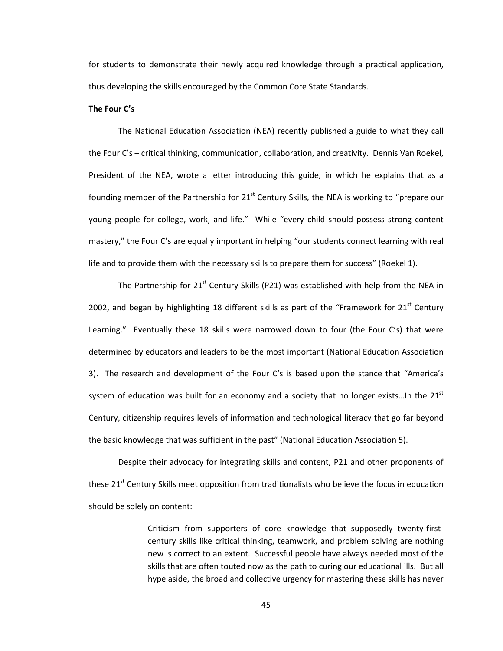for students to demonstrate their newly acquired knowledge through a practical application, thus developing the skills encouraged by the Common Core State Standards.

#### **The Four C's**

The National Education Association (NEA) recently published a guide to what they call the Four C's – critical thinking, communication, collaboration, and creativity. Dennis Van Roekel, President of the NEA, wrote a letter introducing this guide, in which he explains that as a founding member of the Partnership for  $21<sup>st</sup>$  Century Skills, the NEA is working to "prepare our young people for college, work, and life." While "every child should possess strong content mastery," the Four C's are equally important in helping "our students connect learning with real life and to provide them with the necessary skills to prepare them for success" (Roekel 1).

The Partnership for  $21<sup>st</sup>$  Century Skills (P21) was established with help from the NEA in 2002, and began by highlighting 18 different skills as part of the "Framework for  $21<sup>st</sup>$  Century Learning." Eventually these 18 skills were narrowed down to four (the Four C's) that were determined by educators and leaders to be the most important (National Education Association 3). The research and development of the Four C's is based upon the stance that "America's system of education was built for an economy and a society that no longer exists...In the 21 $^{\rm st}$ Century, citizenship requires levels of information and technological literacy that go far beyond the basic knowledge that was sufficient in the past" (National Education Association 5).

Despite their advocacy for integrating skills and content, P21 and other proponents of these 21<sup>st</sup> Century Skills meet opposition from traditionalists who believe the focus in education should be solely on content:

> Criticism from supporters of core knowledge that supposedly twenty-firstcentury skills like critical thinking, teamwork, and problem solving are nothing new is correct to an extent. Successful people have always needed most of the skills that are often touted now as the path to curing our educational ills. But all hype aside, the broad and collective urgency for mastering these skills has never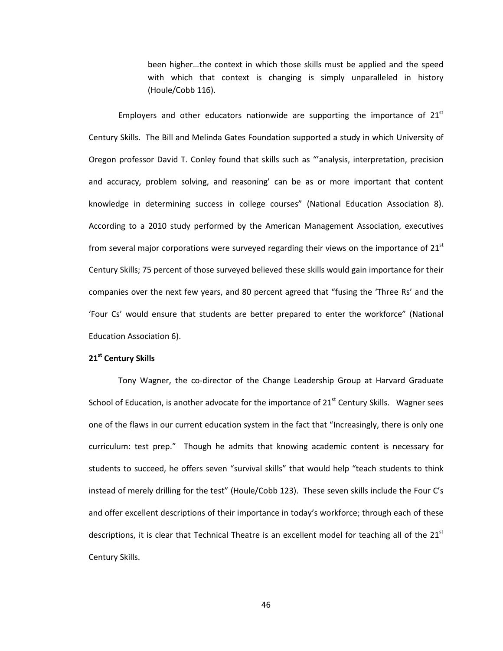been higher…the context in which those skills must be applied and the speed with which that context is changing is simply unparalleled in history (Houle/Cobb 116).

Employers and other educators nationwide are supporting the importance of  $21<sup>st</sup>$ Century Skills. The Bill and Melinda Gates Foundation supported a study in which University of Oregon professor David T. Conley found that skills such as "'analysis, interpretation, precision and accuracy, problem solving, and reasoning' can be as or more important that content knowledge in determining success in college courses" (National Education Association 8). According to a 2010 study performed by the American Management Association, executives from several major corporations were surveyed regarding their views on the importance of  $21<sup>st</sup>$ Century Skills; 75 percent of those surveyed believed these skills would gain importance for their companies over the next few years, and 80 percent agreed that "fusing the 'Three Rs' and the 'Four Cs' would ensure that students are better prepared to enter the workforce" (National Education Association 6).

# **21st Century Skills**

Tony Wagner, the co-director of the Change Leadership Group at Harvard Graduate School of Education, is another advocate for the importance of 21<sup>st</sup> Century Skills. Wagner sees one of the flaws in our current education system in the fact that "Increasingly, there is only one curriculum: test prep." Though he admits that knowing academic content is necessary for students to succeed, he offers seven "survival skills" that would help "teach students to think instead of merely drilling for the test" (Houle/Cobb 123). These seven skills include the Four C's and offer excellent descriptions of their importance in today's workforce; through each of these descriptions, it is clear that Technical Theatre is an excellent model for teaching all of the  $21<sup>st</sup>$ Century Skills.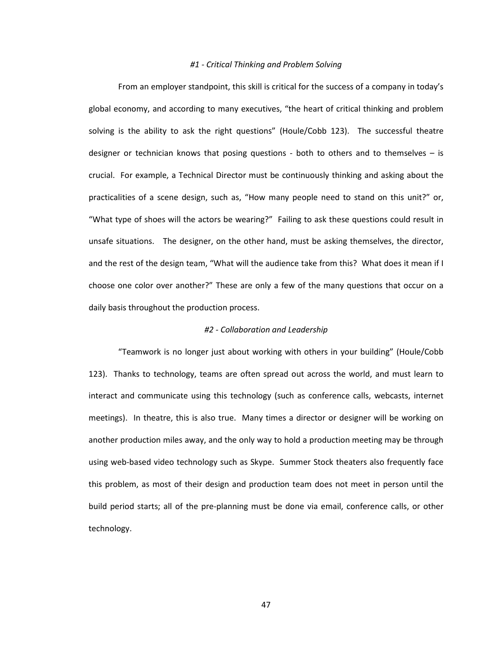### *#1 - Critical Thinking and Problem Solving*

From an employer standpoint, this skill is critical for the success of a company in today's global economy, and according to many executives, "the heart of critical thinking and problem solving is the ability to ask the right questions" (Houle/Cobb 123). The successful theatre designer or technician knows that posing questions - both to others and to themselves – is crucial. For example, a Technical Director must be continuously thinking and asking about the practicalities of a scene design, such as, "How many people need to stand on this unit?" or, "What type of shoes will the actors be wearing?" Failing to ask these questions could result in unsafe situations. The designer, on the other hand, must be asking themselves, the director, and the rest of the design team, "What will the audience take from this? What does it mean if I choose one color over another?" These are only a few of the many questions that occur on a daily basis throughout the production process.

# *#2 - Collaboration and Leadership*

"Teamwork is no longer just about working with others in your building" (Houle/Cobb 123). Thanks to technology, teams are often spread out across the world, and must learn to interact and communicate using this technology (such as conference calls, webcasts, internet meetings). In theatre, this is also true. Many times a director or designer will be working on another production miles away, and the only way to hold a production meeting may be through using web-based video technology such as Skype. Summer Stock theaters also frequently face this problem, as most of their design and production team does not meet in person until the build period starts; all of the pre-planning must be done via email, conference calls, or other technology.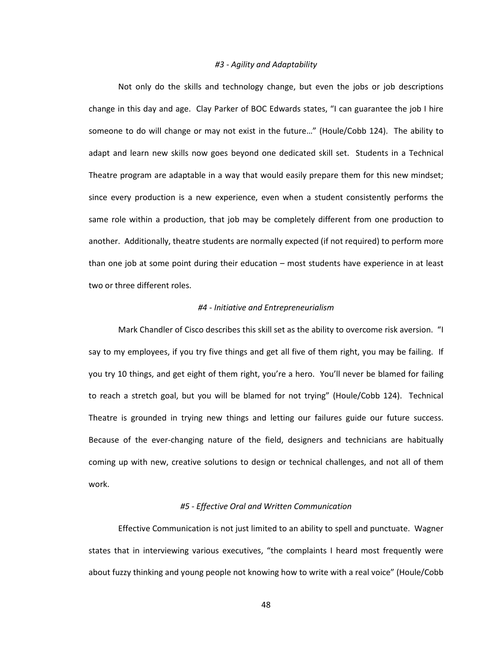### *#3 - Agility and Adaptability*

Not only do the skills and technology change, but even the jobs or job descriptions change in this day and age. Clay Parker of BOC Edwards states, "I can guarantee the job I hire someone to do will change or may not exist in the future…" (Houle/Cobb 124). The ability to adapt and learn new skills now goes beyond one dedicated skill set. Students in a Technical Theatre program are adaptable in a way that would easily prepare them for this new mindset; since every production is a new experience, even when a student consistently performs the same role within a production, that job may be completely different from one production to another. Additionally, theatre students are normally expected (if not required) to perform more than one job at some point during their education – most students have experience in at least two or three different roles.

# *#4 - Initiative and Entrepreneurialism*

Mark Chandler of Cisco describes this skill set as the ability to overcome risk aversion. "I say to my employees, if you try five things and get all five of them right, you may be failing. If you try 10 things, and get eight of them right, you're a hero. You'll never be blamed for failing to reach a stretch goal, but you will be blamed for not trying" (Houle/Cobb 124). Technical Theatre is grounded in trying new things and letting our failures guide our future success. Because of the ever-changing nature of the field, designers and technicians are habitually coming up with new, creative solutions to design or technical challenges, and not all of them work.

# *#5 - Effective Oral and Written Communication*

Effective Communication is not just limited to an ability to spell and punctuate. Wagner states that in interviewing various executives, "the complaints I heard most frequently were about fuzzy thinking and young people not knowing how to write with a real voice" (Houle/Cobb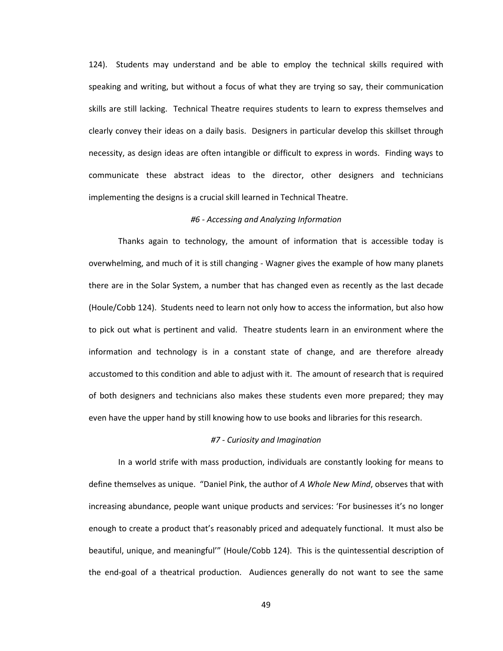124). Students may understand and be able to employ the technical skills required with speaking and writing, but without a focus of what they are trying so say, their communication skills are still lacking. Technical Theatre requires students to learn to express themselves and clearly convey their ideas on a daily basis. Designers in particular develop this skillset through necessity, as design ideas are often intangible or difficult to express in words. Finding ways to communicate these abstract ideas to the director, other designers and technicians implementing the designs is a crucial skill learned in Technical Theatre.

# *#6 - Accessing and Analyzing Information*

Thanks again to technology, the amount of information that is accessible today is overwhelming, and much of it is still changing - Wagner gives the example of how many planets there are in the Solar System, a number that has changed even as recently as the last decade (Houle/Cobb 124). Students need to learn not only how to access the information, but also how to pick out what is pertinent and valid. Theatre students learn in an environment where the information and technology is in a constant state of change, and are therefore already accustomed to this condition and able to adjust with it. The amount of research that is required of both designers and technicians also makes these students even more prepared; they may even have the upper hand by still knowing how to use books and libraries for this research.

# *#7 - Curiosity and Imagination*

In a world strife with mass production, individuals are constantly looking for means to define themselves as unique. "Daniel Pink, the author of *A Whole New Mind*, observes that with increasing abundance, people want unique products and services: 'For businesses it's no longer enough to create a product that's reasonably priced and adequately functional. It must also be beautiful, unique, and meaningful'" (Houle/Cobb 124). This is the quintessential description of the end-goal of a theatrical production. Audiences generally do not want to see the same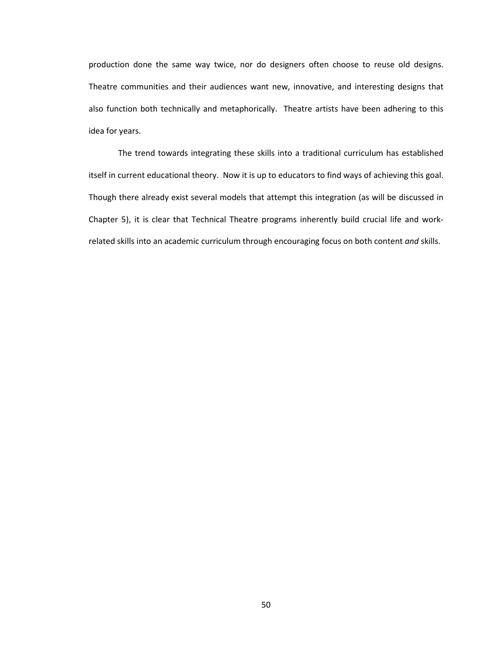production done the same way twice, nor do designers often choose to reuse old designs. Theatre communities and their audiences want new, innovative, and interesting designs that also function both technically and metaphorically. Theatre artists have been adhering to this idea for years.

The trend towards integrating these skills into a traditional curriculum has established itself in current educational theory. Now it is up to educators to find ways of achieving this goal. Though there already exist several models that attempt this integration (as will be discussed in Chapter 5), it is clear that Technical Theatre programs inherently build crucial life and workrelated skills into an academic curriculum through encouraging focus on both content *and* skills.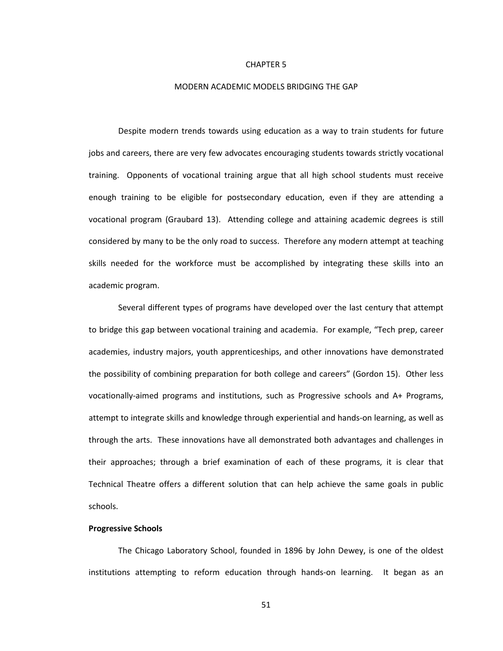#### CHAPTER 5

#### MODERN ACADEMIC MODELS BRIDGING THE GAP

Despite modern trends towards using education as a way to train students for future jobs and careers, there are very few advocates encouraging students towards strictly vocational training. Opponents of vocational training argue that all high school students must receive enough training to be eligible for postsecondary education, even if they are attending a vocational program (Graubard 13). Attending college and attaining academic degrees is still considered by many to be the only road to success. Therefore any modern attempt at teaching skills needed for the workforce must be accomplished by integrating these skills into an academic program.

Several different types of programs have developed over the last century that attempt to bridge this gap between vocational training and academia. For example, "Tech prep, career academies, industry majors, youth apprenticeships, and other innovations have demonstrated the possibility of combining preparation for both college and careers" (Gordon 15). Other less vocationally-aimed programs and institutions, such as Progressive schools and A+ Programs, attempt to integrate skills and knowledge through experiential and hands-on learning, as well as through the arts. These innovations have all demonstrated both advantages and challenges in their approaches; through a brief examination of each of these programs, it is clear that Technical Theatre offers a different solution that can help achieve the same goals in public schools.

### **Progressive Schools**

The Chicago Laboratory School, founded in 1896 by John Dewey, is one of the oldest institutions attempting to reform education through hands-on learning. It began as an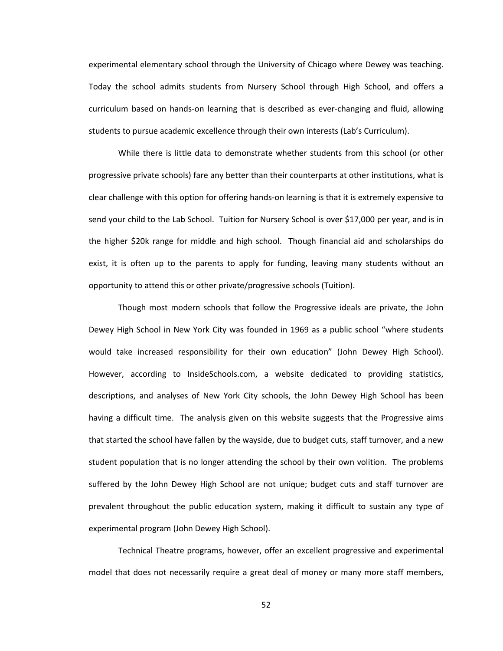experimental elementary school through the University of Chicago where Dewey was teaching. Today the school admits students from Nursery School through High School, and offers a curriculum based on hands-on learning that is described as ever-changing and fluid, allowing students to pursue academic excellence through their own interests (Lab's Curriculum).

While there is little data to demonstrate whether students from this school (or other progressive private schools) fare any better than their counterparts at other institutions, what is clear challenge with this option for offering hands-on learning is that it is extremely expensive to send your child to the Lab School. Tuition for Nursery School is over \$17,000 per year, and is in the higher \$20k range for middle and high school. Though financial aid and scholarships do exist, it is often up to the parents to apply for funding, leaving many students without an opportunity to attend this or other private/progressive schools (Tuition).

Though most modern schools that follow the Progressive ideals are private, the John Dewey High School in New York City was founded in 1969 as a public school "where students would take increased responsibility for their own education" (John Dewey High School). However, according to InsideSchools.com, a website dedicated to providing statistics, descriptions, and analyses of New York City schools, the John Dewey High School has been having a difficult time. The analysis given on this website suggests that the Progressive aims that started the school have fallen by the wayside, due to budget cuts, staff turnover, and a new student population that is no longer attending the school by their own volition. The problems suffered by the John Dewey High School are not unique; budget cuts and staff turnover are prevalent throughout the public education system, making it difficult to sustain any type of experimental program (John Dewey High School).

Technical Theatre programs, however, offer an excellent progressive and experimental model that does not necessarily require a great deal of money or many more staff members,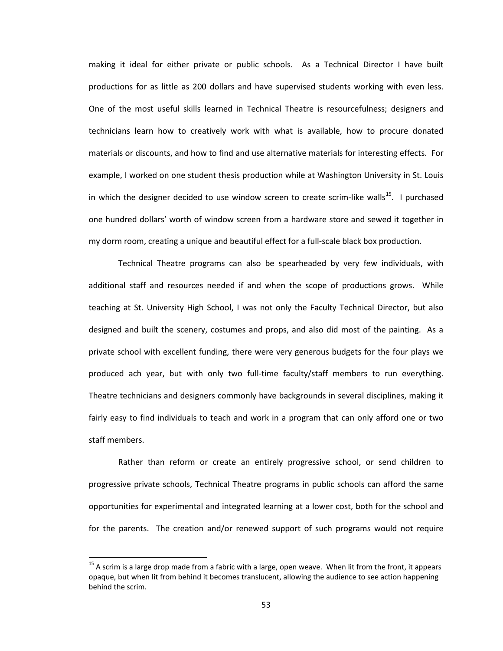making it ideal for either private or public schools. As a Technical Director I have built productions for as little as 200 dollars and have supervised students working with even less. One of the most useful skills learned in Technical Theatre is resourcefulness; designers and technicians learn how to creatively work with what is available, how to procure donated materials or discounts, and how to find and use alternative materials for interesting effects. For example, I worked on one student thesis production while at Washington University in St. Louis in which the designer decided to use window screen to create scrim-like walls<sup>15</sup>. I purchased one hundred dollars' worth of window screen from a hardware store and sewed it together in my dorm room, creating a unique and beautiful effect for a full-scale black box production.

Technical Theatre programs can also be spearheaded by very few individuals, with additional staff and resources needed if and when the scope of productions grows. While teaching at St. University High School, I was not only the Faculty Technical Director, but also designed and built the scenery, costumes and props, and also did most of the painting. As a private school with excellent funding, there were very generous budgets for the four plays we produced ach year, but with only two full-time faculty/staff members to run everything. Theatre technicians and designers commonly have backgrounds in several disciplines, making it fairly easy to find individuals to teach and work in a program that can only afford one or two staff members.

Rather than reform or create an entirely progressive school, or send children to progressive private schools, Technical Theatre programs in public schools can afford the same opportunities for experimental and integrated learning at a lower cost, both for the school and for the parents. The creation and/or renewed support of such programs would not require

l

<span id="page-64-0"></span> $15$  A scrim is a large drop made from a fabric with a large, open weave. When lit from the front, it appears opaque, but when lit from behind it becomes translucent, allowing the audience to see action happening behind the scrim.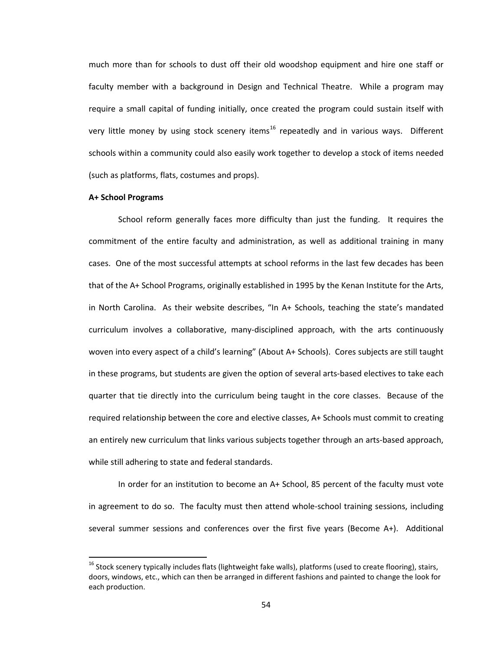much more than for schools to dust off their old woodshop equipment and hire one staff or faculty member with a background in Design and Technical Theatre. While a program may require a small capital of funding initially, once created the program could sustain itself with very little money by using stock scenery items<sup>[16](#page-65-0)</sup> repeatedly and in various ways. Different schools within a community could also easily work together to develop a stock of items needed (such as platforms, flats, costumes and props).

#### **A+ School Programs**

l

School reform generally faces more difficulty than just the funding. It requires the commitment of the entire faculty and administration, as well as additional training in many cases. One of the most successful attempts at school reforms in the last few decades has been that of the A+ School Programs, originally established in 1995 by the Kenan Institute for the Arts, in North Carolina. As their website describes, "In A+ Schools, teaching the state's mandated curriculum involves a collaborative, many-disciplined approach, with the arts continuously woven into every aspect of a child's learning" (About A+ Schools). Cores subjects are still taught in these programs, but students are given the option of several arts-based electives to take each quarter that tie directly into the curriculum being taught in the core classes. Because of the required relationship between the core and elective classes, A+ Schools must commit to creating an entirely new curriculum that links various subjects together through an arts-based approach, while still adhering to state and federal standards.

In order for an institution to become an A+ School, 85 percent of the faculty must vote in agreement to do so. The faculty must then attend whole-school training sessions, including several summer sessions and conferences over the first five years (Become A+). Additional

<span id="page-65-0"></span> $16$  Stock scenery typically includes flats (lightweight fake walls), platforms (used to create flooring), stairs, doors, windows, etc., which can then be arranged in different fashions and painted to change the look for each production.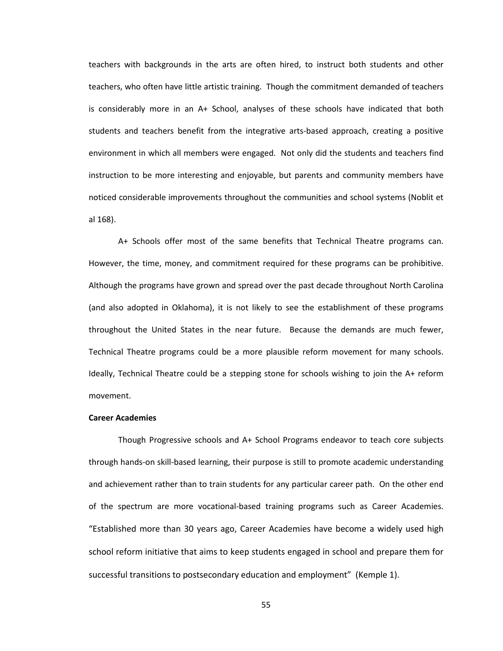teachers with backgrounds in the arts are often hired, to instruct both students and other teachers, who often have little artistic training. Though the commitment demanded of teachers is considerably more in an A+ School, analyses of these schools have indicated that both students and teachers benefit from the integrative arts-based approach, creating a positive environment in which all members were engaged. Not only did the students and teachers find instruction to be more interesting and enjoyable, but parents and community members have noticed considerable improvements throughout the communities and school systems (Noblit et al 168).

A+ Schools offer most of the same benefits that Technical Theatre programs can. However, the time, money, and commitment required for these programs can be prohibitive. Although the programs have grown and spread over the past decade throughout North Carolina (and also adopted in Oklahoma), it is not likely to see the establishment of these programs throughout the United States in the near future. Because the demands are much fewer, Technical Theatre programs could be a more plausible reform movement for many schools. Ideally, Technical Theatre could be a stepping stone for schools wishing to join the A+ reform movement.

### **Career Academies**

Though Progressive schools and A+ School Programs endeavor to teach core subjects through hands-on skill-based learning, their purpose is still to promote academic understanding and achievement rather than to train students for any particular career path. On the other end of the spectrum are more vocational-based training programs such as Career Academies. "Established more than 30 years ago, Career Academies have become a widely used high school reform initiative that aims to keep students engaged in school and prepare them for successful transitions to postsecondary education and employment" (Kemple 1).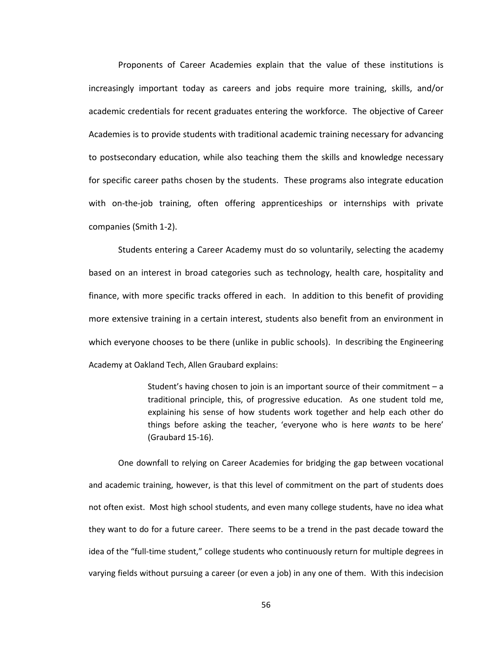Proponents of Career Academies explain that the value of these institutions is increasingly important today as careers and jobs require more training, skills, and/or academic credentials for recent graduates entering the workforce. The objective of Career Academies is to provide students with traditional academic training necessary for advancing to postsecondary education, while also teaching them the skills and knowledge necessary for specific career paths chosen by the students. These programs also integrate education with on-the-job training, often offering apprenticeships or internships with private companies (Smith 1-2).

Students entering a Career Academy must do so voluntarily, selecting the academy based on an interest in broad categories such as technology, health care, hospitality and finance, with more specific tracks offered in each. In addition to this benefit of providing more extensive training in a certain interest, students also benefit from an environment in which everyone chooses to be there (unlike in public schools). In describing the Engineering Academy at Oakland Tech, Allen Graubard explains:

> Student's having chosen to join is an important source of their commitment – a traditional principle, this, of progressive education. As one student told me, explaining his sense of how students work together and help each other do things before asking the teacher, 'everyone who is here *wants* to be here' (Graubard 15-16).

One downfall to relying on Career Academies for bridging the gap between vocational and academic training, however, is that this level of commitment on the part of students does not often exist. Most high school students, and even many college students, have no idea what they want to do for a future career. There seems to be a trend in the past decade toward the idea of the "full-time student," college students who continuously return for multiple degrees in varying fields without pursuing a career (or even a job) in any one of them. With this indecision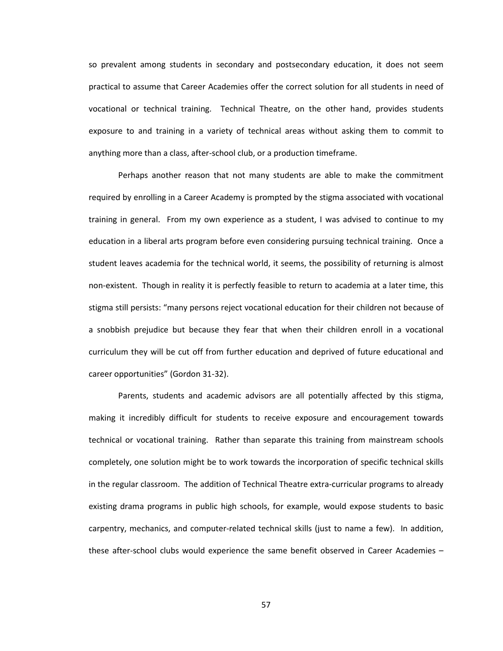so prevalent among students in secondary and postsecondary education, it does not seem practical to assume that Career Academies offer the correct solution for all students in need of vocational or technical training. Technical Theatre, on the other hand, provides students exposure to and training in a variety of technical areas without asking them to commit to anything more than a class, after-school club, or a production timeframe.

Perhaps another reason that not many students are able to make the commitment required by enrolling in a Career Academy is prompted by the stigma associated with vocational training in general. From my own experience as a student, I was advised to continue to my education in a liberal arts program before even considering pursuing technical training. Once a student leaves academia for the technical world, it seems, the possibility of returning is almost non-existent. Though in reality it is perfectly feasible to return to academia at a later time, this stigma still persists: "many persons reject vocational education for their children not because of a snobbish prejudice but because they fear that when their children enroll in a vocational curriculum they will be cut off from further education and deprived of future educational and career opportunities" (Gordon 31-32).

Parents, students and academic advisors are all potentially affected by this stigma, making it incredibly difficult for students to receive exposure and encouragement towards technical or vocational training. Rather than separate this training from mainstream schools completely, one solution might be to work towards the incorporation of specific technical skills in the regular classroom. The addition of Technical Theatre extra-curricular programs to already existing drama programs in public high schools, for example, would expose students to basic carpentry, mechanics, and computer-related technical skills (just to name a few). In addition, these after-school clubs would experience the same benefit observed in Career Academies –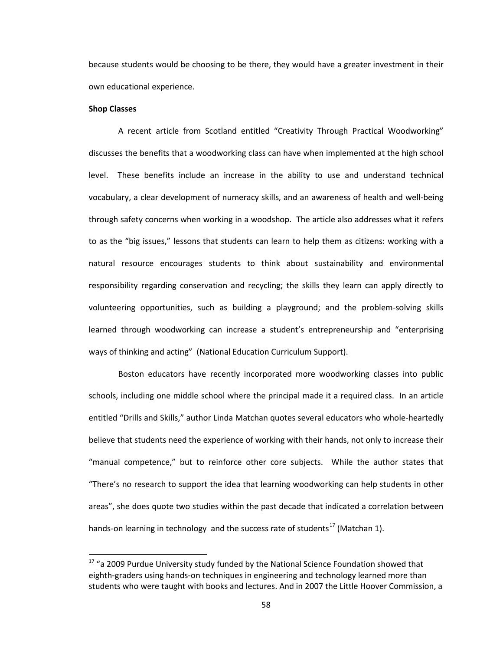because students would be choosing to be there, they would have a greater investment in their own educational experience.

# **Shop Classes**

l

A recent article from Scotland entitled "Creativity Through Practical Woodworking" discusses the benefits that a woodworking class can have when implemented at the high school level. These benefits include an increase in the ability to use and understand technical vocabulary, a clear development of numeracy skills, and an awareness of health and well-being through safety concerns when working in a woodshop. The article also addresses what it refers to as the "big issues," lessons that students can learn to help them as citizens: working with a natural resource encourages students to think about sustainability and environmental responsibility regarding conservation and recycling; the skills they learn can apply directly to volunteering opportunities, such as building a playground; and the problem-solving skills learned through woodworking can increase a student's entrepreneurship and "enterprising ways of thinking and acting" (National Education Curriculum Support).

Boston educators have recently incorporated more woodworking classes into public schools, including one middle school where the principal made it a required class. In an article entitled "Drills and Skills," author Linda Matchan quotes several educators who whole-heartedly believe that students need the experience of working with their hands, not only to increase their "manual competence," but to reinforce other core subjects. While the author states that "There's no research to support the idea that learning woodworking can help students in other areas", she does quote two studies within the past decade that indicated a correlation between hands-on learning in technology and the success rate of students<sup>[17](#page-69-0)</sup> (Matchan 1).

<span id="page-69-0"></span> $17$  "a 2009 Purdue University study funded by the National Science Foundation showed that eighth-graders using hands-on techniques in engineering and technology learned more than students who were taught with books and lectures. And in 2007 the Little Hoover Commission, a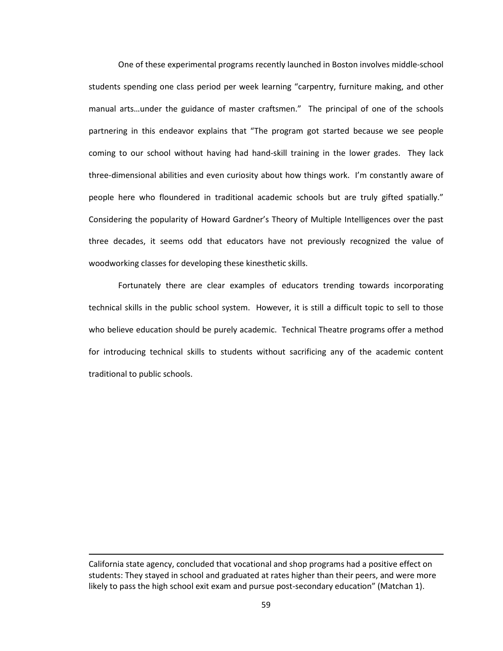One of these experimental programs recently launched in Boston involves middle-school students spending one class period per week learning "carpentry, furniture making, and other manual arts…under the guidance of master craftsmen." The principal of one of the schools partnering in this endeavor explains that "The program got started because we see people coming to our school without having had hand-skill training in the lower grades. They lack three-dimensional abilities and even curiosity about how things work. I'm constantly aware of people here who floundered in traditional academic schools but are truly gifted spatially." Considering the popularity of Howard Gardner's Theory of Multiple Intelligences over the past three decades, it seems odd that educators have not previously recognized the value of woodworking classes for developing these kinesthetic skills.

Fortunately there are clear examples of educators trending towards incorporating technical skills in the public school system. However, it is still a difficult topic to sell to those who believe education should be purely academic. Technical Theatre programs offer a method for introducing technical skills to students without sacrificing any of the academic content traditional to public schools.

l

California state agency, concluded that vocational and shop programs had a positive effect on students: They stayed in school and graduated at rates higher than their peers, and were more likely to pass the high school exit exam and pursue post-secondary education" (Matchan 1).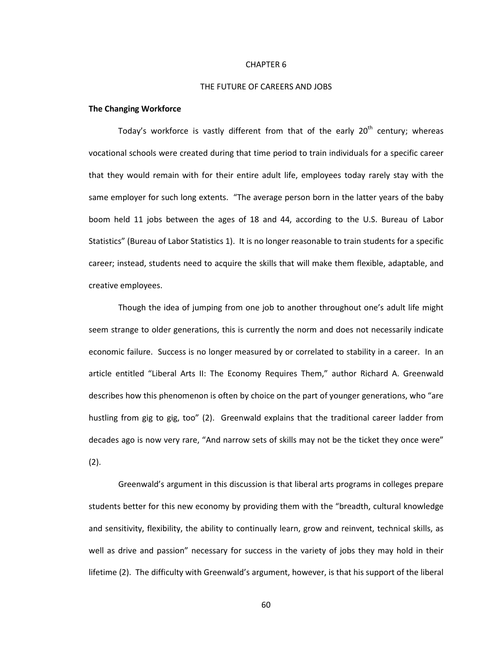#### CHAPTER 6

#### THE FUTURE OF CAREERS AND JOBS

# **The Changing Workforce**

Today's workforce is vastly different from that of the early  $20<sup>th</sup>$  century; whereas vocational schools were created during that time period to train individuals for a specific career that they would remain with for their entire adult life, employees today rarely stay with the same employer for such long extents. "The average person born in the latter years of the baby boom held 11 jobs between the ages of 18 and 44, according to the U.S. Bureau of Labor Statistics" (Bureau of Labor Statistics 1). It is no longer reasonable to train students for a specific career; instead, students need to acquire the skills that will make them flexible, adaptable, and creative employees.

Though the idea of jumping from one job to another throughout one's adult life might seem strange to older generations, this is currently the norm and does not necessarily indicate economic failure. Success is no longer measured by or correlated to stability in a career. In an article entitled "Liberal Arts II: The Economy Requires Them," author Richard A. Greenwald describes how this phenomenon is often by choice on the part of younger generations, who "are hustling from gig to gig, too" (2). Greenwald explains that the traditional career ladder from decades ago is now very rare, "And narrow sets of skills may not be the ticket they once were" (2).

Greenwald's argument in this discussion is that liberal arts programs in colleges prepare students better for this new economy by providing them with the "breadth, cultural knowledge and sensitivity, flexibility, the ability to continually learn, grow and reinvent, technical skills, as well as drive and passion" necessary for success in the variety of jobs they may hold in their lifetime (2). The difficulty with Greenwald's argument, however, is that his support of the liberal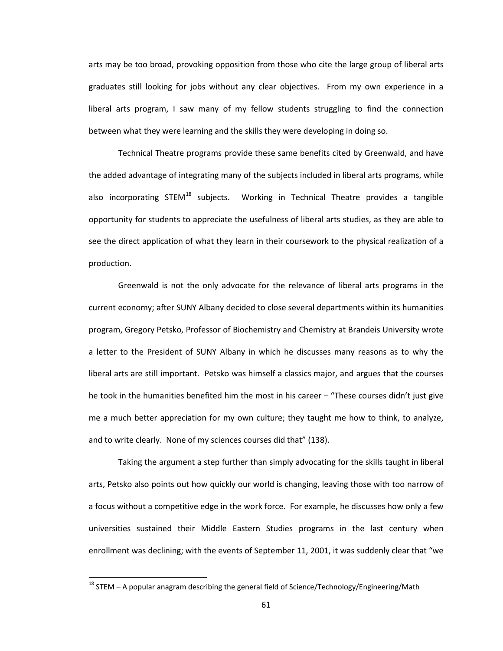arts may be too broad, provoking opposition from those who cite the large group of liberal arts graduates still looking for jobs without any clear objectives. From my own experience in a liberal arts program, I saw many of my fellow students struggling to find the connection between what they were learning and the skills they were developing in doing so.

Technical Theatre programs provide these same benefits cited by Greenwald, and have the added advantage of integrating many of the subjects included in liberal arts programs, while also incorporating STEM<sup>[18](#page-72-0)</sup> subjects. Working in Technical Theatre provides a tangible opportunity for students to appreciate the usefulness of liberal arts studies, as they are able to see the direct application of what they learn in their coursework to the physical realization of a production.

Greenwald is not the only advocate for the relevance of liberal arts programs in the current economy; after SUNY Albany decided to close several departments within its humanities program, Gregory Petsko, Professor of Biochemistry and Chemistry at Brandeis University wrote a letter to the President of SUNY Albany in which he discusses many reasons as to why the liberal arts are still important. Petsko was himself a classics major, and argues that the courses he took in the humanities benefited him the most in his career – "These courses didn't just give me a much better appreciation for my own culture; they taught me how to think, to analyze, and to write clearly. None of my sciences courses did that" (138).

Taking the argument a step further than simply advocating for the skills taught in liberal arts, Petsko also points out how quickly our world is changing, leaving those with too narrow of a focus without a competitive edge in the work force. For example, he discusses how only a few universities sustained their Middle Eastern Studies programs in the last century when enrollment was declining; with the events of September 11, 2001, it was suddenly clear that "we

l

<span id="page-72-0"></span> $18$  STEM – A popular anagram describing the general field of Science/Technology/Engineering/Math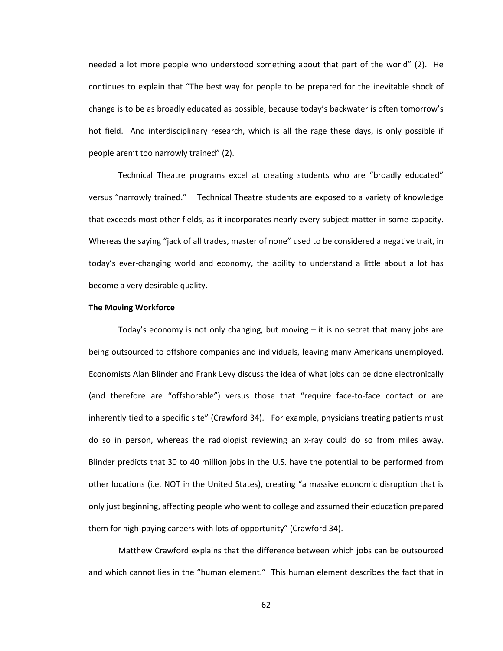needed a lot more people who understood something about that part of the world" (2). He continues to explain that "The best way for people to be prepared for the inevitable shock of change is to be as broadly educated as possible, because today's backwater is often tomorrow's hot field. And interdisciplinary research, which is all the rage these days, is only possible if people aren't too narrowly trained" (2).

Technical Theatre programs excel at creating students who are "broadly educated" versus "narrowly trained." Technical Theatre students are exposed to a variety of knowledge that exceeds most other fields, as it incorporates nearly every subject matter in some capacity. Whereas the saying "jack of all trades, master of none" used to be considered a negative trait, in today's ever-changing world and economy, the ability to understand a little about a lot has become a very desirable quality.

#### **The Moving Workforce**

Today's economy is not only changing, but moving – it is no secret that many jobs are being outsourced to offshore companies and individuals, leaving many Americans unemployed. Economists Alan Blinder and Frank Levy discuss the idea of what jobs can be done electronically (and therefore are "offshorable") versus those that "require face-to-face contact or are inherently tied to a specific site" (Crawford 34). For example, physicians treating patients must do so in person, whereas the radiologist reviewing an x-ray could do so from miles away. Blinder predicts that 30 to 40 million jobs in the U.S. have the potential to be performed from other locations (i.e. NOT in the United States), creating "a massive economic disruption that is only just beginning, affecting people who went to college and assumed their education prepared them for high-paying careers with lots of opportunity" (Crawford 34).

Matthew Crawford explains that the difference between which jobs can be outsourced and which cannot lies in the "human element." This human element describes the fact that in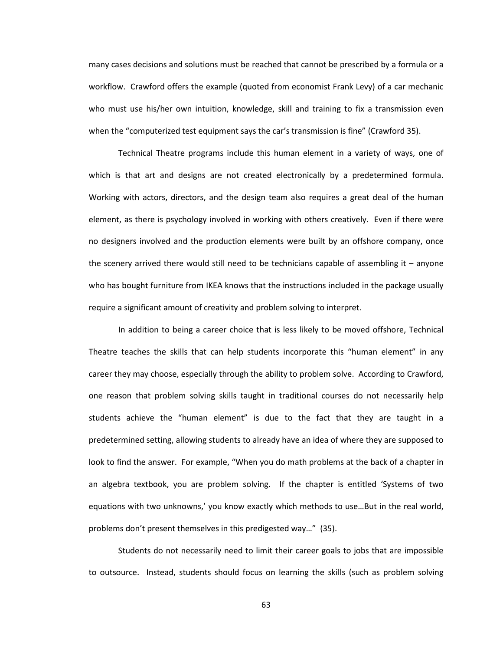many cases decisions and solutions must be reached that cannot be prescribed by a formula or a workflow. Crawford offers the example (quoted from economist Frank Levy) of a car mechanic who must use his/her own intuition, knowledge, skill and training to fix a transmission even when the "computerized test equipment says the car's transmission is fine" (Crawford 35).

Technical Theatre programs include this human element in a variety of ways, one of which is that art and designs are not created electronically by a predetermined formula. Working with actors, directors, and the design team also requires a great deal of the human element, as there is psychology involved in working with others creatively. Even if there were no designers involved and the production elements were built by an offshore company, once the scenery arrived there would still need to be technicians capable of assembling it – anyone who has bought furniture from IKEA knows that the instructions included in the package usually require a significant amount of creativity and problem solving to interpret.

In addition to being a career choice that is less likely to be moved offshore, Technical Theatre teaches the skills that can help students incorporate this "human element" in any career they may choose, especially through the ability to problem solve. According to Crawford, one reason that problem solving skills taught in traditional courses do not necessarily help students achieve the "human element" is due to the fact that they are taught in a predetermined setting, allowing students to already have an idea of where they are supposed to look to find the answer. For example, "When you do math problems at the back of a chapter in an algebra textbook, you are problem solving. If the chapter is entitled 'Systems of two equations with two unknowns,' you know exactly which methods to use…But in the real world, problems don't present themselves in this predigested way…" (35).

Students do not necessarily need to limit their career goals to jobs that are impossible to outsource. Instead, students should focus on learning the skills (such as problem solving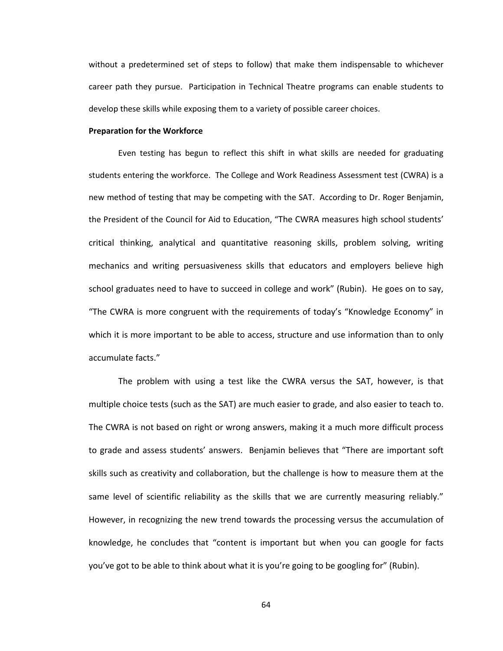without a predetermined set of steps to follow) that make them indispensable to whichever career path they pursue. Participation in Technical Theatre programs can enable students to develop these skills while exposing them to a variety of possible career choices.

#### **Preparation for the Workforce**

Even testing has begun to reflect this shift in what skills are needed for graduating students entering the workforce. The College and Work Readiness Assessment test (CWRA) is a new method of testing that may be competing with the SAT. According to Dr. Roger Benjamin, the President of the Council for Aid to Education, "The CWRA measures high school students' critical thinking, analytical and quantitative reasoning skills, problem solving, writing mechanics and writing persuasiveness skills that educators and employers believe high school graduates need to have to succeed in college and work" (Rubin). He goes on to say, "The CWRA is more congruent with the requirements of today's "Knowledge Economy" in which it is more important to be able to access, structure and use information than to only accumulate facts."

The problem with using a test like the CWRA versus the SAT, however, is that multiple choice tests (such as the SAT) are much easier to grade, and also easier to teach to. The CWRA is not based on right or wrong answers, making it a much more difficult process to grade and assess students' answers. Benjamin believes that "There are important soft skills such as creativity and collaboration, but the challenge is how to measure them at the same level of scientific reliability as the skills that we are currently measuring reliably." However, in recognizing the new trend towards the processing versus the accumulation of knowledge, he concludes that "content is important but when you can google for facts you've got to be able to think about what it is you're going to be googling for" (Rubin).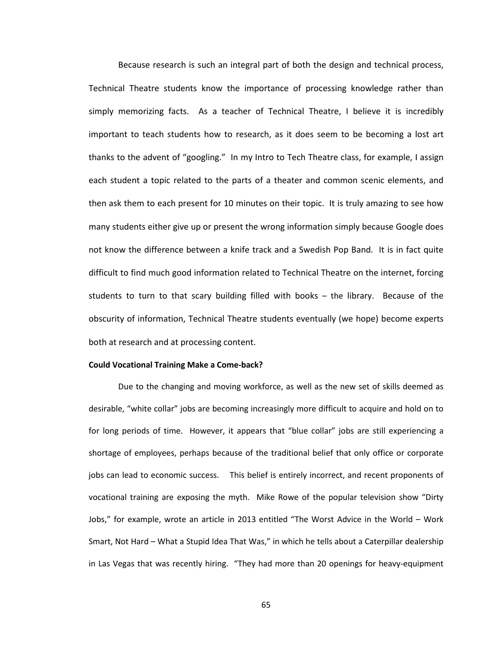Because research is such an integral part of both the design and technical process, Technical Theatre students know the importance of processing knowledge rather than simply memorizing facts. As a teacher of Technical Theatre, I believe it is incredibly important to teach students how to research, as it does seem to be becoming a lost art thanks to the advent of "googling." In my Intro to Tech Theatre class, for example, I assign each student a topic related to the parts of a theater and common scenic elements, and then ask them to each present for 10 minutes on their topic. It is truly amazing to see how many students either give up or present the wrong information simply because Google does not know the difference between a knife track and a Swedish Pop Band. It is in fact quite difficult to find much good information related to Technical Theatre on the internet, forcing students to turn to that scary building filled with books – the library. Because of the obscurity of information, Technical Theatre students eventually (we hope) become experts both at research and at processing content.

#### **Could Vocational Training Make a Come-back?**

Due to the changing and moving workforce, as well as the new set of skills deemed as desirable, "white collar" jobs are becoming increasingly more difficult to acquire and hold on to for long periods of time. However, it appears that "blue collar" jobs are still experiencing a shortage of employees, perhaps because of the traditional belief that only office or corporate jobs can lead to economic success. This belief is entirely incorrect, and recent proponents of vocational training are exposing the myth. Mike Rowe of the popular television show "Dirty Jobs," for example, wrote an article in 2013 entitled "The Worst Advice in the World – Work Smart, Not Hard – What a Stupid Idea That Was," in which he tells about a Caterpillar dealership in Las Vegas that was recently hiring. "They had more than 20 openings for heavy-equipment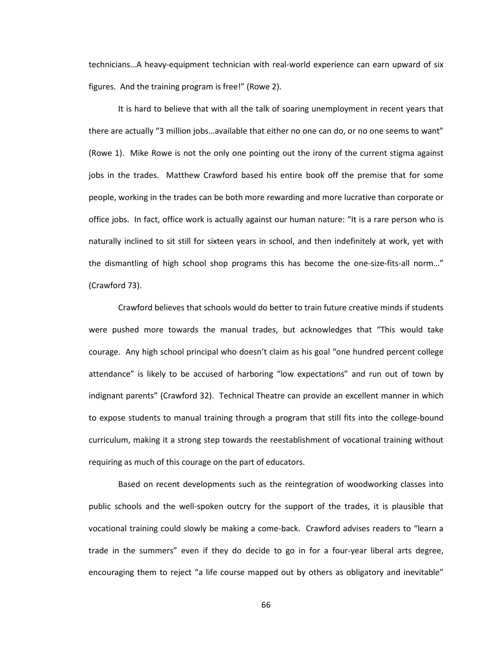technicians…A heavy-equipment technician with real-world experience can earn upward of six figures. And the training program is free!" (Rowe 2).

It is hard to believe that with all the talk of soaring unemployment in recent years that there are actually "3 million jobs…available that either no one can do, or no one seems to want" (Rowe 1). Mike Rowe is not the only one pointing out the irony of the current stigma against jobs in the trades. Matthew Crawford based his entire book off the premise that for some people, working in the trades can be both more rewarding and more lucrative than corporate or office jobs. In fact, office work is actually against our human nature: "It is a rare person who is naturally inclined to sit still for sixteen years in school, and then indefinitely at work, yet with the dismantling of high school shop programs this has become the one-size-fits-all norm…" (Crawford 73).

Crawford believes that schools would do better to train future creative minds if students were pushed more towards the manual trades, but acknowledges that "This would take courage. Any high school principal who doesn't claim as his goal "one hundred percent college attendance" is likely to be accused of harboring "low expectations" and run out of town by indignant parents" (Crawford 32). Technical Theatre can provide an excellent manner in which to expose students to manual training through a program that still fits into the college-bound curriculum, making it a strong step towards the reestablishment of vocational training without requiring as much of this courage on the part of educators.

Based on recent developments such as the reintegration of woodworking classes into public schools and the well-spoken outcry for the support of the trades, it is plausible that vocational training could slowly be making a come-back. Crawford advises readers to "learn a trade in the summers" even if they do decide to go in for a four-year liberal arts degree, encouraging them to reject "a life course mapped out by others as obligatory and inevitable"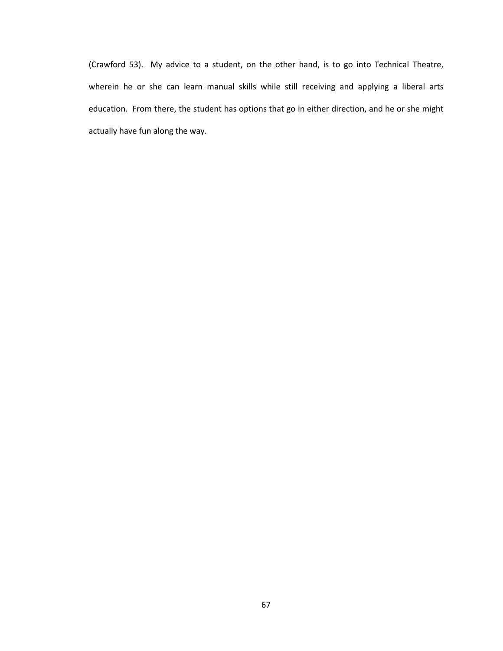(Crawford 53). My advice to a student, on the other hand, is to go into Technical Theatre, wherein he or she can learn manual skills while still receiving and applying a liberal arts education. From there, the student has options that go in either direction, and he or she might actually have fun along the way.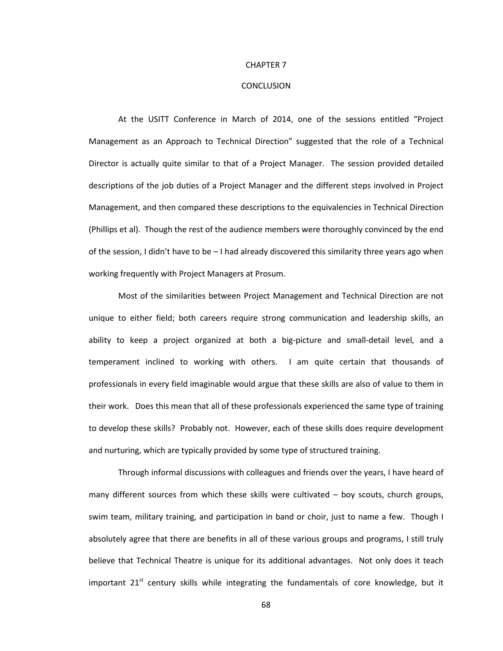#### CHAPTER 7

#### **CONCLUSION**

At the USITT Conference in March of 2014, one of the sessions entitled "Project Management as an Approach to Technical Direction" suggested that the role of a Technical Director is actually quite similar to that of a Project Manager. The session provided detailed descriptions of the job duties of a Project Manager and the different steps involved in Project Management, and then compared these descriptions to the equivalencies in Technical Direction (Phillips et al). Though the rest of the audience members were thoroughly convinced by the end of the session, I didn't have to be – I had already discovered this similarity three years ago when working frequently with Project Managers at Prosum.

Most of the similarities between Project Management and Technical Direction are not unique to either field; both careers require strong communication and leadership skills, an ability to keep a project organized at both a big-picture and small-detail level, and a temperament inclined to working with others. I am quite certain that thousands of professionals in every field imaginable would argue that these skills are also of value to them in their work. Does this mean that all of these professionals experienced the same type of training to develop these skills? Probably not. However, each of these skills does require development and nurturing, which are typically provided by some type of structured training.

Through informal discussions with colleagues and friends over the years, I have heard of many different sources from which these skills were cultivated – boy scouts, church groups, swim team, military training, and participation in band or choir, just to name a few. Though I absolutely agree that there are benefits in all of these various groups and programs, I still truly believe that Technical Theatre is unique for its additional advantages. Not only does it teach important  $21^{st}$  century skills while integrating the fundamentals of core knowledge, but it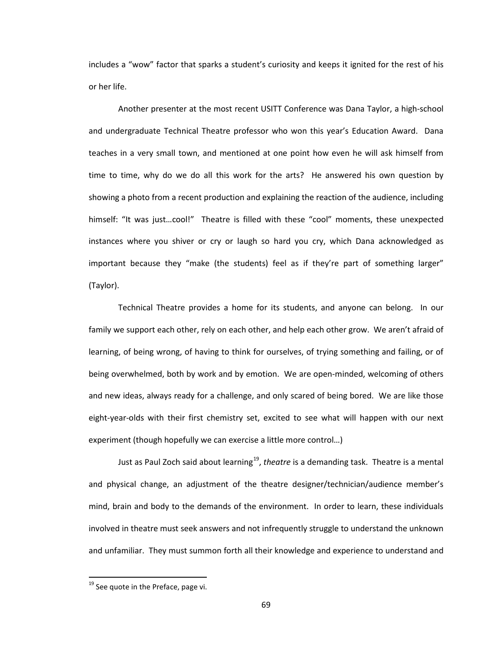includes a "wow" factor that sparks a student's curiosity and keeps it ignited for the rest of his or her life.

Another presenter at the most recent USITT Conference was Dana Taylor, a high-school and undergraduate Technical Theatre professor who won this year's Education Award. Dana teaches in a very small town, and mentioned at one point how even he will ask himself from time to time, why do we do all this work for the arts? He answered his own question by showing a photo from a recent production and explaining the reaction of the audience, including himself: "It was just…cool!" Theatre is filled with these "cool" moments, these unexpected instances where you shiver or cry or laugh so hard you cry, which Dana acknowledged as important because they "make (the students) feel as if they're part of something larger" (Taylor).

Technical Theatre provides a home for its students, and anyone can belong. In our family we support each other, rely on each other, and help each other grow. We aren't afraid of learning, of being wrong, of having to think for ourselves, of trying something and failing, or of being overwhelmed, both by work and by emotion. We are open-minded, welcoming of others and new ideas, always ready for a challenge, and only scared of being bored. We are like those eight-year-olds with their first chemistry set, excited to see what will happen with our next experiment (though hopefully we can exercise a little more control…)

Just as Paul Zoch said about learning<sup>[19](#page-80-0)</sup>, *theatre* is a demanding task. Theatre is a mental and physical change, an adjustment of the theatre designer/technician/audience member's mind, brain and body to the demands of the environment. In order to learn, these individuals involved in theatre must seek answers and not infrequently struggle to understand the unknown and unfamiliar. They must summon forth all their knowledge and experience to understand and

l

<span id="page-80-0"></span> $19$  See quote in the Preface, page vi.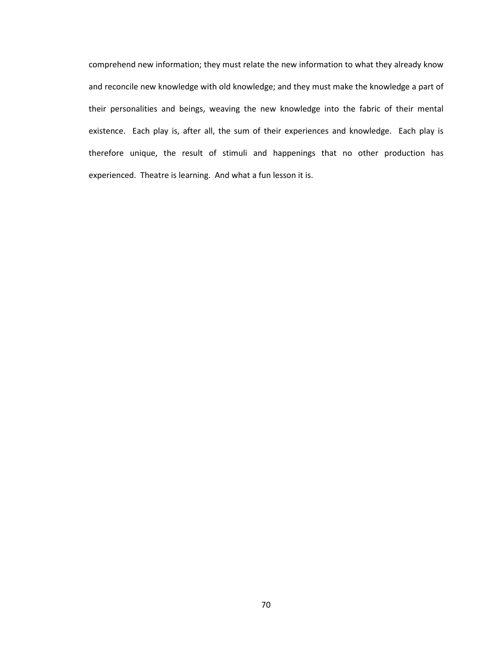comprehend new information; they must relate the new information to what they already know and reconcile new knowledge with old knowledge; and they must make the knowledge a part of their personalities and beings, weaving the new knowledge into the fabric of their mental existence. Each play is, after all, the sum of their experiences and knowledge. Each play is therefore unique, the result of stimuli and happenings that no other production has experienced. Theatre is learning. And what a fun lesson it is.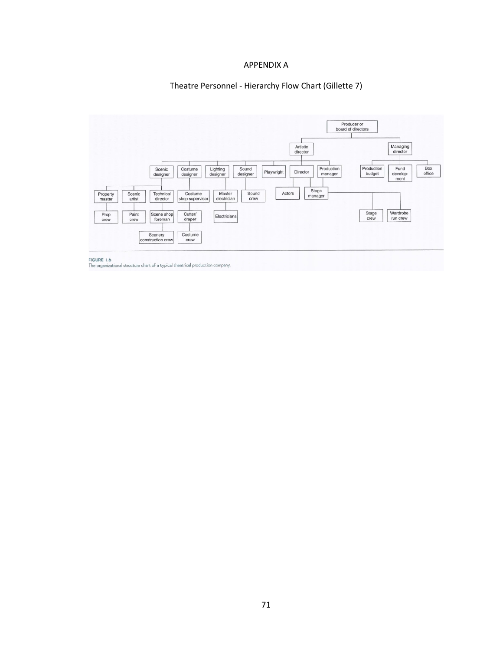## APPENDIX A

#### Theatre Personnel - Hierarchy Flow Chart (Gillette 7)



FIGURE 1.6<br>The organizational structure chart of a typical theatrical production company.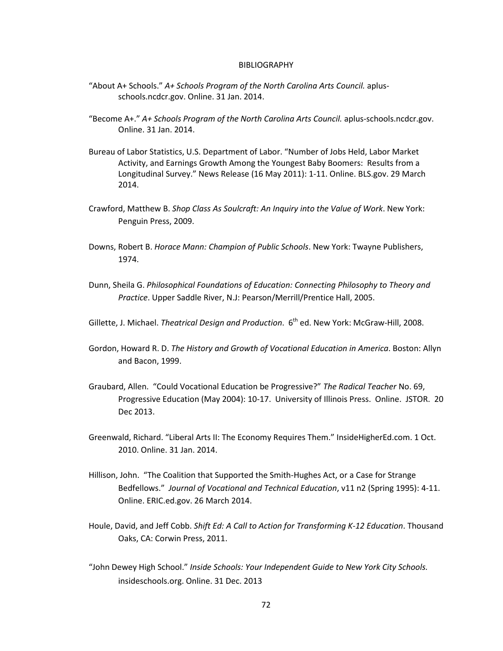#### BIBLIOGRAPHY

- "About A+ Schools." *A+ Schools Program of the North Carolina Arts Council.* aplusschools.ncdcr.gov. Online. 31 Jan. 2014.
- "Become A+." *A+ Schools Program of the North Carolina Arts Council.* aplus-schools.ncdcr.gov. Online. 31 Jan. 2014.
- Bureau of Labor Statistics, U.S. Department of Labor. "Number of Jobs Held, Labor Market Activity, and Earnings Growth Among the Youngest Baby Boomers: Results from a Longitudinal Survey." News Release (16 May 2011): 1-11. Online. BLS.gov. 29 March 2014.
- Crawford, Matthew B. *Shop Class As Soulcraft: An Inquiry into the Value of Work*. New York: Penguin Press, 2009.
- Downs, Robert B. *Horace Mann: Champion of Public Schools*. New York: Twayne Publishers, 1974.
- Dunn, Sheila G. *Philosophical Foundations of Education: Connecting Philosophy to Theory and Practice*. Upper Saddle River, N.J: Pearson/Merrill/Prentice Hall, 2005.
- Gillette, J. Michael. *Theatrical Design and Production*. 6<sup>th</sup> ed. New York: McGraw-Hill, 2008.
- Gordon, Howard R. D. *The History and Growth of Vocational Education in America*. Boston: Allyn and Bacon, 1999.
- Graubard, Allen. "Could Vocational Education be Progressive?" *The Radical Teacher* No. 69, Progressive Education (May 2004): 10-17. University of Illinois Press. Online. JSTOR. 20 Dec 2013.
- Greenwald, Richard. "Liberal Arts II: The Economy Requires Them." InsideHigherEd.com. 1 Oct. 2010. Online. 31 Jan. 2014.
- Hillison, John. "The Coalition that Supported the Smith-Hughes Act, or a Case for Strange Bedfellows." *Journal of Vocational and Technical Education*, v11 n2 (Spring 1995): 4-11. Online. ERIC.ed.gov. 26 March 2014.
- Houle, David, and Jeff Cobb. *Shift Ed: A Call to Action for Transforming K-12 Education*. Thousand Oaks, CA: Corwin Press, 2011.
- "John Dewey High School." *Inside Schools: Your Independent Guide to New York City Schools.* insideschools.org. Online. 31 Dec. 2013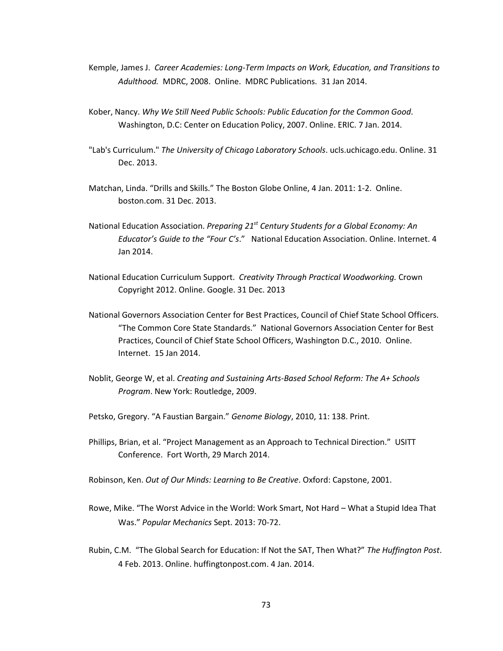- Kemple, James J. *Career Academies: Long-Term Impacts on Work, Education, and Transitions to Adulthood.* MDRC, 2008. Online. MDRC Publications. 31 Jan 2014.
- Kober, Nancy. *Why We Still Need Public Schools: Public Education for the Common Good*. Washington, D.C: Center on Education Policy, 2007. Online. ERIC. 7 Jan. 2014.
- "Lab's Curriculum." *The University of Chicago Laboratory Schools*. ucls.uchicago.edu. Online. 31 Dec. 2013.
- Matchan, Linda. "Drills and Skills." The Boston Globe Online, 4 Jan. 2011: 1-2. Online. boston.com. 31 Dec. 2013.
- National Education Association. *Preparing 21st Century Students for a Global Economy: An Educator's Guide to the "Four C's*." National Education Association. Online. Internet. 4 Jan 2014.
- National Education Curriculum Support. *Creativity Through Practical Woodworking.* Crown Copyright 2012. Online. Google. 31 Dec. 2013
- National Governors Association Center for Best Practices, Council of Chief State School Officers. "The Common Core State Standards." National Governors Association Center for Best Practices, Council of Chief State School Officers, Washington D.C., 2010. Online. Internet. 15 Jan 2014.
- Noblit, George W, et al. *Creating and Sustaining Arts-Based School Reform: The A+ Schools Program*. New York: Routledge, 2009.
- Petsko, Gregory. "A Faustian Bargain." *Genome Biology*, 2010, 11: 138. Print.
- Phillips, Brian, et al. "Project Management as an Approach to Technical Direction." USITT Conference. Fort Worth, 29 March 2014.
- Robinson, Ken. *Out of Our Minds: Learning to Be Creative*. Oxford: Capstone, 2001.
- Rowe, Mike. "The Worst Advice in the World: Work Smart, Not Hard What a Stupid Idea That Was." *Popular Mechanics* Sept. 2013: 70-72.
- Rubin, C.M. "The Global Search for Education: If Not the SAT, Then What?" *The Huffington Post*. 4 Feb. 2013. Online. huffingtonpost.com. 4 Jan. 2014.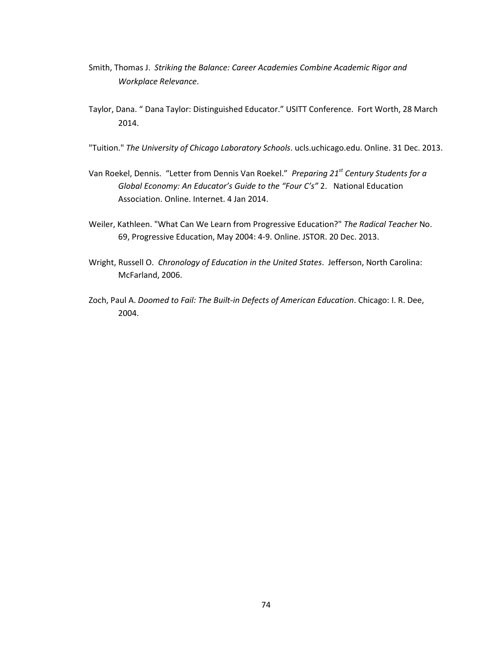- Smith, Thomas J. *Striking the Balance: Career Academies Combine Academic Rigor and Workplace Relevance*.
- Taylor, Dana. " Dana Taylor: Distinguished Educator." USITT Conference. Fort Worth, 28 March 2014.
- "Tuition." *The University of Chicago Laboratory Schools*. ucls.uchicago.edu. Online. 31 Dec. 2013.
- Van Roekel, Dennis. "Letter from Dennis Van Roekel." *Preparing 21st Century Students for a Global Economy: An Educator's Guide to the "Four C's"* 2. National Education Association. Online. Internet. 4 Jan 2014.
- Weiler, Kathleen. "What Can We Learn from Progressive Education?" *The Radical Teacher* No. 69, Progressive Education, May 2004: 4-9. Online. JSTOR. 20 Dec. 2013.
- Wright, Russell O. *Chronology of Education in the United States*. Jefferson, North Carolina: McFarland, 2006.
- Zoch, Paul A. *Doomed to Fail: The Built-in Defects of American Education*. Chicago: I. R. Dee, 2004.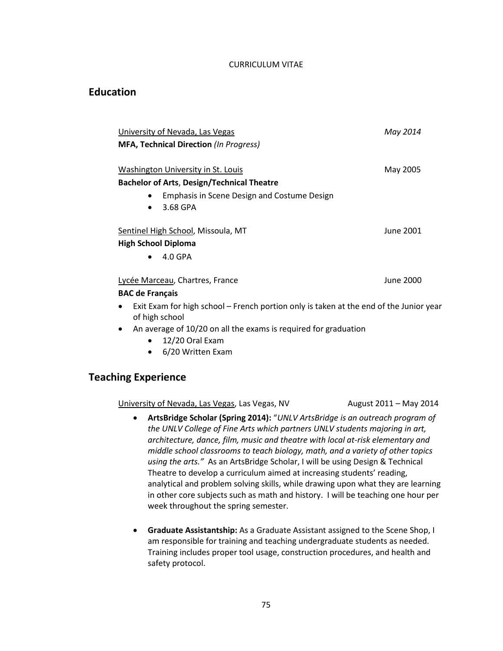#### CURRICULUM VITAE

## **Education**

| University of Nevada, Las Vegas                                                                                       | May 2014  |
|-----------------------------------------------------------------------------------------------------------------------|-----------|
| <b>MFA, Technical Direction (In Progress)</b>                                                                         |           |
|                                                                                                                       |           |
| Washington University in St. Louis                                                                                    | May 2005  |
| <b>Bachelor of Arts, Design/Technical Theatre</b>                                                                     |           |
| Emphasis in Scene Design and Costume Design                                                                           |           |
| 3.68 GPA<br>$\bullet$                                                                                                 |           |
| Sentinel High School, Missoula, MT                                                                                    | June 2001 |
| <b>High School Diploma</b>                                                                                            |           |
| $4.0$ GPA<br>$\bullet$                                                                                                |           |
| Lycée Marceau, Chartres, France                                                                                       | June 2000 |
| <b>BAC de Français</b>                                                                                                |           |
| Exit Exam for high school – French portion only is taken at the end of the Junior year<br>$\bullet$<br>of high school |           |
| An our report of $10/20$ and the our meals required for one duction                                                   |           |

- An average of 10/20 on all the exams is required for graduation
	- 12/20 Oral Exam
	- 6/20 Written Exam

# **Teaching Experience**

University of Nevada, Las Vegas, Las Vegas, NV August 2011 – May 2014

- **ArtsBridge Scholar (Spring 2014):** "*UNLV ArtsBridge is an outreach program of the UNLV College of Fine Arts which partners UNLV students majoring in art, architecture, dance, film, music and theatre with local at-risk elementary and middle school classrooms to teach biology, math, and a variety of other topics using the arts."* As an ArtsBridge Scholar, I will be using Design & Technical Theatre to develop a curriculum aimed at increasing students' reading, analytical and problem solving skills, while drawing upon what they are learning in other core subjects such as math and history. I will be teaching one hour per week throughout the spring semester.
- **Graduate Assistantship:** As a Graduate Assistant assigned to the Scene Shop, I am responsible for training and teaching undergraduate students as needed. Training includes proper tool usage, construction procedures, and health and safety protocol.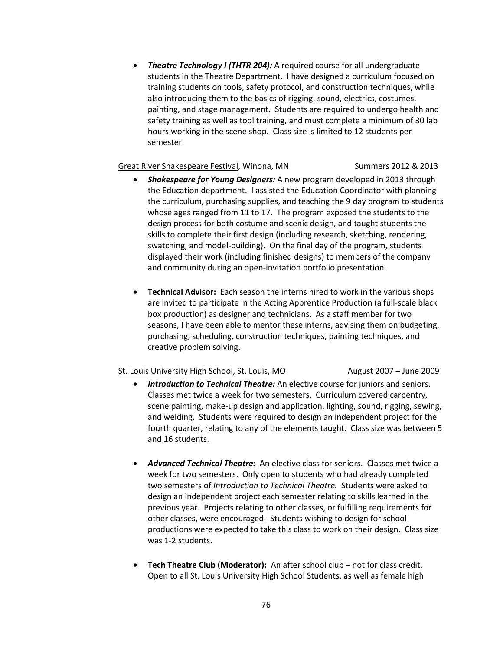• *Theatre Technology I (THTR 204):* A required course for all undergraduate students in the Theatre Department. I have designed a curriculum focused on training students on tools, safety protocol, and construction techniques, while also introducing them to the basics of rigging, sound, electrics, costumes, painting, and stage management. Students are required to undergo health and safety training as well as tool training, and must complete a minimum of 30 lab hours working in the scene shop. Class size is limited to 12 students per semester.

#### Great River Shakespeare Festival, Winona, MN Summers 2012 & 2013

- *Shakespeare for Young Designers:* A new program developed in 2013 through the Education department. I assisted the Education Coordinator with planning the curriculum, purchasing supplies, and teaching the 9 day program to students whose ages ranged from 11 to 17. The program exposed the students to the design process for both costume and scenic design, and taught students the skills to complete their first design (including research, sketching, rendering, swatching, and model-building). On the final day of the program, students displayed their work (including finished designs) to members of the company and community during an open-invitation portfolio presentation.
- **Technical Advisor:** Each season the interns hired to work in the various shops are invited to participate in the Acting Apprentice Production (a full-scale black box production) as designer and technicians. As a staff member for two seasons, I have been able to mentor these interns, advising them on budgeting, purchasing, scheduling, construction techniques, painting techniques, and creative problem solving.

## St. Louis University High School, St. Louis, MO August 2007 – June 2009

- *Introduction to Technical Theatre:* An elective course for juniors and seniors. Classes met twice a week for two semesters. Curriculum covered carpentry, scene painting, make-up design and application, lighting, sound, rigging, sewing, and welding. Students were required to design an independent project for the fourth quarter, relating to any of the elements taught. Class size was between 5 and 16 students.
- *Advanced Technical Theatre:* An elective class for seniors. Classes met twice a week for two semesters. Only open to students who had already completed two semesters of *Introduction to Technical Theatre.* Students were asked to design an independent project each semester relating to skills learned in the previous year. Projects relating to other classes, or fulfilling requirements for other classes, were encouraged. Students wishing to design for school productions were expected to take this class to work on their design. Class size was 1-2 students.
- **Tech Theatre Club (Moderator):** An after school club not for class credit. Open to all St. Louis University High School Students, as well as female high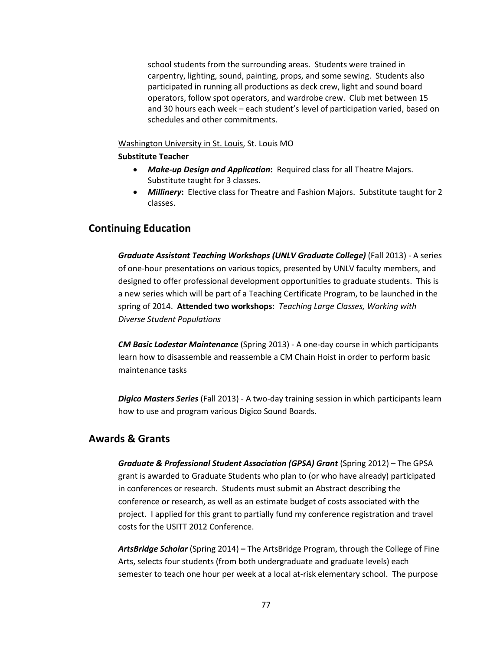school students from the surrounding areas. Students were trained in carpentry, lighting, sound, painting, props, and some sewing. Students also participated in running all productions as deck crew, light and sound board operators, follow spot operators, and wardrobe crew. Club met between 15 and 30 hours each week – each student's level of participation varied, based on schedules and other commitments.

## Washington University in St. Louis, St. Louis MO

#### **Substitute Teacher**

- *Make-up Design and Application***:** Required class for all Theatre Majors. Substitute taught for 3 classes.
- *Millinery***:** Elective class for Theatre and Fashion Majors. Substitute taught for 2 classes.

## **Continuing Education**

*Graduate Assistant Teaching Workshops (UNLV Graduate College)* (Fall 2013) - A series of one-hour presentations on various topics, presented by UNLV faculty members, and designed to offer professional development opportunities to graduate students. This is a new series which will be part of a Teaching Certificate Program, to be launched in the spring of 2014. **Attended two workshops:** *Teaching Large Classes, Working with Diverse Student Populations*

*CM Basic Lodestar Maintenance* (Spring 2013) - A one-day course in which participants learn how to disassemble and reassemble a CM Chain Hoist in order to perform basic maintenance tasks

*Digico Masters Series* (Fall 2013) - A two-day training session in which participants learn how to use and program various Digico Sound Boards.

# **Awards & Grants**

*Graduate & Professional Student Association (GPSA) Grant* (Spring 2012) – The GPSA grant is awarded to Graduate Students who plan to (or who have already) participated in conferences or research. Students must submit an Abstract describing the conference or research, as well as an estimate budget of costs associated with the project. I applied for this grant to partially fund my conference registration and travel costs for the USITT 2012 Conference.

*ArtsBridge Scholar* (Spring 2014) *–* The ArtsBridge Program, through the College of Fine Arts, selects four students (from both undergraduate and graduate levels) each semester to teach one hour per week at a local at-risk elementary school. The purpose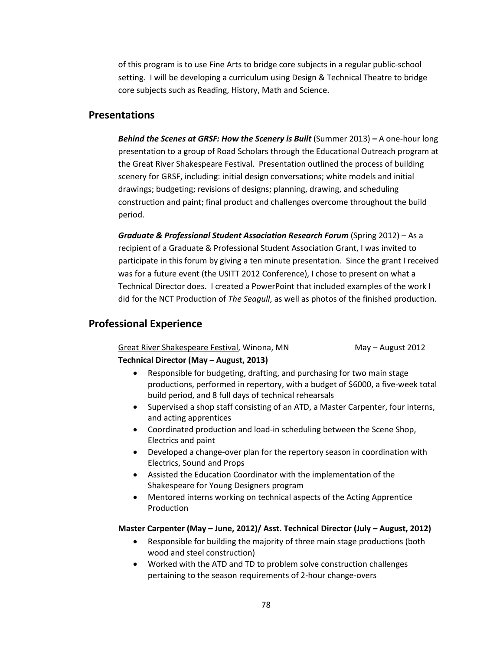of this program is to use Fine Arts to bridge core subjects in a regular public-school setting. I will be developing a curriculum using Design & Technical Theatre to bridge core subjects such as Reading, History, Math and Science.

# **Presentations**

*Behind the Scenes at GRSF: How the Scenery is Built* (Summer 2013) *–* A one-hour long presentation to a group of Road Scholars through the Educational Outreach program at the Great River Shakespeare Festival. Presentation outlined the process of building scenery for GRSF, including: initial design conversations; white models and initial drawings; budgeting; revisions of designs; planning, drawing, and scheduling construction and paint; final product and challenges overcome throughout the build period.

*Graduate & Professional Student Association Research Forum* (Spring 2012) – As a recipient of a Graduate & Professional Student Association Grant, I was invited to participate in this forum by giving a ten minute presentation. Since the grant I received was for a future event (the USITT 2012 Conference), I chose to present on what a Technical Director does. I created a PowerPoint that included examples of the work I did for the NCT Production of *The Seagull*, as well as photos of the finished production.

# **Professional Experience**

Great River Shakespeare Festival, Winona, MN May – August 2012

## **Technical Director (May – August, 2013)**

- Responsible for budgeting, drafting, and purchasing for two main stage productions, performed in repertory, with a budget of \$6000, a five-week total build period, and 8 full days of technical rehearsals
- Supervised a shop staff consisting of an ATD, a Master Carpenter, four interns, and acting apprentices
- Coordinated production and load-in scheduling between the Scene Shop, Electrics and paint
- Developed a change-over plan for the repertory season in coordination with Electrics, Sound and Props
- Assisted the Education Coordinator with the implementation of the Shakespeare for Young Designers program
- Mentored interns working on technical aspects of the Acting Apprentice Production

## **Master Carpenter (May – June, 2012)/ Asst. Technical Director (July – August, 2012)**

- Responsible for building the majority of three main stage productions (both wood and steel construction)
- Worked with the ATD and TD to problem solve construction challenges pertaining to the season requirements of 2-hour change-overs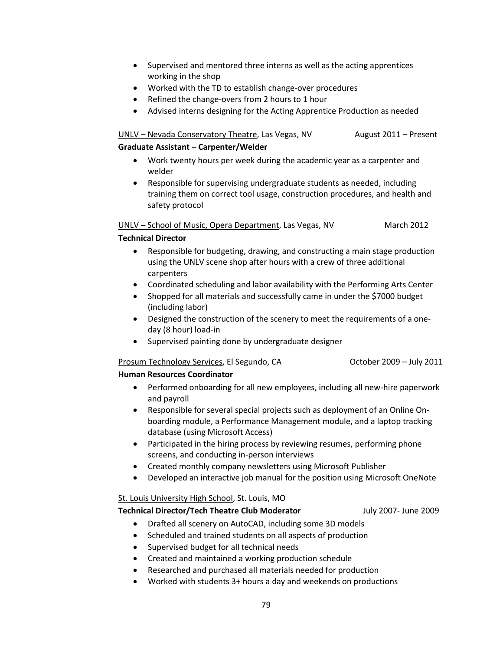- Supervised and mentored three interns as well as the acting apprentices working in the shop
- Worked with the TD to establish change-over procedures
- Refined the change-overs from 2 hours to 1 hour
- Advised interns designing for the Acting Apprentice Production as needed

# UNLV – Nevada Conservatory Theatre, Las Vegas, NV August 2011 – Present

## **Graduate Assistant – Carpenter/Welder**

- Work twenty hours per week during the academic year as a carpenter and welder
- Responsible for supervising undergraduate students as needed, including training them on correct tool usage, construction procedures, and health and safety protocol

UNLV – School of Music, Opera Department, Las Vegas, NV March 2012

## **Technical Director**

- Responsible for budgeting, drawing, and constructing a main stage production using the UNLV scene shop after hours with a crew of three additional carpenters
- Coordinated scheduling and labor availability with the Performing Arts Center
- Shopped for all materials and successfully came in under the \$7000 budget (including labor)
- Designed the construction of the scenery to meet the requirements of a oneday (8 hour) load-in
- Supervised painting done by undergraduate designer

## Prosum Technology Services, El Segundo, CA October 2009 – July 2011

## **Human Resources Coordinator**

- Performed onboarding for all new employees, including all new-hire paperwork and payroll
- Responsible for several special projects such as deployment of an Online Onboarding module, a Performance Management module, and a laptop tracking database (using Microsoft Access)
- Participated in the hiring process by reviewing resumes, performing phone screens, and conducting in-person interviews
- Created monthly company newsletters using Microsoft Publisher
- Developed an interactive job manual for the position using Microsoft OneNote

## St. Louis University High School, St. Louis, MO

## **Technical Director/Tech Theatre Club Moderator** July 2007- June 2009

- Drafted all scenery on AutoCAD, including some 3D models
- Scheduled and trained students on all aspects of production
- Supervised budget for all technical needs
- Created and maintained a working production schedule
- Researched and purchased all materials needed for production
- Worked with students 3+ hours a day and weekends on productions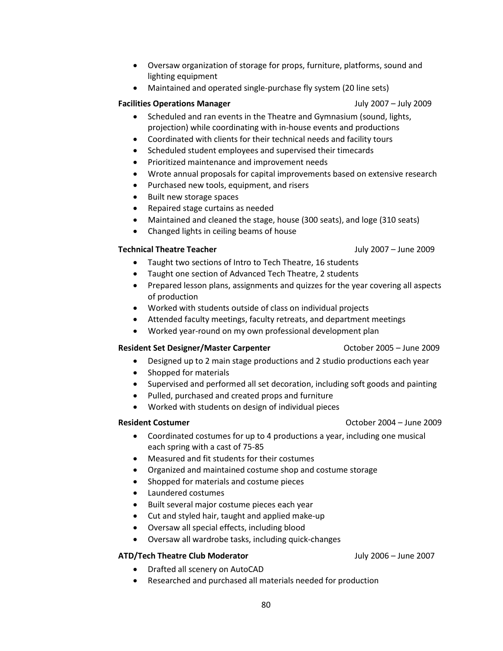- Oversaw organization of storage for props, furniture, platforms, sound and lighting equipment
- Maintained and operated single-purchase fly system (20 line sets)

## **Facilities Operations Manager** July 2007 – July 2009

- Scheduled and ran events in the Theatre and Gymnasium (sound, lights, projection) while coordinating with in-house events and productions
- Coordinated with clients for their technical needs and facility tours
- Scheduled student employees and supervised their timecards
- Prioritized maintenance and improvement needs
- Wrote annual proposals for capital improvements based on extensive research
- Purchased new tools, equipment, and risers
- Built new storage spaces
- Repaired stage curtains as needed
- Maintained and cleaned the stage, house (300 seats), and loge (310 seats)
- Changed lights in ceiling beams of house

## **Technical Theatre Teacher** July 2007 – June 2009

- Taught two sections of Intro to Tech Theatre, 16 students
- Taught one section of Advanced Tech Theatre, 2 students
- Prepared lesson plans, assignments and quizzes for the year covering all aspects of production
- Worked with students outside of class on individual projects
- Attended faculty meetings, faculty retreats, and department meetings
- Worked year-round on my own professional development plan

## **Resident Set Designer/Master Carpenter** The Carport Carport Carport Carport October 2005 – June 2009

- Designed up to 2 main stage productions and 2 studio productions each year
- Shopped for materials
- Supervised and performed all set decoration, including soft goods and painting
- Pulled, purchased and created props and furniture
- Worked with students on design of individual pieces

## **Resident Costumer Costumer Costumer Costumer Costumer Costumer Costumer Costumer Costumer Costumer Costumer Costumer Costumer Costumer Costumer Costumer Costumer Costumer Costumer Cos**

- Coordinated costumes for up to 4 productions a year, including one musical each spring with a cast of 75-85
- Measured and fit students for their costumes
- Organized and maintained costume shop and costume storage
- Shopped for materials and costume pieces
- Laundered costumes
- Built several major costume pieces each year
- Cut and styled hair, taught and applied make-up
- Oversaw all special effects, including blood
- Oversaw all wardrobe tasks, including quick-changes

## **ATD/Tech Theatre Club Moderator** July 2006 – June 2007

- Drafted all scenery on AutoCAD
- Researched and purchased all materials needed for production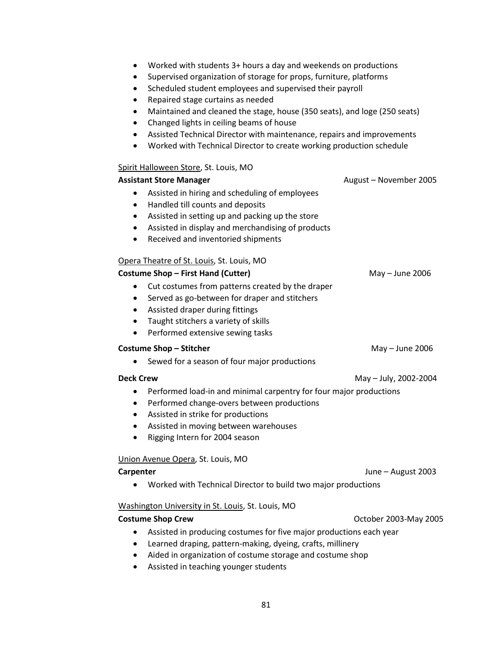- Worked with students 3+ hours a day and weekends on productions
- Supervised organization of storage for props, furniture, platforms
- Scheduled student employees and supervised their payroll
- Repaired stage curtains as needed
- Maintained and cleaned the stage, house (350 seats), and loge (250 seats)
- Changed lights in ceiling beams of house
- Assisted Technical Director with maintenance, repairs and improvements
- Worked with Technical Director to create working production schedule

## Spirit Halloween Store, St. Louis, MO

| <u></u>                                                                                                                                                                                                                                                                   |                        |
|---------------------------------------------------------------------------------------------------------------------------------------------------------------------------------------------------------------------------------------------------------------------------|------------------------|
| <b>Assistant Store Manager</b>                                                                                                                                                                                                                                            | August - November 2005 |
| Assisted in hiring and scheduling of employees<br>٠                                                                                                                                                                                                                       |                        |
| Handled till counts and deposits<br>$\bullet$                                                                                                                                                                                                                             |                        |
| Assisted in setting up and packing up the store<br>$\bullet$                                                                                                                                                                                                              |                        |
| Assisted in display and merchandising of products<br>$\bullet$                                                                                                                                                                                                            |                        |
| Received and inventoried shipments<br>٠                                                                                                                                                                                                                                   |                        |
| Opera Theatre of St. Louis, St. Louis, MO                                                                                                                                                                                                                                 |                        |
| <b>Costume Shop - First Hand (Cutter)</b>                                                                                                                                                                                                                                 | May - June 2006        |
| Cut costumes from patterns created by the draper<br>$\bullet$<br>Served as go-between for draper and stitchers<br>$\bullet$<br>Assisted draper during fittings<br>٠<br>Taught stitchers a variety of skills<br>$\bullet$<br>Performed extensive sewing tasks<br>$\bullet$ |                        |
| <b>Costume Shop - Stitcher</b>                                                                                                                                                                                                                                            | May - June 2006        |
| Sewed for a season of four major productions                                                                                                                                                                                                                              |                        |
| <b>Deck Crew</b>                                                                                                                                                                                                                                                          | May - July, 2002-2004  |
| Performed load-in and minimal carpentry for four major productions                                                                                                                                                                                                        |                        |
| Performed change-overs between productions<br>$\bullet$                                                                                                                                                                                                                   |                        |
| Assisted in strike for productions<br>$\bullet$                                                                                                                                                                                                                           |                        |
| Assisted in moving between warehouses<br>$\bullet$                                                                                                                                                                                                                        |                        |
| Rigging Intern for 2004 season<br>$\bullet$                                                                                                                                                                                                                               |                        |
| Union Avenue Opera, St. Louis, MO                                                                                                                                                                                                                                         |                        |
| <b>Carpenter</b>                                                                                                                                                                                                                                                          | June - August 2003     |
| Worked with Technical Director to build two major productions                                                                                                                                                                                                             |                        |
| Washington University in St. Louis, St. Louis, MO                                                                                                                                                                                                                         |                        |
| <b>Costume Shop Crew</b>                                                                                                                                                                                                                                                  | October 2003-May 2005  |
| Assisted in producing costumes for five major productions each year<br>٠                                                                                                                                                                                                  |                        |
| Learned draping, pattern-making, dyeing, crafts, millinery<br>$\bullet$                                                                                                                                                                                                   |                        |
| Aided in organization of costume storage and costume shop<br>٠                                                                                                                                                                                                            |                        |
| Assisted in teaching younger students                                                                                                                                                                                                                                     |                        |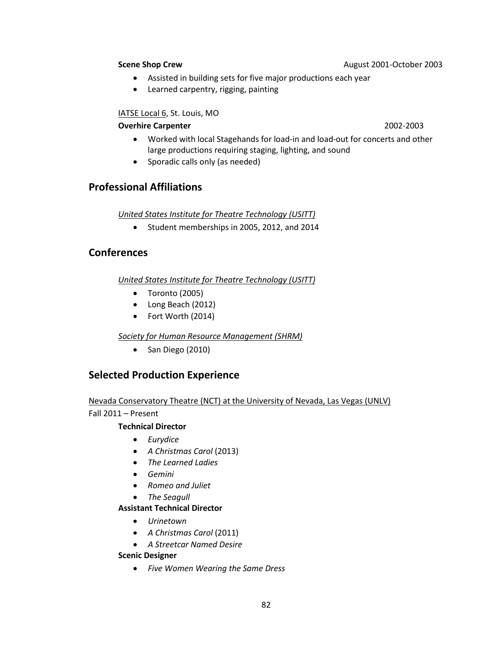**Scene Shop Crew August 2001-October 2003** 

- Assisted in building sets for five major productions each year
- Learned carpentry, rigging, painting

## IATSE Local 6, St. Louis, MO

## **Overhire Carpenter** 2002-2003

- Worked with local Stagehands for load-in and load-out for concerts and other large productions requiring staging, lighting, and sound
- Sporadic calls only (as needed)

# **Professional Affiliations**

*United States Institute for Theatre Technology (USITT)*

• Student memberships in 2005, 2012, and 2014

# **Conferences**

*United States Institute for Theatre Technology (USITT)*

- Toronto (2005)
- Long Beach (2012)
- Fort Worth (2014)

*Society for Human Resource Management (SHRM)* 

• San Diego (2010)

# **Selected Production Experience**

Nevada Conservatory Theatre (NCT) at the University of Nevada, Las Vegas (UNLV)

Fall 2011 – Present

## **Technical Director**

- *Eurydice*
- *A Christmas Carol* (2013)
- *The Learned Ladies*
- *Gemini*
- *Romeo and Juliet*
- *The Seagull*

## **Assistant Technical Director**

- *Urinetown*
- *A Christmas Carol* (2011)
- *A Streetcar Named Desire*

## **Scenic Designer**

• *Five Women Wearing the Same Dress*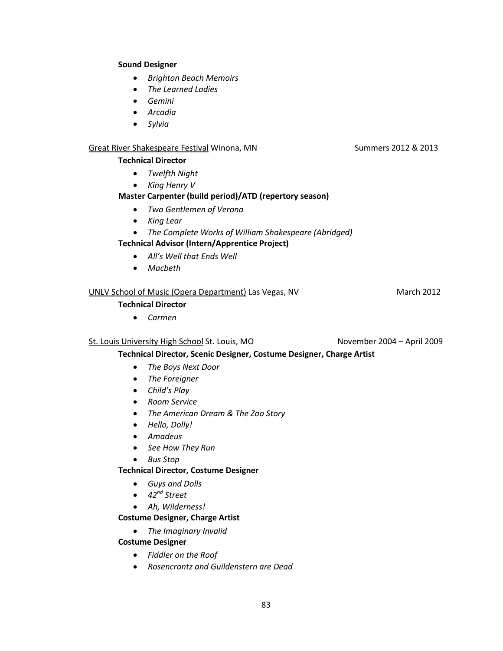#### **Sound Designer**

- *Brighton Beach Memoirs*
- *The Learned Ladies*
- *Gemini*
- *Arcadia*
- *Sylvia*

#### Great River Shakespeare Festival Winona, MN Summers 2012 & 2013

#### **Technical Director**

- *Twelfth Night*
- *King Henry V*

## **Master Carpenter (build period)/ATD (repertory season)**

- *Two Gentlemen of Verona*
- *King Lear*
- *The Complete Works of William Shakespeare (Abridged)*

## **Technical Advisor (Intern/Apprentice Project)**

- *All's Well that Ends Well*
- *Macbeth*

## UNLV School of Music (Opera Department) Las Vegas, NV March 2012

## **Technical Director**

• *Carmen*

## St. Louis University High School St. Louis, MO November 2004 – April 2009

**Technical Director, Scenic Designer, Costume Designer, Charge Artist**

- *The Boys Next Door*
- *The Foreigner*
- *Child's Play*
- *Room Service*
- *The American Dream & The Zoo Story*
- *Hello, Dolly!*
- *Amadeus*
- *See How They Run*
- *Bus Stop*

## **Technical Director, Costume Designer**

- *Guys and Dolls*
- *42nd Street*
- *Ah, Wilderness!*

## **Costume Designer, Charge Artist**

• *The Imaginary Invalid*

## **Costume Designer**

- *Fiddler on the Roof*
- *Rosencrantz and Guildenstern are Dead*